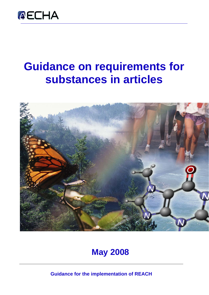

# **Guidance on requirements for substances in articles**



## **May 2008**

**Guidance for the implementation of REACH**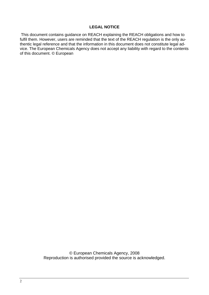#### **LEGAL NOTICE**

This document contains guidance on REACH explaining the REACH obligations and how to fulfil them. However, users are reminded that the text of the REACH regulation is the only authentic legal reference and that the information in this document does not constitute legal advice. The European Chemicals Agency does not accept any liability with regard to the contents of this document. © European

> © European Chemicals Agency, 2008 Reproduction is authorised provided the source is acknowledged.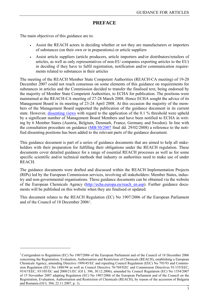#### **PREFACE**

The main objectives of this guidance are to:

 $\overline{a}$ 

- Assist the REACH actors in deciding whether or not they are manufacturers or importers of substances (on their own or in preparations) or article suppliers
- Assist article suppliers (article producers, article importers and/or distributors/retailers of articles, as well as only representatives of non-EU companies exporting articles to the EU) in deciding if they have to fulfil registration, notification and/or communication requirements related to substances in their articles

The meeting of the REACH Member State Competent Authorities (REACH-CA meeting) of 19-20 December 2007 could not reach consensus on some elements of this guidance on requirements for substances in articles and the Commission decided to transfer the finalised text, being endorsed by the majority of Member State Competent Authorities, to ECHA for publication. The positions were maintained at the REACH-CA meeting of 27-28 March 2008. Hence ECHA sought the advice of its Management Board in its meeting of 23-24 April 2008. At this occasion the majority of the members of the Management Board supported the publication of the guidance document in its current state. However, [dissenting views](http://reach.jrc.it/docs/guidance_document/dissenting_en.pdf) with regard to the application of the 0.1 % threshold were upheld by a significant number of Management Board Members and have been notified to ECHA in writing by 6 Member States (Austria, Belgium, Denmark, France, Germany and Sweden). In line with the consultation procedure on guidance ([MB/30/2007](http://echa.europa.eu/doc/ECHADocuments/ConsultationProcedureOnGuidance.pdf) final dd. 29/02/2008) a reference to the notified dissenting positions has been added to the relevant parts of the guidance document.

This guidance document is part of a series of guidance documents that are aimed to help all stakeholders with their preparation for fulfilling their obligations under the REACH regulation. These documents cover detailed guidance for a range of essential REACH processes as well as for some specific scientific and/or technical methods that industry or authorities need to make use of under REACH.

The guidance documents were drafted and discussed within the REACH Implementation Projects (RIPs) led by the European Commission services, involving all stakeholders: Member States, industry and non-governmental organisations. These guidance documents can be obtained via the website of the European Chemicals Agency [\(http://echa.europa.eu/reach\\_en.asp\)](http://echa.europa.eu/reach_en.asp). Further guidance documents will be published on this website when they are finalised or updated.

This document relates to the REACH Regulation (EC) No 1907/2006 of the European Parliament and of the Council of 18 December 2006[1](#page-2-0).

<span id="page-2-0"></span><sup>1</sup> Corrigendum to Regulation (EC) No 1907/2006 of the European Parliament and of the Council of 18 December 2006 concerning the Registration, Evaluation, Authorisation and Restriction of Chemicals (REACH), establishing a European Chemicals Agency, amending Directive 1999/45/EC and repealing Council Regulation (EEC) No 793/93 and Commission Regulation (EC) No 1488/94 as well as Council Directive 76/769/EEC and Commission Directives 91/155/EEC, 93/67/EEC, 93/105/EC and 2000/21/EC (OJ L 396, 30.12.2006); amended by Council Regulation (EC) No 1354/2007 of 15 November 2007 adapting Regulation (EC) No 1907/2006 of the European Parliament and of the Council on the Registration, Evaluation, Authorisation and Restriction of Chemicals (REACH), by reason of the accession of Bulgaria and Romania (OJ L 304, 22.11.2007, p. 1).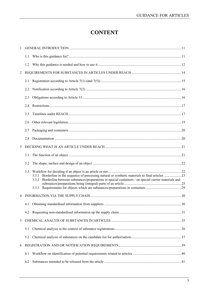## **CONTENT**

|                | 1.2 |                                                                                                                                                                                                                    |  |
|----------------|-----|--------------------------------------------------------------------------------------------------------------------------------------------------------------------------------------------------------------------|--|
| $\overline{2}$ |     |                                                                                                                                                                                                                    |  |
|                | 2.1 |                                                                                                                                                                                                                    |  |
|                | 2.2 |                                                                                                                                                                                                                    |  |
|                | 2.3 |                                                                                                                                                                                                                    |  |
|                | 2.4 |                                                                                                                                                                                                                    |  |
|                | 2.5 |                                                                                                                                                                                                                    |  |
|                | 2.6 |                                                                                                                                                                                                                    |  |
|                | 2.7 |                                                                                                                                                                                                                    |  |
|                | 2.8 |                                                                                                                                                                                                                    |  |
| 3              |     |                                                                                                                                                                                                                    |  |
|                | 3.1 |                                                                                                                                                                                                                    |  |
|                | 3.2 |                                                                                                                                                                                                                    |  |
|                | 3.3 | Borderline in the sequence of processing natural or synthetic materials to final articles 23<br>3.3.1<br>3.3.2 Borderline between substances/preparations in special containers / on special carrier materials and |  |
|                |     |                                                                                                                                                                                                                    |  |
|                |     |                                                                                                                                                                                                                    |  |
|                | 4.1 |                                                                                                                                                                                                                    |  |
|                | 4.2 |                                                                                                                                                                                                                    |  |
| 5              |     |                                                                                                                                                                                                                    |  |
|                | 5.1 |                                                                                                                                                                                                                    |  |
|                | 5.2 |                                                                                                                                                                                                                    |  |
| 6              |     |                                                                                                                                                                                                                    |  |
|                | 6.1 |                                                                                                                                                                                                                    |  |
|                | 6.2 |                                                                                                                                                                                                                    |  |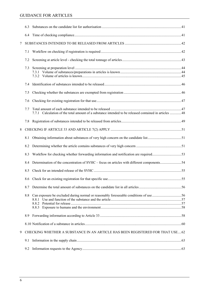|   | 6.3 |                                                                                                       |  |
|---|-----|-------------------------------------------------------------------------------------------------------|--|
|   |     |                                                                                                       |  |
| 7 |     |                                                                                                       |  |
|   | 7.1 |                                                                                                       |  |
|   | 7.2 |                                                                                                       |  |
|   | 7.3 |                                                                                                       |  |
|   | 7.4 |                                                                                                       |  |
|   | 7.5 |                                                                                                       |  |
|   | 7.6 |                                                                                                       |  |
|   | 7.7 | 7.7.1 Calculation of the total amount of a substance intended to be released contained in articles 48 |  |
|   | 7.8 |                                                                                                       |  |
| 8 |     |                                                                                                       |  |
|   | 8.1 |                                                                                                       |  |
|   | 8.2 |                                                                                                       |  |
|   | 8.3 |                                                                                                       |  |
|   | 8.4 |                                                                                                       |  |
|   | 8.5 |                                                                                                       |  |
|   |     |                                                                                                       |  |
|   | 8.7 |                                                                                                       |  |
|   | 8.8 | Can exposure be excluded during normal or reasonably foreseeable conditions of use 56                 |  |
|   |     |                                                                                                       |  |
|   | 8.9 |                                                                                                       |  |
|   |     |                                                                                                       |  |
| 9 |     | CHECKING WHETHER A SUBSTANCE IN AN ARTICLE HAS BEEN REGISTERED FOR THAT USE 62                        |  |
|   | 9.1 |                                                                                                       |  |
|   | 9.2 |                                                                                                       |  |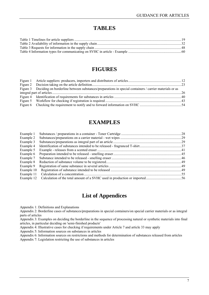#### **TABLES**

#### **FIGURES**

| Figure 3 Deciding on borderline between substances/preparations in special containers / carrier materials or as |  |
|-----------------------------------------------------------------------------------------------------------------|--|
|                                                                                                                 |  |
|                                                                                                                 |  |
|                                                                                                                 |  |
|                                                                                                                 |  |
|                                                                                                                 |  |

#### **EXAMPLES**

| Example 1  |  |
|------------|--|
| Example 2  |  |
| Example 3  |  |
| Example 4  |  |
| Example 5  |  |
| Example 6  |  |
| Example 7  |  |
| Example 8  |  |
| Example 9  |  |
| Example 10 |  |
| Example 11 |  |
| Example 12 |  |

### **List of Appendices**

Appendix 1: Definitions and Explanations

Appendix 2: Borderline cases of substances/preparations in special containers/on special carrier materials or as integral parts of articles

Appendix 3: Examples on deciding the borderline in the sequence of processing natural or synthetic materials into final articles, in particular deciding on 'semi-finished products'

Appendix 4: Illustrative cases for checking if requirements under Article 7 and article 33 may apply

Appendix 5: Information sources on substances in articles

Appendix 6: Information sources on restrictions and methods for determination of substances released from articles Appendix 7: Legislation restricting the use of substances in articles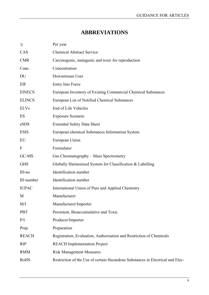## **ABBREVIATIONS**

| /y            | Per year                                                                       |
|---------------|--------------------------------------------------------------------------------|
| CAS           | <b>Chemical Abstract Service</b>                                               |
| <b>CMR</b>    | Carcinogenic, mutagenic and toxic for reproduction                             |
| Conc.         | Concentration                                                                  |
| DU            | Downstream User                                                                |
| EIF           | Entry Into Force                                                               |
| <b>EINECS</b> | European Inventory of Existing Commercial Chemical Substances                  |
| <b>ELINCS</b> | European List of Notified Chemical Substances                                  |
| <b>ELVs</b>   | End of Life Vehicles                                                           |
| ES            | <b>Exposure Scenario</b>                                                       |
| eSDS          | <b>Extended Safety Data Sheet</b>                                              |
| <b>ESIS</b>   | European chemical Substances Information System                                |
| EU            | European Union                                                                 |
| F             | Formulator                                                                     |
| GC-MS         | Gas Chromatography - Mass Spectrometry                                         |
| <b>GHS</b>    | Globally Harmonised System for Classification & Labelling                      |
| $ID-no$       | Identification number                                                          |
| ID number     | Identification number                                                          |
| <b>IUPAC</b>  | International Union of Pure and Applied Chemistry                              |
| M             | Manufacturer                                                                   |
| M/I           | Manufacturer/Importer                                                          |
| <b>PBT</b>    | Persistent, Bioaccumulative and Toxic                                          |
| P/I           | Producer/Importer                                                              |
| Prep.         | Preparation                                                                    |
| <b>REACH</b>  | Registration, Evaluation, Authorisation and Restriction of Chemicals           |
| <b>RIP</b>    | <b>REACH</b> Implementation Project                                            |
| <b>RMM</b>    | <b>Risk Management Measures</b>                                                |
| RoHS          | Restriction of the Use of certain Hazardous Substances in Electrical and Elec- |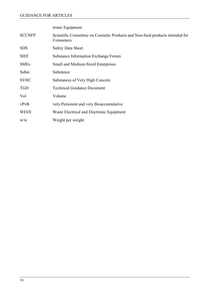tronic Equipment

| <b>SCCNFP</b> | Scientific Committee on Cosmetic Products and Non-food products intended for<br>Consumers |
|---------------|-------------------------------------------------------------------------------------------|
| <b>SDS</b>    | <b>Safety Data Sheet</b>                                                                  |
| <b>SIEF</b>   | Substance Information Exchange Forum                                                      |
| <b>SMEs</b>   | Small and Medium-Sized Enterprises                                                        |
| Subst.        | Substance                                                                                 |
| <b>SVHC</b>   | Substances of Very High Concern                                                           |
| <b>TGD</b>    | <b>Technical Guidance Document</b>                                                        |
| Vol           | Volume                                                                                    |
| vPvB          | very Persistent and very Bioaccumulative                                                  |
| <b>WEEE</b>   | Waste Electrical and Electronic Equipment                                                 |
| W/W           | Weight per weight                                                                         |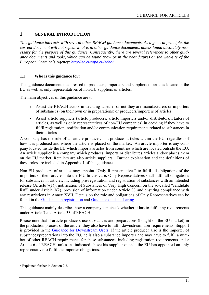#### <span id="page-10-0"></span>**1 GENERAL INTRODUCTION**

*This guidance interacts with several other REACH guidance documents. As a general principle, the current document will not repeat what is in other guidance documents, unless found absolutely necessary for the purpose of this guidance. Consequently, there are several references to other guidance documents and tools, which can be found (now or in the near future) on the web-site of the European Chemicals Agency: [http://ec.europa.eu/echa/.](http://ec.europa.eu/echa/)* 

#### <span id="page-10-2"></span>**1.1 Who is this guidance for?**

This guidance document is addressed to producers, importers and suppliers of articles located in the EU as well as only representatives of non-EU suppliers of articles.

The main objectives of this guidance are to:

- Assist the REACH actors in deciding whether or not they are manufacturers or importers of substances (on their own or in preparations) or producers/importers of articles
- Assist article suppliers (article producers, article importers and/or distributors/retailers of articles, as well as only representatives of non-EU companies) in deciding if they have to fulfil registration, notification and/or communication requirements related to substances in their articles

<span id="page-10-1"></span>A company has the role of an article producer, if it produces articles within the EU, regardless of how it is produced and where the article is placed on the market. An article importer is any company located inside the EU which imports articles from countries which are located outside the EU. An article supplier is a company which produces, imports or distributes articles and/or places them on the EU market. Retailers are also article suppliers. Further explanation and the definitions of these roles are included in Appendix 1 of this guidance.

Non-EU producers of articles may appoint "Only Representatives" to fulfil all obligations of the importers of their articles into the EU. In this case, Only Representatives shall fulfil all obligations for substances in articles, including pre-registration and registration of substances with an intended release (Article 7(1)), notification of Substances of Very High Concern on the so-called "candidate list"<sup>[2](#page-10-3)</sup> under Article 7(2), provision of information under Article 33 and ensuring compliance with any restrictions in Annex XVII. Details on the role and obligations of Only Representatives can be found in the [Guidance on registration](http://reach.jrc.it/public-2/getdoc.php?file=registration_en) and [Guidance on data sharing.](http://reach.jrc.it/public-2/getdoc.php?file=data_sharing_en)

This guidance mainly describes how a company can check whether it has to fulfil any requirements under Article 7 and Article 33 of REACH.

Please note that if article producers use substances and preparations (bought on the EU market) in the production process of the article, they also have to fulfil downstream user requirements. Support is provided in the [Guidance for Downstream Users](http://reach.jrc.it/public-2/getdoc.php?file=DU_en). If the article producer also is the importer of substances/preparations into the EU, he is also a substance importer and may have to fulfil a number of other REACH requirements for these substances, including registration requirements under Article 6 of REACH, unless as indicated above his supplier outside the EU has appointed an only representative to fulfil the importer obligations.

<span id="page-10-3"></span><sup>2</sup> Explained further in Section 2.2.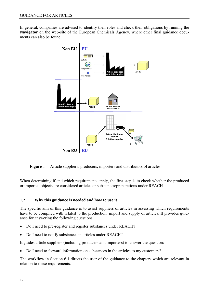<span id="page-11-0"></span>In general, companies are advised to identify their roles and check their obligations by running the **Navigator** on the web-site of the European Chemicals Agency, where other final guidance documents can also be found.



**Figure** 1 Article suppliers: producers, importers and distributors of articles

<span id="page-11-2"></span>When determining if and which requirements apply, the first step is to check whether the produced or imported objects are considered articles or substances/preparations under REACH.

#### <span id="page-11-1"></span>**1.2 Why this guidance is needed and how to use it**

The specific aim of this guidance is to assist suppliers of articles in assessing which requirements have to be complied with related to the production, import and supply of articles. It provides guidance for answering the following questions:

- Do I need to pre-register and register substances under REACH?
- Do I need to notify substances in articles under REACH?

It guides article suppliers (including producers and importers) to answer the question:

• Do I need to forward information on substances in the articles to my customers?

The workflow in Section [6.1](#page-39-1) directs the user of the guidance to the chapters which are relevant in relation to these requirements.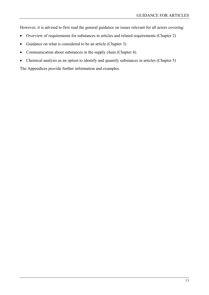However, it is advised to first read the general guidance on issues relevant for all actors covering:

- Overview of requirements for substances in articles and related requirements (Chapter 2)
- Guidance on what is considered to be an article (Chapter 3)
- Communication about substances in the supply chain (Chapter [4\)](#page-29-3).
- Chemical analysis as an option to identify and quantify substances in articles (Chapter [5\)](#page-34-2)

The Appendices provide further information and examples.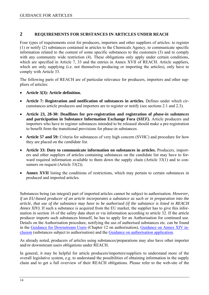#### <span id="page-13-1"></span><span id="page-13-0"></span>**2 REQUIREMENTS FOR SUBSTANCES IN ARTICLES UNDER REACH**

Four types of requirements exist for producers, importers and other suppliers of articles: to register (1) or notify (2) substances contained in articles to the Chemicals Agency, to communicate specific information related to the content of some specific substances to the customers (3) and to comply with any community wide restriction (4). These obligations only apply under certain conditions, which are specified in Article 7, 33 and the entries in Annex XVII of REACH. Article suppliers, which are only supplying (i.e. not themselves producing or importing the articles), only have to comply with Article 33.

The following parts of REACH are of particular relevance for producers, importers and other suppliers of articles:

- **Article 3(3): Article definition.**
- **Article 7: Registration and notification of substances in articles.** Defines under which circumstances article producers and importers are to register or notify (see sections [2.1](#page-14-1) and [2.3](#page-15-2)).
- Article 23, 28-30: Deadlines for pre-registration and registration of *phase-in substances* **and participation in Substance Information Exchange Fora (***SIEF)***.** Article producers and importers who have to register substances intended to be released should make a pre-registration to benefit from the transitional provisions for phase-in substances.
- **Article 57 and 59:** Criteria for substances of very high concern (SVHC) and procedure for how they are placed on the *candidate list*.
- **Article 33: Duty to communicate information on substances in articles.** Producers, importers and other suppliers of articles containing substances on the candidate list may have to forward required information available to them down the supply chain (Article 33(1) and to consumers on request (Article 33(2)).
- Annex XVII listing the conditions of restrictions, which may pertain to certain substances in produced and imported articles.

Substances being (an integral) part of imported articles cannot be subject to authorisation. *However, if an EU-based producer of an article incorporates a substance as such or in preparation into the article, that use of the substance may have to be authorised (if the substance is listed in REACH Annex XIV*). If such a substance is acquired from the EU market, the supplier has to give this information in section 16 of the safety data sheet or via information according to article 32. If the article producer imports such substances himself, he has to apply for an Authorisation for continued use. Details on the Authorisation procedure, notifying the use of authorised substances etc. can be found in the [Guidance for Downstream Users](http://reach.jrc.it/public-2/getdoc.php?file=DU_en) (Chapter 12 on authorisation), [Guidance on Annex XIV in](http://reach.jrc.it/public-2/getdoc.php?file=annex_xiv_en)[clusio](http://reach.jrc.it/public-2/getdoc.php?file=annex_xiv_en)n (substances subject to authorisation) and the [Guidance on authorisation application.](http://reach.jrc.it/public-2/getdoc.php?file=authorisation_application_en)

As already noted, producers of articles using substances/preparations may also have other importer and/or downstream users obligations under REACH.

In general, it may be helpful for article producers/importers/suppliers to understand more of the overall legislative system, e.g. to understand the possibilities of obtaining information in the supply chain and to get a full overview of their REACH obligations. Please refer to the web-site of the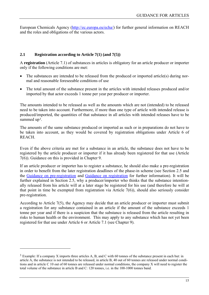<span id="page-14-0"></span>European Chemicals Agency ([http://ec.europa.eu/echa/\)](http://ec.europa.eu/echa/) for further general information on REACH and the roles and obligations of the various actors.

#### <span id="page-14-1"></span>**2.1 Registration according to Article 7(1) (and 7(5))**

A **registration** (Article 7.1) of substances in articles is obligatory for an article producer or importer only if the following conditions are met:

- The substances are intended to be released from the produced or imported article(s) during normal and reasonable foreseeable conditions of use
- The total amount of the substance present in the articles with intended releases produced and/or imported by that actor exceeds 1 tonne per year per producer or importer.

The amounts intended to be released as well as the amounts which are not (intended) to be released need to be taken into account. Furthermore, if more than one type of article with intended release is produced/imported, the quantities of that substance in all articles with intended releases have to be summed up<sup>3</sup>.

The amounts of the same substance produced or imported as such or in preparations do not have to be taken into account, as they would be covered by registration obligations under Article 6 of **REACH** 

Even if the above criteria are met for a substance in an article, the substance does not have to be registered by the article producer or importer if it has already been registered for that use (Article 7(6)). Guidance on this is provided in Chapter [9.](#page-61-2)

If an article producer or importer has to register a substance, he should also make a pre-registration in order to benefit from the later registration deadlines of the phase-in scheme (see Section [2.5](#page-16-2) and the [Guidance on pre-registration](http://reach.jrc.it/public-2/getdoc.php?file=pre-registration_en) and [Guidance on registration](http://reach.jrc.it/public-2/getdoc.php?file=registration_en) for further information). It will be further explained in Section [2.5,](#page-16-2) why a producer/importer who thinks that the substance intentionally released from his article will at a later stage be registered for his use (and therefore he will at that point in time be exempted from registration via Article 7(6)), should also seriously consider pre-registration.

According to Article 7(5), the Agency may decide that an article producer or importer must submit a registration for any substance contained in an article if the amount of the substance exceeds 1 tonne per year and if there is a suspicion that the substance is released from the article resulting in risks to human health or the environment. This may apply to any substance which has not yet been registered for that use under Article 6 or Article 7.1 (see Chapter [9](#page-61-2)).

<sup>3</sup> Example: If a company X imports three articles A, B, and C with 60 tonnes of the substance present in each but: in article A, the substance is not intended to be released, in article B, 40 out of 60 tonnes are released under normal conditions and in article C 10 out of 60 tonnes are released under normal conditions, the company X will need to register the total volume of the substance in article B and C: 120 tonnes, i.e. in the 100-1000 tonnes band.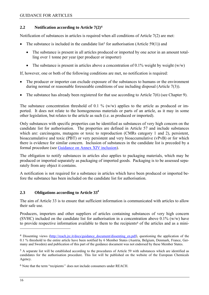#### <span id="page-15-1"></span><span id="page-15-0"></span>**2.2 Notification according to Article 7(2)[4](#page-15-0)**

Notification of substances in articles is required when all conditions of Article 7(2) are met:

- The substance is included in the candidate list<sup>[5](#page-15-0)</sup> for authorisation (Article 59(1)) and
	- The substance is present in all articles produced or imported by one actor in an amount totalling over 1 tonne per year (per producer or importer)
	- The substance is present in articles above a concentration of 0.1% weight by weight  $(w/w)$

If, however, one or both of the following conditions are met, no notification is required:

- The producer or importer can exclude exposure of the substances to humans or the environment during normal or reasonable foreseeable conditions of use including disposal (Article 7(3)).
- The substance has already been registered for that use according to Article 7(6) (see Chapter [9](#page-61-2)).

The substance concentration threshold of 0.1 % (w/w) applies to the article as produced or imported. It does not relate to the homogeneous materials or parts of an article, as it may in some other legislation, but relates to the article as such (i.e. as produced or imported).

Only substances with specific properties can be identified as substances of very high concern on the candidate list for authorisation. The properties are defined in Article 57 and include substances which are: carcinogens, mutagens or toxic to reproduction (CMRs category 1 and 2), persistent, bioaccumulative and toxic (PBT) or very persistent and very bioaccumulative (vPvB) or for which there is evidence for similar concern. Inclusion of substances in the candidate list is preceded by a formal procedure (see [Guidance on Annex XIV inclusion](http://reach.jrc.it/public-2/getdoc.php?file=annex_xiv_en)).

The obligation to notify substances in articles also applies to packaging materials, which may be produced or imported separately as packaging of imported goods. Packaging is to be assessed separately from any object it contains.

A notification is not required for a substance in articles which have been produced or imported before the substance has been included on the candidate list for authorisation.

#### <span id="page-15-2"></span>**2.3 Obligations according to Article 334**

The aim of Article 33 is to ensure that sufficient information is communicated with articles to allow their safe use.

Producers, importers and other suppliers of articles containing substances of very high concern (SVHC) included on the candidate list for authorisation in a concentration above  $0.1\%$  (w/w) have to provide respective information available to them to the recipients<sup>[6](#page-15-0)</sup> of the articles and as a mini-

<sup>&</sup>lt;sup>4</sup> Dissenting views (http://reach.jrc.it/docs/guidance\_document/dissenting\_en.pdf), questioning the application of the 0.1 % threshold to the entire article have been notified by 6 Member States (Austria, Belgium, Denmark, France, Germany and Sweden) and publication of this part of the guidance document was not endorsed by these Member States.

<sup>5</sup> A separate list will be established according to the procedures of Article 59 with substances which are identified as candidates for the authorisation procedure. This list will be published on the website of the European Chemicals Agency.

<sup>6</sup> Note that the term "recipients'' does not include consumers under REACH.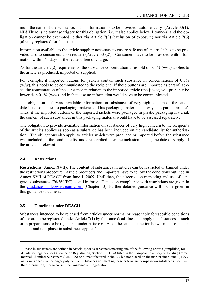<span id="page-16-0"></span>mum the name of the substance. This information is to be provided 'automatically' (Article 33(1). NB! There is no tonnage trigger for this obligation (i.e. it also applies below 1 tonne/a) and the obligation cannot be exempted neither via Article 7(3) (exclusion of exposure) nor via Article 7(6) (already registered for that use).

Information available to the article supplier necessary to ensure safe use of an article has to be provided also to consumers upon request (Article 33 (2)). Consumers have to be provided with information within 45 days of the request, free of charge.

As for the article 7(2) requirements, the substance concentration threshold of 0.1 % (w/w) applies to the article as produced, imported or supplied.

For example, if imported buttons for jackets contain such substance in concentrations of 0.5% (w/w), this needs to be communicated to the recipient. If these buttons are imported as part of jackets the concentration of the substance in relation to the imported article (the jacket) will probably be lower than 0.1% (w/w) and in that case no information would have to be communicated.

The obligation to forward available information on substances of very high concern on the candidate list also applies to packaging materials. This packaging material is always a separate 'article'. Thus, if the imported buttons or the imported jackets were packaged in plastic packaging material, the content of such substances in this packaging material would have to be assessed separately.

The obligation to provide available information on substances of very high concern to the recipients of the articles applies as soon as a substance has been included on the candidate list for authorisation. The obligations also apply to articles which were produced or imported before the substance was included on the candidate list and are supplied after the inclusion. Thus, the date of supply of the article is relevant.

#### <span id="page-16-1"></span>**2.4 Restrictions**

 $\overline{a}$ 

**Restrictions** (Annex XVII): The content of substances in articles can be restricted or banned under the restrictions procedure. Article producers and importers have to follow the conditions outlined in Annex XVII of REACH from June 1, 2009. Until then, the directive on marketing and use of dangerous substances (76/769/EC) is still in force. Details on compliance with restrictions are given in the [Guidance for Downstream Users](http://reach.jrc.it/public-2/getdoc.php?file=DU_en) (Chapter 13). Further detailed guidance will not be given in this guidance document.

#### <span id="page-16-2"></span>**2.5 Timelines under REACH**

Substances intended to be released from articles under normal or reasonably foreseeable conditions of use are to be registered under Article 7(1) by the same dead-lines that apply to substances as such or in preparations to be registered under Article 6. Also, the same distinction between phase-in substances and non-phase-in substances applies[7](#page-16-0).

 $7$  Phase-in substances are defined in Article 3(20) as substances meeting one of the following criteria (simplified, for details see legal text or Guidance on Registration, Section 1.7.1): a) listed in the European Inventory of Existing Commercial Chemical Substances (EINECS) or b) manufactured in the EU but not placed on the market since June 1, 1993 or c) substance is a no-longer polymer. All substances not meeting these criteria are non-phase-in substances. For further information, please consult the Guidance on Registration.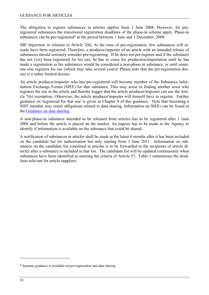<span id="page-17-0"></span>The obligation to register substances in articles applies from 1 June 2008. However, for preregistered substances the transitional registration deadlines of the phase-in scheme apply. Phase-in substances can be pre-registered<sup>[8](#page-17-0)</sup> in the period between 1 June and 1 December, 2008.

*NB! Important in relation to Article 7(6).* At the time of pre-registration, few substances will already have been registered. Therefore, a producer/importer of an article with an intended release of substances should seriously consider pre-registering. If he does not pre-register and if the substance has not (yet) been registered for his use, he has to cease his production/importation until he has made a registration as his substances would be considered a non-phase-in substance, or until someone else registers his use (which may take several years)! Please note that the pre-registration dossier is a rather limited dossier.

An article producer/importer who has pre-registered will become member of the Substance Information Exchange Forum (SIEF) for that substance. This may assist in finding another actor who registers the use in the article and thereby trigger that the article producer/importer can use the Article 7(6) exemption. Otherwise, the article producer/importer will himself have to register. Further guidance on 'registered for that use' is given in Chapter [9](#page-61-2) of this guidance. Note that becoming a SIEF member may entail obligations related to data sharing. Information on SIEFs can be found in the [Guidance on data sharing.](http://reach.jrc.it/public-2/getdoc.php?file=data_sharing_en)

A non-phase-in substance intended to be released from articles has to be registered after 1 June 2008 and before the article is placed on the market. An inquiry has to be made to the Agency to identify if information is available on the substance that could be shared.

A notification of substances in articles shall be made at the latest 6 months after it has been included on the candidate list for authorisation but only starting from 1 June 2011. Information on substances on the candidate list contained in articles is to be forwarded to the recipients of article directly after a substance is included in that list. The candidate list will be updated continuously when substances have been identified as meeting the criteria of Article 57. [Table 1](#page-18-2) summarises the deadlines relevant for article suppliers.

<sup>8</sup> Separate guidance is available on pre-registration and data sharing.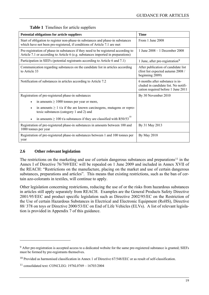<span id="page-18-2"></span><span id="page-18-0"></span>

| Potential obligations for article suppliers                                                                                                                            | <b>Time</b>                                                                                                   |
|------------------------------------------------------------------------------------------------------------------------------------------------------------------------|---------------------------------------------------------------------------------------------------------------|
| Start of obligation to register non-phase-in substances and phase-in substances<br>which have not been pre-registered, if conditions of Article 7.1 are met            | From 1 June 2008                                                                                              |
| Pre-registration of phase-in substances if they need to be registered according to<br>Article 7.1 or according to Article 6 (e.g. substances imported in preparations) | 1 June $2008 - 1$ December 2008                                                                               |
| Participation in SIEFs (potential registrants according to Article 6 and 7.1)                                                                                          | 1 June, after pre-registration $9$                                                                            |
| Communication regarding substances on the candidate list in articles according<br>to Article 33                                                                        | After publication of candidate list<br>(first list expected autumn 2008 /<br>beginning 2009)                  |
| Notification of substances in articles according to Article 7.2                                                                                                        | 6 months after substance is in-<br>cluded in candidate list. No notifi-<br>cation required before 1 June 2011 |
| Registration of pre-registered phase-in substances                                                                                                                     | By 30 November 2010                                                                                           |
| in amounts $\geq 1000$ tonnes per year or more,                                                                                                                        |                                                                                                               |
| in amounts $\geq 1$ t/a if the are known carcinogens, mutagens or repro-<br>$\bullet$<br>toxic substances (category 1 and 2) and                                       |                                                                                                               |
| in amounts $\geq 100$ t/a substances if they are classified with R50/53 <sup>10</sup><br>$\bullet$                                                                     |                                                                                                               |
| Registration of pre-registered phase-in substances in amounts between 100 and<br>1000 tonnes per year                                                                  | By 31 May 2013                                                                                                |
| Registration of pre-registered phase-in substances between 1 and 100 tonnes per<br>year                                                                                | By May 2018                                                                                                   |

#### **Table 1** Timelines for article suppliers

#### <span id="page-18-1"></span>**2.6 Other relevant legislation**

The restrictions on the marketing and use of certain dangerous substances and preparations<sup>11</sup> in the Annex I of Directive 76/769/EEC will be repealed on 1 June 2009 and included in Annex XVII of the REACH: "Restrictions on the manufacture, placing on the market and use of certain dangerous substances, preparations and articles". This means that existing restrictions, such as the ban of certain azo-colorants in textiles, will continue to apply.

Other legislation concerning restrictions, reducing the use of or the risks from hazardous substances in articles still apply separately from REACH. Examples are the General Products Safety Directive 2001/95/EEC and product specific legislation such as Directive 2002/95/EC on the Restriction of the Use of certain Hazardous Substances in Electrical and Electronic Equipment (RoHS), Directive 88/ 378 on toys or Directive 2000/53/EC on End of Life Vehicles (ELVs). A list of relevant legislation is provided in Appendix 7 of this guidance.

<sup>&</sup>lt;sup>9</sup> After pre-registration is accepted access to a dedicated website for the same pre-registered substance is granted; SIEFs must be formed by pre-registrants themselves.

<sup>10</sup> Provided as harmonised classification in Annex 1 of Directive 67/548/EEC or as result of self-classification.

<sup>11</sup> consolidated text: CONCLEG: 1976L0769 – 16703/2004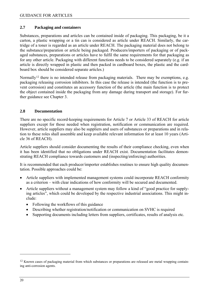#### <span id="page-19-1"></span><span id="page-19-0"></span>**2.7 Packaging and containers**

Substances, preparations and articles can be contained inside of packaging. This packaging, be it a carton, a plastic wrapping or a tin can is considered as article under REACH. Similarly, the cartridge of a toner is regarded as an article under REACH. The packaging material does not belong to the substance/preparation or article being packaged. Producers/importers of packaging or of packaged substances, preparations or articles have to fulfil the same requirements for that packaging as for any other article. Packaging with different functions needs to be considered separately (e.g. if an article is directly wrapped in plastic and then packed in cardboard boxes, the plastic and the cardboard box should be considered separate articles.)

Normally<sup>[12](#page-19-0)</sup> there is no intended release from packaging materials. There may be exemptions, e.g. packaging releasing corrosion inhibitors. In this case the release is intended (the function is to prevent corrosion) and constitutes an accessory function of the article (the main function is to protect the object contained inside the packaging from any damage during transport and storage). For further guidance see Chapter [3](#page-20-1).

#### <span id="page-19-2"></span>**2.8 Documentation**

There are no specific record-keeping requirements for Article 7 or Article 33 of REACH for article suppliers except for those needed when registration, notification or communication are required. However, article suppliers may also be suppliers and users of substances or preparations and in relation to these roles shall assemble and keep available relevant information for at least 10 years (Article 36 of REACH).

Article suppliers should consider documenting the results of their compliance checking, even when it has been identified that no obligations under REACH exist. Documentation facilitates demonstrating REACH compliance towards customers and (inspecting/enforcing) authorities.

It is recommended that each producer/importer establishes routines to ensure high quality documentation. Possible approaches could be:

- Article suppliers with implemented management systems could incorporate REACH conformity as a criterion – with clear indications of how conformity will be secured and documented.
- Article suppliers without a management system may follow a kind of "good practice for supplying articles", which could be developed by the respective industrial associations. This might include:
	- Following the workflows of this guidance
	- Describing whether registration/notification or communication on SVHC is required
	- Supporting documents including letters from suppliers, certificates, results of analysis etc.

<sup>&</sup>lt;sup>12</sup> Known cases of packaging material from which substances or preparations are released are metal wrapping containing anti-corrosion agents.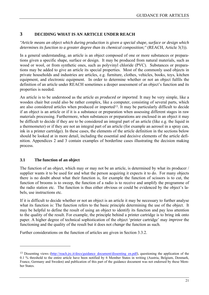#### <span id="page-20-1"></span><span id="page-20-0"></span>**3 DECIDING WHAT IS AN ARTICLE UNDER REACH**

*"Article means an object which during production is given a special shape, surface or design which determines its function to a greater degree than its chemical composition;"* (REACH, Article 3(3)).

In a general understanding, an article is an object composed of one or more substances or preparations given a specific shape, surface or design. It may be produced from natural materials, such as wood or wool, or from synthetic ones, such as polyvinyl chloride (PVC). Substances or preparations may be added to give an article its special properties. Most of the commonly used objects in private households and industries are articles, e.g. furniture, clothes, vehicles, books, toys, kitchen equipment, and electronic equipment. In order to determine whether or not an object fulfils the definition of an article under REACH sometimes a deeper assessment of an object's function and its properties is needed.

An article is to be understood as the article *as produced or imported*. It may be very simple, like a wooden chair but could also be rather complex, like a computer, consisting of several parts, which are also considered articles when produced or imported<sup>13</sup>. It may be particularly difficult to decide if an object is an article or if it is a substance or preparation when assessing different stages in raw materials processing. Furthermore, when substances or preparations are enclosed in an object it may be difficult to decide if they are to be considered an integral part of an article (like e.g. the liquid in a thermometer) or if they are not an integral part of an article (for example an aerosol in a spray can, ink in a printer cartridge). In these cases, the elements of the article definition in the sections below should be looked at in more detail, including the essential and decisive elements of the article definition. Appendices 2 and 3 contain examples of borderline cases illustrating the decision making process.

#### <span id="page-20-2"></span>**3.1 The function of an object**

 $\overline{a}$ 

The function of an object, which may or may not be an article, is determined by what its producer / supplier wants it to be used for and what the person acquiring it expects it to do. For many objects there is no doubt about what their function is, for example the function of scissors is to cut, the function of brooms is to sweep, the function of a radio is to receive and amplify the programme of the radio station etc. The function is thus either obvious or could be evidenced by the object's labels, use instructions etc.

If it is difficult to decide whether or not an object is an article it may be necessary to further analyse what its function is: The function refers to the basic principle determining the use of the object. It may be helpful to define the result of using an object to identify its function and pay less attention to the quality of the result. For example, the principle behind a printer cartridge is to bring ink onto paper. A higher degree of technical sophistication of the object 'printer cartridge' may *improve* the functioning and the quality of the result but it does not *change* the function as such.

Further considerations on the function of articles are given in Section [3.3.2](#page-24-2).

<sup>&</sup>lt;sup>13</sup> Dissenting views (http://reach.jrc.it/docs/guidance\_document/dissenting\_en.pdf), questioning the application of the 0.1 % threshold to the entire article have been notified by 6 Member States in writing (Austria, Belgium, Denmark, France, Germany and Sweden) and publication of this part of the guidance document was not endorsed by these Member States.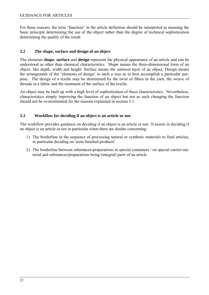<span id="page-21-0"></span>For these reasons, the term "function" in the article definition should be interpreted as meaning the basic principle determining the use of the object rather than the degree of technical sophistication determining the quality of the result.

#### <span id="page-21-1"></span>**3.2 The shape, surface and design of an object**

The elements **shape**, **surface** and **design** represent the physical appearance of an article and can be understood as other than chemical characteristics. Shape means the three-dimensional form of an object, like depth, width and height. Surface means the outmost layer of an object. Design means the arrangement of the 'elements of design' in such a way as to best accomplish a particular purpose. The design of a textile may be determined by the twist of fibres in the yarn, the weave of threads in a fabric and the treatment of the surface of the textile.

An object may be built up with a high level of sophistication of these characteristics. Nevertheless, characteristics simply *improving* the function of an object but not as such *changing* the function should not be overestimated for the reasons explained in section 3.1.

#### <span id="page-21-2"></span>**3.3 Workflow for deciding if an object is an article or not**

The workflow provides guidance on deciding if an object is an article or not. It assists in deciding if an object is an article or not in particular when there are doubts concerning:

- 1) The borderline in the sequence of processing natural or synthetic materials to final articles, in particular deciding on 'semi-finished products'
- 2) The borderline between substances/preparations in special containers / on special carrier material and substances/preparations being (integral) parts of an article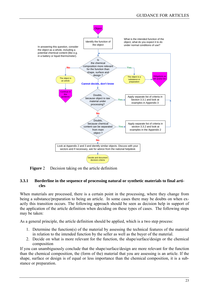<span id="page-22-0"></span>

**Figure** 2 Decision taking on the article definition

#### <span id="page-22-2"></span><span id="page-22-1"></span>**3.3.1 Borderline in the sequence of processing natural or synthetic materials to final articles**

When materials are processed, there is a certain point in the processing, where they change from being a substance/preparation to being an article. In some cases there may be doubts on when exactly this transition occurs. The following approach should be seen as decision help in support of the application of the article definition when deciding on these types of cases. The following steps may be taken:

As a general principle, the article definition should be applied, which is a two step process:

- 1. Determine the function(s) of the material by assessing the technical features of the material in relation to the intended function by the seller as well as the buyer of the material.
- 2. Decide on what is more relevant for the function, the shape/surface/design or the chemical composition

If you can unambiguously conclude that the shape/surface/design are more relevant for the function than the chemical composition, the (form of the) material that you are assessing is an article. If the shape, surface or design is of equal or less importance than the chemical composition, it is a substance or preparation.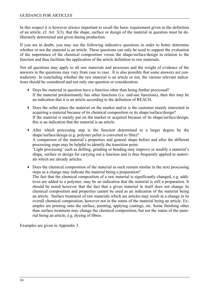In this respect it is however always important to recall the basic requirement given in the definition of an article, cf. Art. 3(3), that the shape, surface or design of the material in question must be deliberately determined and given during production.

If you are in doubt, you may use the following indicative questions in order to better determine whether or not the material is an article. These questions can only be used to support the evaluation of the importance of the chemical composition versus the shape/surface/design in relation to the function and thus facilitate the application of the article definition to raw materials.

Not all questions may apply to all raw materials and processes and the weight of evidence of the answers to the questions may vary from case to case. It is also possible that some answers are contradictory. In concluding whether the raw material is an article or not, the various relevant indications should be considered and not only one question or consideration.

- Does the material in question have a function other than being further processed? If the material predominantly has other functions (i.e. end-use functions), then this may be an indication that it is an article according to the definition of REACH.
- Does the seller place the material on the market and/or is the customer mainly interested in acquiring a material because of its chemical composition or its shape/surface/design? If the material is mainly put on the market or acquired because of its shape/surface/design, this is an indication that the material is an article.
- After which processing step is the function determined to a larger degree by the shape/surface/design (e.g. polymer pellet is converted to film)? A comparison of the material's properties and general shape before and after the different processing steps may be helpful to identify the transition point. 'Light processing' such as drilling, grinding or bending may improve or modify a material's shape, surface or design for carrying out a function and is thus frequently applied to materials which are already articles.
- $\triangleright$  Does the chemical composition of the material as such remain similar in the next processing steps as a change may indicate the material being a preparation? The fact that the chemical composition of a raw material is significantly changed, e.g. additives are added to a polymer, may be an indication that the material is still a preparation. It should be noted however that the fact that a given material in itself does not change its chemical composition and properties cannot be used as an indication of the material being an article. Surface treatment of raw materials which are articles may result in a change in its overall chemical composition, however not in the status of the material being an article. Examples are printing onto the surface, painting, applying coatings, etc. Some finishing other than surface treatment may change the chemical composition, but not the status of the material being an article, e.g. dyeing of fibres.

Examples are given in Appendix 3.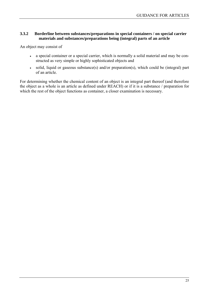#### <span id="page-24-1"></span><span id="page-24-0"></span>**3.3.2 Borderline between substances/preparations in special containers / on special carrier materials and substances/preparations being (integral) parts of an article**

An object may consist of

- a special container or a special carrier, which is normally a solid material and may be constructed as very simple or highly sophisticated objects and
- solid, liquid or gaseous substance(s) and/or preparation(s), which could be (integral) part of an article.

<span id="page-24-2"></span>For determining whether the chemical content of an object is an integral part thereof (and therefore the object as a whole is an article as defined under REACH) or if it is a substance / preparation for which the rest of the object functions as container, a closer examination is necessary.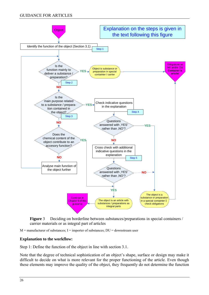#### <span id="page-25-0"></span>GUIDANCE FOR ARTICLES



**Figure** 3 Deciding on borderline between substances/preparations in special containers / carrier materials or as integral part of articles

<span id="page-25-1"></span> $M =$  manufacturer of substances;  $I =$  importer of substances;  $DU =$  downstream user

#### **Explanation to the workflow:**

Step 1: Define the function of the object in line with section 3.1.

Note that the degree of technical sophistication of an object's shape, surface or design may make it difficult to decide on what is more relevant for the proper functioning of the article. Even though these elements may improve the quality of the object, they frequently do not determine the function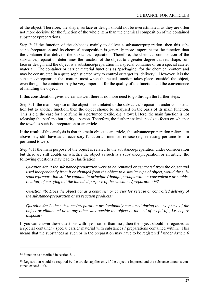<span id="page-26-0"></span>of the object. Therefore, the shape, surface or design should not be overestimated, as they are often not more decisive for the function of the whole item than the chemical composition of the contained substances/preparations.

Step 2: If the function of the object is mainly to deliver a substance/preparation, then this substance/preparation and its chemical composition is generally more important for the function than the container that delivers the substance/preparation. Therefore, the chemical composition of the substance/preparation determines the function of the object to a greater degree than its shape, surface or design, and the object is a substance/preparation in a special container or on a special carrier material. The container or carrier material functions as 'packaging' for the chemical content and may be constructed in a quite sophisticated way to control or target its 'delivery'. However, it is the substance/preparation that matters most when the actual function takes place 'outside' the object, even though the container may be very important for the quality of the function and the convenience of handling the object.

If this consideration gives a clear answer, there is no more need to go through the further steps.

Step 3: If the main purpose of the object is not related to the substance/preparation under consideration but to another function, then the object should be analysed on the basis of its main function. This is e.g. the case for a perfume in a perfumed textile, e.g. a towel. Here, the main function is not releasing the perfume but to dry a person. Therefore, the further analysis needs to focus on whether the towel as such is a preparation or an article.

If the result of this analysis is that the main object is an article, the substance/preparation referred to above may still have as an accessory function an intended release (e.g. releasing perfume from a perfumed towel).

Step 4: If the main purpose of the object is related to the substance/preparation under consideration but there are still doubts on whether the object as such is a substance/preparation or an article, the following questions may lead to clarification:

*Question 4a: If the substance/preparation were to be removed or separated from the object and used independently from it or changed from the object to a similar type of object, would the substance/preparation still be capable in principle (though perhaps without convenience or sophistication) of carrying out the intended purpose of the substance/preparation [14](#page-26-0)?* 

*Question 4b: Does the object act as a container or carrier for release or controlled delivery of the substance/preparation or its reaction products?* 

*Question 4c: Is the substance/preparation predominantly consumed during the use phase of the object or eliminated or in any other way outside the object at the end of useful life, i.e. before disposal?* 

If you can answer these questions with 'yes' rather than 'no', then the object should be regarded as a special container / special carrier material with substances / preparations contained within. This means that the substances as such or in the preparation may have to be registered<sup>15</sup> under Article 6

<sup>&</sup>lt;sup>14</sup> Function as described in section 3.1.

<sup>&</sup>lt;sup>15</sup> Registration would be required by the article supplier only if the object is imported and the substance amounts contained exceed 1 t/a.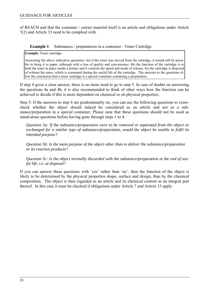<span id="page-27-0"></span>of REACH and that the container / carrier material itself is an article and obligations under Article 7(2) and Article 33 need to be complied with.

#### **Example 1** Substances / preparations in a container - Toner Cartridge

<span id="page-27-1"></span>*Example:* Toner cartridge

Answering the above indicative questions: 4a) if the toner was moved from the cartridge, it would still be possible to bring it to paper, although with a loss of quality and convenience; 4b) the function of the cartridge is to hold the toner in place inside a printer and it controls the speed and mode of release; 4c) the cartridge is disposed of without the toner, which is consumed during the useful life of the cartridge. The answers to the questions allow the conclusion that a toner cartridge is a special container containing a preparation.

If step 4 gives a clear answer, there is no more need to go to step 5. In case of doubts on answering the questions 4a and 4b, it is also recommended to think of other ways how the function can be achieved to decide if this is more dependent on chemical or on physical properties.

Step 5: If the answers to step 4 are predominantly no, you can use the following questions to crosscheck whether the object should indeed be considered as an article and not as a substance/preparation in a special container. Please note that these questions should not be used as stand-alone questions before having gone through steps 1 to 4.

*Question 5a: If the substance/preparation were to be removed or separated from the object or exchanged for a similar type of substance/preparation, would the object be unable to fulfil its intended purpose?* 

*Question 5b: Is the main purpose of the object other than to deliver the substance/preparation or its reaction products?* 

*Question 5c: Is the object normally discarded with the substance/preparation at the end of useful life, i.e. at disposal?* 

If you can answer these questions with 'yes' rather than 'no', then the function of the object is likely to be determined by the physical properties shape, surface and design, than by the chemical composition. The object is then regarded as an article and its chemical content as an integral part thereof. In this case it must be checked if obligations under Article 7 and Article 33 apply.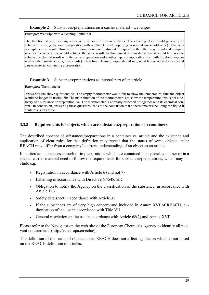#### <span id="page-28-0"></span>**Example 2** Substances/preparations on a carrier material - wet wipes

<span id="page-28-2"></span>*Example:* Wet wipe with a cleaning liquid in it

The function of wet cleaning wipes is to remove dirt from surfaces. The cleaning effect could generally be achieved by using the same preparation with another type of wipe (e.g. a normal household wipe). This is in principle a clear result. However, if in doubt, one could also ask the question the other way round and compare whether the wipe alone would achieve the same result. In this case it is considered that it would be easier to achieve the desired result with the same preparation and another type of wipe rather than with the dried wipe or with another substance (e.g. water only). Therefore, cleaning wipes should in general be considered as a special carrier material containing a preparation.

#### **Example 3** Substances/preparations as integral part of an article

<span id="page-28-3"></span>*Examples:* Thermometer

Answering the above questions: 5a: The empty thermometer would fail to show the temperature; thus the object would no longer be useful. 5b: The main function of the thermometer is to show the temperature, this is not a delivery of a substance or preparation. 5c: The thermometer is normally disposed of together with its chemical content. In conclusion, answering these questions leads to the conclusion that a thermometer (including the liquid it contains) is an article.

#### <span id="page-28-1"></span>**3.3.3 Requirements for objects which are substances/preparations in containers**

The described concept of substances/preparations in a container vs. article and the existence and application of clear rules for that definition may reveal that the status of some objects under REACH may differ from a company's current understanding of an object as an article.

In particular, substances as such or in preparations which are contained in a special container or in a special carrier material need to follow the requirements for substances/preparations, which may include e.g.

- Registration in accordance with Article 6 (and not 7)
- Labelling in accordance with Directive 67/548/EEC
- Obligation to notify the Agency on the classification of the substance, in accordance with Article 113
- Safety data sheet in accordance with Article 31
- If the substances are of very high concern and included in Annex XVI of REACH, authorisation of the use in accordance with Title VII
- General restriction on the use in accordance with Article 68(2) and Annex XVII

Please refer to the Navigator on the web-site of the European Chemicals Agency to identify all relevant requirements (http://ec.europa.eu/echa/).

The definition of the status of objects under REACH does not affect legislation which is not based on the REACH definition of articles.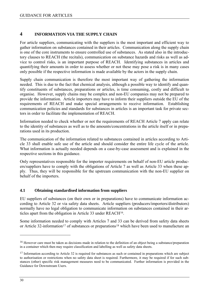#### <span id="page-29-1"></span><span id="page-29-0"></span>**4 INFORMATION VIA THE SUPPLY CHAIN**

For article suppliers, communicating with the suppliers is the most important and efficient way to gather information on substances contained in their articles. Communication along the supply chain is one of the core instruments to ensure controlled use of substances. As stated also in the introductory clauses to REACH (the recitals), communication on substance hazards and risks as well as advice to control risks, is an important purpose of REACH. Identifying substances in articles and quantifying their amounts in order to assess whether or not these may pose a risk is in many cases only possible if the respective information is made available by the actors in the supply chain.

Supply chain communication is therefore the most important way of gathering the information needed. This is due to the fact that chemical analysis, although a possible way to identify and quantify constituents of substances, preparations or articles, is time consuming, costly and difficult to organise. However, supply chains may be complex and non-EU companies may not be prepared to provide the information. Article importers may have to inform their suppliers outside the EU of the requirements of REACH and make special arrangements to receive information. Establishing communication policies and standards for substances in articles is an important task for private sectors in order to facilitate the implementation of REACH.

Information needed to check whether or not the requirements of REACH Article 7 apply can relate to the identity of substances as well as to the amounts/concentrations in the article itself or in preparations used in its production.

The communication of the information related to substances contained in articles according to Article 33 shall enable safe use of the article and should consider the entire life cycle of the article. What information is actually needed depends on a case-by-case assessment and is explained in the respective sections in this guidance.

Only representatives responsible for the importer requirements on behalf of non-EU article producers/suppliers have to comply with the obligations of Article 7 as well as Article 33 when these apply. Thus, they will be responsible for the upstream communication with the non-EU supplier on behalf of the importers.

#### <span id="page-29-2"></span>**4.1 Obtaining standardised information from suppliers**

EU suppliers of substances (on their own or in preparations) have to communicate information according to Article 32 or via safety data sheets. Article suppliers (producers/importers/distributors) normally have no legal obligation to communicate information on substances contained in their articles apart from the obligation in Article 33 under REACH[16.](#page-29-0)

Some information needed to comply with Articles 7 and 33 can be derived from safety data sheets or Article 32-information<sup>17</sup> of substances or preparations<sup>[18](#page-29-0)</sup> which have been used to manufacture an

<sup>&</sup>lt;sup>16</sup> However care must be taken as decisions made in relation to the definition of an object being a substance/preparation in a container which then may require classification and labelling as well as safety data sheets.

<span id="page-29-3"></span> $17$  Information according to Article 32 is required for substances as such or contained in preparations which are subject to authorisation or restrictions when no safety data sheet is required. Furthermore, it may be required if for such substances (other) specific risk management measures need to be communicated. Further information is provided in the Guidance for Downstream Users.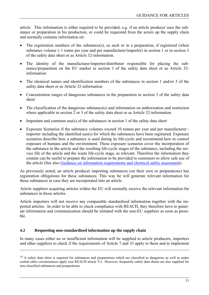<span id="page-30-0"></span>article. This information is either required to be provided, e.g. if an article producer uses the substance or preparation in his production, or could be requested from the actors up the supply chain and normally contains information on:

- The registration numbers of the substance(s), as such or in a preparation, if registered (when substance volume  $\geq 1$  tonne per year and per manufacturer/importer) in section 1 or in section 3 of the safety data sheet or as Article 32-information.
- The identity of the manufacturer/importer/distributor responsible for placing the substance/preparation on the EU market in section 1 of the safety data sheet or as Article 32 information
- The chemical names and identification numbers of the substances in section 1 and/or 3 of the safety data sheet or as Article 32-information
- Concentration ranges of dangerous substances in the preparation in section 3 of the safety data sheet
- The classification of the dangerous substance(s) and information on authorisation and restriction where applicable in section 2 or 3 of the safety data sheet or as Article 32-information
- Important and common use(s) of the substances in section 1 of the safety data sheet
- Exposure Scenarios if the substance volumes exceed 10 tonnes per year and per manufacturer / importer including the identified use(s) for which the substances have been registered. Exposure scenarios describe how a substance is used during its life-cycle and recommend how to control exposure of humans and the environment. These exposure scenarios cover the incorporation of the substance in the article and the resulting life-cycle stages of the substance, including the service life of the article and the waste life-cycle stage, as relevant. Therefore the information they contain can be useful to prepare the information to be provided to customers to allow safe use of the article (See also [Guidance on information requirements and chemical safety assessment\)](http://reach.jrc.it/public-2/getdoc.php?file=csr_en).

As previously noted, an article producer importing substances (on their own or preparations) has registration obligations for these substances. This way he will generate relevant information for those substances in case they are incorporated into an article.

Article suppliers acquiring articles within the EU will normally receive the relevant information for substances in those articles.

Article importers will not receive any comparable standardised information together with the imported articles. In order to be able to check compliance with REACH, they therefore have to generate information and communication should be initiated with the non-EU suppliers as soon as possible.

#### <span id="page-30-1"></span>**4.2 Requesting non-standardised information up the supply chain**

 $\overline{a}$ 

In many cases either no or insufficient information will be supplied to article producers, importers and other suppliers to check if the requirements of Article 7 and 33 apply to them and to implement

<sup>&</sup>lt;sup>18</sup> A safety data sheet is required for substances and preparations which are classified as dangerous as well as under certain other circumstances apply (see REACH article 31). However, frequently safety data sheets are also supplied for non-classified substances and preparations.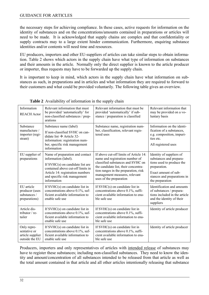<span id="page-31-0"></span>the necessary steps for achieving compliance. In these cases, active requests for information on the identity of substances and on the concentrations/amounts contained in preparations or articles will need to be made. It is acknowledged that supply chains are complex and that confidentiality or supply contracts may to a large extent hinder communication. Furthermore, enquiring substance identities and/or contents will need time and resources.

EU producers, importers and other EU-suppliers of articles can take similar steps to obtain information. [Table 2](#page-31-1) shows which actors in the supply chain have what type of information on substances and their amounts in the article. Normally only the direct supplier is known to the article producer or importer, thus requests may have to be forwarded up the supply chain.

It is important to keep in mind, which actors in the supply chain have what information on substances as such, in preparations and in articles and what information they are required to forward to their customers and what could be provided voluntarily. The following table gives an overview.

<span id="page-31-1"></span>

| Information<br><b>REACH Actor</b>                                 | Relevant information that must<br>be provided 'automatically' for<br>non-classified substances / prep-<br>arations                                                                                                    | Relevant information that must be<br>provided 'automatically' if sub-<br>stance / preparation is classified                                                                                                                                                | Relevant information that<br>may be provided on a vo-<br>luntary basis                                                                                                     |
|-------------------------------------------------------------------|-----------------------------------------------------------------------------------------------------------------------------------------------------------------------------------------------------------------------|------------------------------------------------------------------------------------------------------------------------------------------------------------------------------------------------------------------------------------------------------------|----------------------------------------------------------------------------------------------------------------------------------------------------------------------------|
| Substance<br>manufacture /<br>importer (regi-<br>strant)          | Substance name (label)<br>If non-classified SVHC on can-<br>didate list $\rightarrow$ Article 32-<br>information: registration num-<br>ber, specific risk management<br>information                                   | Substance name, registration num-<br>ber, classification, relevant regis-<br>tered uses                                                                                                                                                                    | Information on the identi-<br>fication of a substances,<br>e.g. composition, impuri-<br>ties etc.<br>All registered uses                                                   |
| EU supplier of<br>preparations                                    | Name of preparation and contact<br>information (label).<br>If $SVHC(s)$ on candidate list are<br>contained above cut-off limits in<br>Article 14: registration numbers<br>and specific risk management<br>information | If above cut-off limits of Article 14:<br>name and registration number of<br>classified substances and SVHC on<br>the candidate list, their concentra-<br>tion ranges in the preparation, risk<br>management measures, relevant<br>uses of the preparation | Identity of suppliers of<br>substances and prepara-<br>tions used to produce the<br>preparation.<br>Exact amount of sub-<br>stances and preparations in<br>the preparation |
| EU article<br>producer (uses<br>substances /<br>preparations)     | If SVHC(s) on candidate list in<br>concentrations above 0.1%, suf-<br>ficient available information to<br>enable safe use                                                                                             | If $SVHC(s)$ on candidate list in<br>concentrations above 0.1%, suffi-<br>cient available information to ena-<br>ble safe use                                                                                                                              | Identification and amounts<br>of substances / prepara-<br>tions included in the article<br>and the identity of their<br>suppliers                                          |
| Article dis-<br>tributor $/$ re-<br>tailer                        | If $SVHC(s)$ on candidate list in<br>concentrations above 0.1%, suf-<br>ficient available information to<br>enable safe use                                                                                           | If $SVHC(s)$ on candidate list in<br>concentrations above 0.1%, suffi-<br>cient available information to ena-<br>ble safe use                                                                                                                              | Identity of article producer                                                                                                                                               |
| Only repre-<br>sentative or<br>article supplier<br>outside the EU | If $SVHC(s)$ on candidate list in<br>concentrations above 0.1%, suf-<br>ficient available information to<br>enable safe use                                                                                           | If $SVHC(s)$ on candidate list in<br>concentrations above 0.1%, suffi-<br>cient available information to ena-<br>ble safe use                                                                                                                              | Identity of article producer                                                                                                                                               |

**Table 2** Availability of information in the supply chain

Producers, importers and only representatives of articles with intended release of substances may have to register these substances; including non-classified substances. They need to know the identity and amount/concentration of all substances intended to be released from that article as well as the total amount contained in that article and all other articles intentionally releasing that substance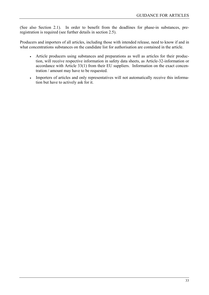(See also Section 2.1). In order to benefit from the deadlines for phase-in substances, preregistration is required (see further details in section [2.5\)](#page-16-2).

Producers and importers of all articles, including those with intended release, need to know if and in what concentrations substances on the candidate list for authorisation are contained in the article.

- Article producers using substances and preparations as well as articles for their production, will receive respective information in safety data sheets, as Article-32-information or accordance with Article 33(1) from their EU suppliers. Information on the exact concentration / amount may have to be requested.
- Importers of articles and only representatives will not automatically receive this information but have to actively ask for it.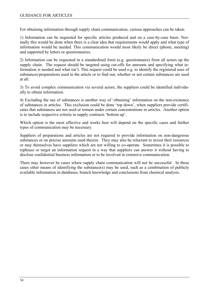For obtaining information through supply chain communication, various approaches can be taken:

1) Information can be requested for specific articles produced and on a case-by-case basis. Normally this would be done when there is a clear idea that requirements would apply and what type of information would be needed. This communication would most likely be direct (phone, meeting) and supported by letters or questionnaires.

2) Information can be requested in a standardised form (e.g. questionnaire) from all actors up the supply chain. The request should be targeted using cut-offs for amounts and specifying what information is needed and what isn't. This request could be used e.g. to identify the registered uses of substances/preparations used in the article or to find out, whether or not certain substances are used at all.

3) To avoid complex communication via several actors, the suppliers could be identified individually to obtain information.

4) Excluding the use of substances is another way of 'obtaining' information on the non-existence of substances in articles. This exclusion could be done 'top down', when suppliers provide certificates that substances are not used or remain under certain concentrations in articles. Another option is to include respective criteria in supply contracts 'bottom up'.

Which option is the most effective and works best will depend on the specific cases and further types of communication may be necessary.

Suppliers of preparations and articles are not required to provide information on non-dangerous substances or on precise amounts used therein. They may also be reluctant to invest their resources or may themselves have suppliers which are not willing to co-operate. Sometimes it is possible to rephrase or target an information request in a way that suppliers can answer it without having to disclose confidential business information or to be involved in extensive communication.

There may however be cases where supply chain communication will not be successful. In these cases other means of identifying the substance(s) may be used, such as a combination of publicly available information in databases, branch knowledge and conclusions from chemical analysis.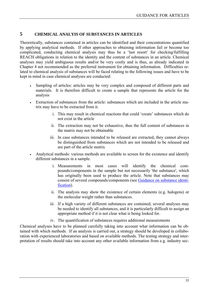#### <span id="page-34-1"></span><span id="page-34-0"></span>**5 CHEMICAL ANALYIS OF SUBSTANCES IN ARTICLES**

Theoretically, substances contained in articles can be identified and their concentrations quantified by applying analytical methods. If other approaches to obtaining information fail or become too complicated, conducting chemical analysis may thus be a 'last resort' for checking/fulfilling REACH obligations in relation to the identity and the content of substances in an article. Chemical analyses may yield ambiguous results and/or be very costly and is thus, as already indicated in Chapter 4 not recommended as the preferred instrument for obtaining information. Difficulties related to chemical analysis of substances will be faced relating to the following issues and have to be kept in mind in case chemical analyses are conducted:

- Sampling of articles: articles may be very complex and composed of different parts and materials. It is therefore difficult to create a sample that represents the article for the analysis
- Extraction of substances from the article: substances which are included in the article matrix may have to be extracted from it.
	- i. This may result in chemical reactions that could 'create' substances which do not exist in the article
	- ii. The extraction may not be exhaustive, thus the full content of substances in the matrix may not be obtainable
	- iii. In case substances intended to be released are extracted, they cannot always be distinguished from substances which are not intended to be released and are part of the article matrix
- <span id="page-34-2"></span>• Analytical methods: various methods are available to screen for the existence and identify different substances in a sample.
	- i. Measurements in most cases will identify the chemical compounds/components in the sample but not necessarily 'the substance', which has originally been used to produce the article. Note that substances may consist of several compounds/components (see [Guidance on substance identi](http://reach.jrc.it/public-2/getdoc.php?file=substance_id_en)[ficatio](http://reach.jrc.it/public-2/getdoc.php?file=substance_id_en)n).
	- ii. The analysis may show the existence of certain elements (e.g. halogens) or the molecular weight rather than substances.
	- iii. If a high variety of different substances are contained, several analyses may be needed to identify all substances, and it is particularly difficult to assign an appropriate method if it is not clear what is being looked for.
	- iv. The quantification of substances requires additional measurements

Chemical analyses have to be planned carefully taking into account what information can be obtained with which methods. If an analysis is carried out, a strategy should be developed in collaboration with experienced laboratories and based on available methods. The testing strategy and interpretation of results should take into account any other available information from e.g. industry sec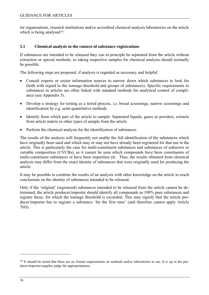<span id="page-35-0"></span>tor organisations, research institutions and/or accredited chemical analysis laboratories on the article which is being analysed<sup>[19](#page-35-0)</sup>.

#### <span id="page-35-1"></span>**5.1 Chemical analysis in the context of substance registrations**

If substances are intended to be released they can in principle be separated from the article without extraction or special methods, so taking respective samples for chemical analysis should normally be possible.

The following steps are proposed, if analysis is regarded as necessary and helpful:

- Consult experts or sector information sources to narrow down which substances to look for (both with regard to the tonnage threshold and groups of substances). Specific requirements to substances in articles are often linked with standard methods for analytical control of compliance (see Appendix 5).
- Develop a strategy for testing as a tiered process, i.e. broad screenings, narrow screenings and identification by e.g. semi-quantitative methods
- Identify from which part of the article to sample: Separated liquids, gases or powders, extracts from article matrix or other types of sample from the article
- Perform the chemical analysis for the identification of substances

The results of the analysis will frequently not enable the full identification of the substances which have originally been used and which may or may not have already been registered for that use in the article. This is particularly the case for multi-constituent substances and substances of unknown or variable composition (UVCBs), as it cannot be seen which compounds have been constituents of multi-constituent substances or have been impurities etc. Thus, the results obtained from chemical analysis may differ from the exact identity of substances that were originally used for producing the article.

It may be possible to combine the results of an analysis with other knowledge on the article to reach conclusions on the identity of substances intended to be released.

Only if the 'original' (registered) substances intended to be released from the article cannot be determined, the article producer/importer should identify all compounds as 100% pure substances and register those, for which the tonnage threshold is exceeded. This may signify that the article producer/importer has to register a substance 'for the first time' (and therefore cannot apply Article 7(6)).

<sup>&</sup>lt;sup>19</sup> It should be noted that there are no formal requirements on methods and/or laboratories to use. It is up to the producer/importer/supplier judge the appropriateness.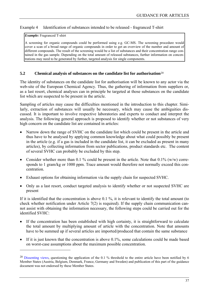### <span id="page-36-0"></span>Example 4 Identification of substances intended to be released - fragranced T-shirt

#### *Example:* Fragranced T-shirt

 $\overline{a}$ 

A screening for organic compounds could be performed using e.g. GC-MS. The screening procedure would cover a scan of a broad range of organic compounds in order to get an overview of the number and amount of different compounds. The result of the screening would be a list of substances and their concentration range contained in the gas sample. Depending on the total amount of released substances, further information on concentrations may need to be generated by further, targeted analysis for single components.

#### <span id="page-36-1"></span>**5.2 Chemical analysis of substances on the candidate list for authorisation**[20](#page-36-0)

The identity of substances on the candidate list for authorisation will be known to any actor via the web-site of the European Chemical Agency. Thus, the gathering of information from suppliers or, as a last resort, chemical analyses can in principle be targeted at those substances on the candidate list which are suspected to be present in the article.

Sampling of articles may cause the difficulties mentioned in the introduction to this chapter. Similarly, extraction of substances will usually be necessary, which may cause the ambiguities discussed. It is important to involve respective laboratories and experts to conduct and interpret the analysis. The following general approach is proposed to identify whether or not substances of very high concern on the candidate list are contained in articles:

- Narrow down the range of SVHC on the candidate list which could be present in the article and thus have to be analysed by applying common knowledge about what could possibly be present in the article (e.g. if a gas is included in the candidate list, it can be excluded as present in many articles), by collecting information from sector publications, product standards etc. The content of several SVHC can probably be excluded by this step.
- Consider whether more than 0.1 % could be present in the article. Note that  $0.1\%$  (w/w) corresponds to 1 gram/kg or 1000 ppm. Trace amount would therefore not normally exceed this concentration.
- Exhaust options for obtaining information via the supply chain for suspected SVHC.
- Only as a last resort, conduct targeted analysis to identify whether or not suspected SVHC are present

If it is identified that the concentration is above 0.1 %, it is relevant to identify the total amount (to check whether notification under Article  $7(2)$  is required). If the supply chain communication cannot assist with obtaining the information necessary, the following steps could be carried out for the identified SVHC:

- If the concentration has been established with high certainty, it is straightforward to calculate the total amount by multiplying amount of article with the concentration. Note that amounts have to be summed up if several articles are imported/produced that contain the same substance
- If it is just known that the concentration is above  $0.1\%$ , some calculations could be made based on worst-case assumptions about the maximum possible concentration.

<sup>&</sup>lt;sup>20</sup> Dissenting views, questioning the application of the 0.1 % threshold to the entire article have been notified by 6 Member States (Austria, Belgium, Denmark, France, Germany and Sweden) and publication of this part of the guidance document was not endorsed by these Member States.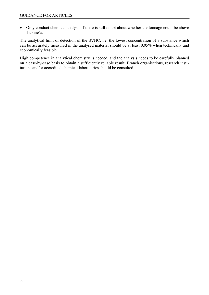• Only conduct chemical analysis if there is still doubt about whether the tonnage could be above 1 tonne/a.

The analytical limit of detection of the SVHC, i.e. the lowest concentration of a substance which can be accurately measured in the analysed material should be at least 0.05% when technically and economically feasible.

High competence in analytical chemistry is needed, and the analysis needs to be carefully planned on a case-by-case basis to obtain a sufficiently reliable result. Branch organisations, research institutions and/or accredited chemical laboratories should be consulted.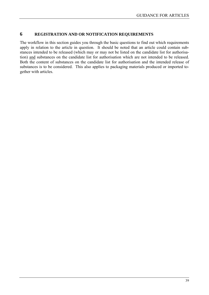# **6 REGISTRATION AND OR NOTIFICATION REQUIREMENTS**

The workflow in this section guides you through the basic questions to find out which requirements apply in relation to the article in question. It should be noted that an article could contain substances intended to be released (which may or may not be listed on the candidate list for authorisation) and substances on the candidate list for authorisation which are not intended to be released. Both the content of substances on the candidate list for authorisation and the intended release of substances is to be considered. This also applies to packaging materials produced or imported together with articles.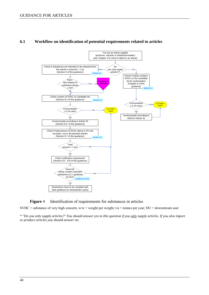

### **6.1 Workflow on identification of potential requirements related to articles**

**Figure** 4 Identification of requirements for substances in articles

SVHC = substance of very high concern;  $w/w =$  weight per weight;  $t/a =$  tonnes per year; DU = downstream user

*\* "Do you only supply articles?" You should answer yes to this question if you only supply articles. If you also import or produce articles you should answer no.*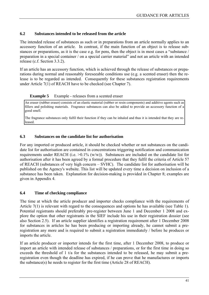# **6.2 Substances intended to be released from the article**

The intended release of substances as such or in preparations from an article normally applies to an accessory function of an article. In contrast, if the main function of an object is to release substances or preparations, as it is the case e.g. for pens, then the object is in most cases a "substance / preparation in a special container / on a special carrier material" and not an article with an intended release (c.f. Section [3.3.2](#page-24-0)).

If an article has an accessory function, which is achieved through the release of substances or preparations during normal and reasonably foreseeable conditions use (e.g. a scented eraser) then the release is to be regarded as intended. Consequently for these substances registration requirements under Article 7(1) of REACH have to be checked (see Chapter [7\)](#page-41-0).

# **Example 5** Example - releases from a scented eraser

An eraser (rubber eraser) consists of an elastic material (rubber or resin components) and additive agents such as fillers and polishing materials. Fragrance substances can also be added to provide an accessory function of a good smell.

The fragrance substances only fulfil their function if they can be inhaled and thus it is intended that they are released.

# **6.3 Substances on the candidate list for authorisation**

For any imported or produced article, it should be checked whether or not substances on the candidate list for authorisation are contained in concentrations triggering notification and communication requirements under REACH (i.e.  $>0.1\%$  (w/w)). Substances are included on the candidate list for authorisation after it has been agreed by a formal procedure that they fulfil the criteria of Article 57 of REACH (substances of very high concern – SVHC). The candidate list for authorisation will be published on the Agency's website. This list will be updated every time a decision on inclusion of a substance has been taken. Explanation for decision-making is provided in Chapter [8](#page-50-0); examples are given in Appendix 4.

# <span id="page-40-0"></span>**6.4 Time of checking compliance**

The time at which the article producer and importer checks compliance with the requirements of Article 7(1) is relevant with regard to the consequences and options he has available (see [Table 1\)](#page-18-0). Potential registrants should preferably pre-register between June 1 and December 1 2008 and explore the option that other registrants in the SIEF include his use in their registration dossier (see also Section [2.5](#page-16-0)). If an article supplier identifies a registration requirement after 1 December 2008 for substances in articles he has been producing or importing already, he cannot submit a preregistration any more and is required to submit a registration immediately / before he produces or imports the article.

If an article producer or importer intends for the first time, after 1 December 2008, to produce or import an article with intended release of substances / preparations, or for the first time in doing so exceeds the threshold of 1 t/a for the substances intended to be released, he may submit a preregistration even though the deadline has expired, if he can prove that he manufactures or imports the substance(s) he needs to register for the first time (Article 28 of REACH).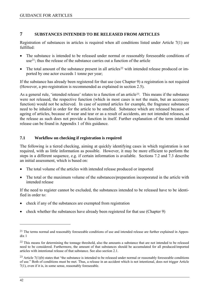# <span id="page-41-2"></span><span id="page-41-1"></span>**7 SUBSTANCES INTENDED TO BE RELEASED FROM ARTICLES**

Registration of substances in articles is required when all conditions listed under Article 7(1) are  $fulled$ 

- The substance is intended to be released under normal or reasonably foreseeable conditions of use[21](#page-41-1); thus the release of the substance carries out a function of the article
- The total amount of the substance present in all articles<sup>[22](#page-41-1)</sup> with intended release produced or imported by one actor exceeds 1 tonne per year;

If the substance has already been registered for that use (see Chapter [9\)](#page-61-0) a registration is not required (However, a pre-registration is recommended as explained in section 2.5).

As a general rule, 'intended release' relates to a function of an article<sup>23</sup>. This means if the substance were not released, the respective function (which in most cases is not the main, but an accessory function) would not be achieved. In case of scented articles for example, the fragrance substances need to be inhaled in order for the article to be smelled. Substance which are released because of ageing of articles, because of wear and tear or as a result of accidents, are not intended releases, as the release as such does not provide a function in itself. Further explanation of the term intended release can be found in Appendix 1 of this guidance.

# **7.1 Workflow on checking if registration is required**

The following is a tiered checking, aiming at quickly identifying cases in which registration is not required, with as little information as possible. However, it may be more efficient to perform the steps in a different sequence, e.g. if certain information is available. Sections [7.2](#page-42-0) and [7.3](#page-43-0) describe an initial assessment, which is based on:

- The total volume of the articles with intended release produced or imported
- The total or the maximum volume of the substances/preparation incorporated in the article with intended release

If the need to register cannot be excluded, the substances intended to be released have to be identified in order to:

- check if any of the substances are exempted from registration
- check whether the substances have already been registered for that use (Chapter [9](#page-61-0))

<sup>&</sup>lt;sup>21</sup> The terms normal and reasonably foreseeable conditions of use and intended release are further explained in Appendix 1

<sup>&</sup>lt;sup>22</sup> This means for determining the tonnage threshold, also the amounts a substance that are not intended to be released need to be considered. Furthermore, the amount of that substances should be accumulated for all produced/imported articles with intentional release of that substance. See also section 2.1.

<span id="page-41-0"></span><sup>&</sup>lt;sup>23</sup> Article 7(1)(b) states that "the substance is intended to be released under normal or reasonably foreseeable conditions of use." Both of conditions must be met. Thus, a release in an accident which is not intentional, does not trigger Article 7(1), even if it is, in some sense, reasonably foreseeable.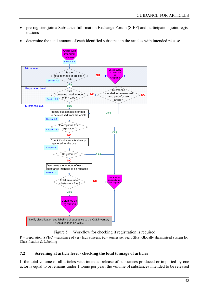- pre-register, join a Substance Information Exchange Forum (SIEF) and participate in joint registrations
- determine the total amount of each identified substance in the articles with intended release.



Figure 5 Workflow for checking if registration is required

 $P =$  preparation; SVHC = substance of very high concern;  $t/a =$  tonnes per year; GHS: Globally Harmonised System for Classification & Labelling

# <span id="page-42-0"></span>**7.2 Screening at article level - checking the total tonnage of articles**

If the total volume of all articles with intended release of substances produced or imported by one actor is equal to or remains under 1 tonne per year, the volume of substances intended to be released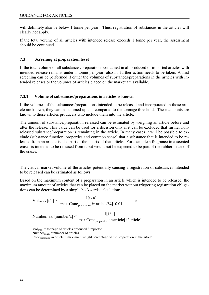will definitely also be below 1 tonne per year. Thus, registration of substances in the articles will clearly not apply.

If the total volume of all articles with intended release exceeds 1 tonne per year, the assessment should be continued.

# <span id="page-43-0"></span>**7.3 Screening at preparation level**

If the total volume of all substances/preparations contained in all produced or imported articles with intended release remains under 1 tonne per year, also no further action needs to be taken. A first screening can be performed if either the volumes of substances/preparations in the articles with intended releases or the volumes of articles placed on the market are available.

# **7.3.1 Volume of substances/preparations in articles is known**

If the volumes of the substances/preparations intended to be released and incorporated in those article are known, they can be summed up and compared to the tonnage threshold. These amounts are known to those articles producers who include them into the article.

The amount of substance/preparation released can be estimated by weighing an article before and after the release. This value can be used for a decision only if it can be excluded that further nonreleased substance/preparation is remaining in the article. In many cases it will be possible to exclude (substance function, properties and common sense) that a substance that is intended to be released from an article is also part of the matrix of that article. For example a fragrance in a scented eraser is intended to be released from it but would not be expected to be part of the rubber matrix of the eraser.

The critical market volume of the articles potentially causing a registration of substances intended to be released can be estimated as follows:

Based on the maximum content of a preparation in an article which is intended to be released, the maximum amount of articles that can be placed on the market without triggering registration obligations can be determined by a simple backwards calculation:

$$
Vol_{\text{article}} [t/a] < \frac{1[t/a]}{\max \text{Conc}_{\text{preparation}} \text{ in article}[\%]\cdot 0.01} \qquad \text{or}
$$
\n
$$
Number_{\text{article}} \text{ [number/a]} < \frac{1[t/a]}{\max \text{Conc}_{\text{preparation}} \text{ in article}[t/\text{article}]}
$$

 $Vol<sub>article</sub> = \text{tonnage of articles produced } / \text{ imported}$ Number<sub>article</sub> = number of articles  $Conc_{preparation}$  in article = maximum weight percentage of the preparation in the article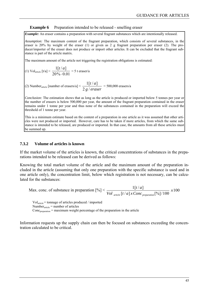#### **Example 6** Preparation intended to be released - smelling eraser

*Example:* An eraser contains a preparation with several fragrant substances which are intentionally released.

*Assumption:* The maximum content of the fragrant preparation, which consists of several substances, in the eraser is 20% by weight of the eraser (1) or given as 2 g fragrant preparation per eraser (2). The producer/importer of the eraser does not produce or import other articles. It can be excluded that the fragrant substance is part of the article matrix.

The maximum amount of the article not triggering the registration obligations is estimated:

(1) Vol<sub>article</sub> 
$$
[t/a] < \frac{1[t/a]}{20\% \cdot 0.01} = 5 \text{ t eraser/a}
$$

(2) Number<sub>article</sub> [number of erasers/a]  $\leq \frac{2 \cdot 10^{16}}{2 \cdot 10^{16}}$ *at*  $2g/$  $\frac{1[t/a]}{1}$  = 500,000 erasers/a

*Conclusion:* The estimation shows that as long as the article is produced or imported below 5 tonnes per year or the number of erasers is below 500,000 per year, the amount of the fragrant preparation contained in the eraser remains under 1 tonne per year and thus none of the substances contained in the preparation will exceed the threshold of 1 tonne per year.

This is a minimum estimate based on the content of a preparation in one article as it was assumed that other articles were not produced or imported. However, care has to be taken if more articles, from which the same substance is intended to be released, are produced or imported. In that case, the amounts from all these articles must be summed up.

#### **7.3.2 Volume of articles is known**

If the market volume of the articles is known, the critical concentrations of substances in the preparations intended to be released can be derived as follows:

Knowing the total market volume of the article and the maximum amount of the preparation included in the article (assuming that only one preparation with the specific substance is used and in one article only), the concentration limit, below which registration is not necessary, can be calculated for the substances:

Max. conc. of substance in preparation 
$$
[%]
$$
  $\leq \frac{1[t/a]}{Vol_{article}[t/a] \times Conc_{preparation}[%]/100} \times 100$ 

 $Vol<sub>article</sub> = \text{tonnage of articles produced } / \text{ imported}$ Number $_{\text{article}}$  = number of articles  $Conc_{preparation} =$  maximum weight percentage of the preparation in the article

Information requests up the supply chain can then be focused on substances exceeding the concentration calculated to be critical.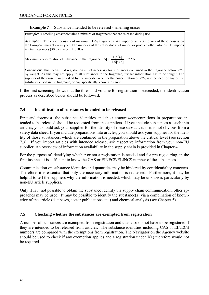### **Example 7** Substance intended to be released - smelling eraser

*Example:* A smelling eraser contains a mixture of fragrances that are released during use.

*Assumption:* The eraser consists of maximum 15% fragrances. An importer sells 30 tonnes of these erasers on the European market every year: The importer of the eraser does not import or produce other articles. He imports 4.5 t/a fragrances (30 t/a eraser x 15/100)

Maximum concentration of substance in the fragrance  $[\%]< \frac{1[t/a]}{4.5[t/a]} = 22\%$ 

*Conclusion:* This means that registration is not necessary for substances contained in the fragrance below 22% by weight. As this may not apply to all substances in the fragrance, further information has to be sought. The supplier of the eraser can be asked by the importer whether the concentration of 22% is exceeded for any of the substances used in the fragrance, or any specifically know substance.

If the first screening shows that the threshold volume for registration is exceeded, the identification process as described below should be followed.

### **7.4 Identification of substances intended to be released**

First and foremost, the substance identities and their amounts/concentrations in preparations intended to be released should be requested from the suppliers. If you include substances as such into articles, you should ask your supplier for the identity of these substances if it is not obvious from a safety data sheet. If you include preparations into articles, you should ask your supplier for the identity of those substances, which are contained in the preparation above the critical level (see section [7.3\)](#page-43-0). If you import articles with intended release, ask respective information from your non-EU supplier. An overview of information availability in the supply chain is provided in Chapter [4](#page-29-0).

For the purpose of identifying whether or not a registration is needed and for pre-registering, in the first instance it is sufficient to know the CAS or EINECS/ELINCS number of the substances.

Communication on substance identities and quantities may be hindered by confidentiality concerns. Therefore, it is essential that only the necessary information is requested. Furthermore, it may be helpful to tell the suppliers why the information is needed, which may be unknown, particularly by non-EU article suppliers.

Only if is it not possible to obtain the substance identity via supply chain communication, other approaches may be used. It may be possible to identify the substance(s) via a combination of knowledge of the article (databases, sector publications etc.) and chemical analysis (see Chapter [5\)](#page-34-0).

### **7.5 Checking whether the substances are exempted from registration**

A number of substances are exempted from registration and thus also do not have to be registered if they are intended to be released from articles. The substance identities including CAS or EINECS numbers are compared with the exemptions from registration. The Navigator on the Agency website should be used to check if any exemption applies and a registration under 7(1) therefore would not be required.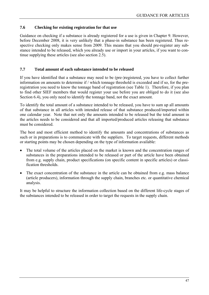# <span id="page-46-0"></span>**7.6 Checking for existing registration for that use**

Guidance on checking if a substance is already registered for a use is given in Chapter [9](#page-61-0). However, before December 2008, it is very unlikely that a phase-in substance has been registered. Thus respective checking only makes sense from 2009. This means that you should pre-register any substance intended to be released, which you already use or import in your articles, if you want to continue supplying these articles (see also section 2.5).

## **7.7 Total amount of each substance intended to be released**

If you have identified that a substance may need to be (pre-)registered, you have to collect further information on amounts to determine if / which tonnage threshold is exceeded and if so, for the preregistration you need to know the tonnage band of registration (see Table 1). Therefore, if you plan to find other SIEF members that would register your use before you are obliged to do it (see also Section [6.4\)](#page-40-0), you only need to identify the tonnage band, not the exact amount.

To identify the total amount of a substance intended to be released, you have to sum up all amounts of that substance in all articles with intended release of that substance produced/imported within one calendar year. Note that not only the amounts intended to be released but the total amount in the articles needs to be considered and that all imported/produced articles releasing that substance must be considered.

The best and most efficient method to identify the amounts and concentrations of substances as such or in preparations is to communicate with the suppliers. To target requests, different methods or starting points may be chosen depending on the type of information available:

- The total volume of the articles placed on the market is known and the concentration ranges of substances in the preparations intended to be released or part of the article have been obtained from e.g. supply chain, product specifications (on specific content in specific articles) or classification thresholds.
- The exact concentration of the substance in the article can be obtained from e.g. mass balance (article producers), information through the supply chain, branches etc. or quantitative chemical analysis.

It may be helpful to structure the information collection based on the different life-cycle stages of the substances intended to be released in order to target the requests in the supply chain.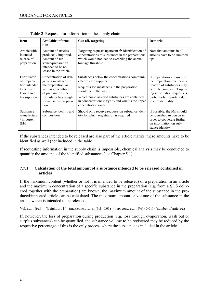| <b>Item</b>                                                                            | Available informa-<br>tion                                                                                                                                                       | Cut-off, targeting                                                                                                                                                                                                                                                             | <b>Remarks</b>                                                                                                                                                                                             |  |  |  |  |
|----------------------------------------------------------------------------------------|----------------------------------------------------------------------------------------------------------------------------------------------------------------------------------|--------------------------------------------------------------------------------------------------------------------------------------------------------------------------------------------------------------------------------------------------------------------------------|------------------------------------------------------------------------------------------------------------------------------------------------------------------------------------------------------------|--|--|--|--|
| Article with<br>intended<br>release of<br>preparation                                  | Amount of articles<br>produced / imported.<br>Amount of sub-<br>stance/preparation<br>intended to be re-<br>leased in the article                                                | Targeting requests upstream $\rightarrow$ identification of<br>concentrations of substances in the preparations<br>which would not lead to exceeding the annual<br>tonnage threshold                                                                                           | Note that amounts in all<br>articles have to be summed<br>up!                                                                                                                                              |  |  |  |  |
| Formulator<br>of prepara-<br>tion intended<br>to be re-<br>leased and<br>his suppliers | Concentration of dan-<br>gerous substances in<br>the preparation, as<br>well as concentration<br>of preparations the<br>formulator has bought<br>for use in his prepara-<br>tion | Substances below the concentrations communi-<br>cated by the supplier.<br>Requests for substances in the preparation<br>should be in the way:<br>Which non-classified substances are contained<br>in concentrations $>$ xyz $\%$ and what is the upper<br>concentration range. | If preparations are used in<br>the preparation, the identi-<br>fication of substances may<br>be quite complex. Target-<br>ing information requests is<br>particularly important due<br>to confidentiality. |  |  |  |  |
| Substance<br>manufacturer<br>/ importer<br>(M/I)                                       | Substance identity and<br>composition                                                                                                                                            | Should only receive requests on substance iden-<br>tity for which registration is required                                                                                                                                                                                     | If possible, the M/I should<br>be identified in person in<br>order to cooperate further<br>on information on sub-<br>stance identity                                                                       |  |  |  |  |

|  |  | <b>Table 3</b> Requests for information in the supply chain |
|--|--|-------------------------------------------------------------|
|  |  |                                                             |

If the substances intended to be released are also part of the article matrix, these amounts have to be identified as well (not included in the table).

If requesting information in the supply chain is impossible, chemical analysis may be conducted to quantify the amounts of the identified substances (see Chapter [5.1](#page-35-0)).

### **7.7.1 Calculation of the total amount of a substance intended to be released contained in articles**

If the maximum content (whether or not it is intended to be released) of a preparation in an article and the maximum concentration of a specific substance in the preparation (e.g. from a SDS delivered together with the preparation) are known, the maximum amount of the substance in the produced/imported article can be calculated. The maximum amount or volume of the substance in the article which is intended to be released is:

 $Vol_{substance} [t/a] =$   $\cdot$  Weight<sub>article</sub> [t]  $\cdot$  (max.conc.<sub>preparation</sub> [%]  $\cdot$  0.01)  $\cdot$  (max.conc<sub>substance</sub> [%]  $\cdot$  0.01)  $\cdot$  (number of article/a)

If, however, the loss of preparation during production (e.g. loss through evaporation, wash out or surplus substances) can be quantified, the substance volume to be registered may be reduced by the respective percentage, if this is the only process where the substance is included in the article.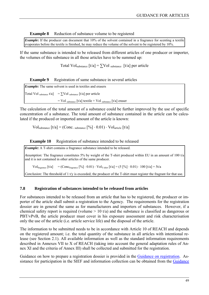**Example 8** Reduction of substance volume to be registered

*Example*: If the producer can document that 10% of the solvent contained in a fragrance for scenting a textile evaporates before the textile is finished, he may reduce the volume of the solvent to be registered by 10%.

If the same substance is intended to be released from different articles of one producer or importer, the volumes of this substance in all those articles have to be summed up:

Total Vol<sub>substance</sub>  $\lceil t/a \rceil = \sum$ Vol <sub>substance</sub>  $\lceil t/a \rceil$  per article

**Example 9** Registration of same substance in several articles

*Example:* The same solvent is used in textiles and erasers Total Vol substance t/a] =  $\sum$ Vol substance [t/a] per article  $=$  Vol substance  $\lceil t/a \rceil$  textile + Vol substance  $\lceil t/a \rceil$  eraser

The calculation of the total amount of a substance could be further improved by the use of specific concentration of a substance. The total amount of substance contained in the article can be calculated if the produced or imported amount of the article is known:

 $Vol<sub>substance</sub> [t/a] = (Conc. <sub>substance</sub> [%] \cdot 0.01) \cdot Vol<sub>article</sub> [t/a]$ 

**Example 10** Registration of substance intended to be released

*Example:* A T-shirt contains a fragrance substance intended to be released.

*Assumption:* The fragrance constitutes 5% by weight of the T-shirt produced within EU in an amount of 100 t/a and it is not contained in other articles of the same producer.

 $Vol_{\text{fraernce}} [t/a] = (Conc_{\text{fraernace}} [%] \cdot 0.01) \cdot Vol_{\text{T-shift}} [t/a] = (5 [%] \cdot 0.01) \cdot 100 [t/a] = 5t/a$ 

*Conclusion:* The threshold of 1 t/y is exceeded; the producer of the T-shirt must register the fragrant for that use.

### **7.8 Registration of substances intended to be released from articles**

For substances intended to be released from an article that has to be registered, the producer or importer of the article shall submit a registration to the Agency. The requirements for the registration dossier are in general the same as for manufacturers and importers of substances. However, if a chemical safety report is required (volume  $> 10$  t/a) and the substance is classified as dangerous or PBT/vPvB, the article producer must cover in his exposure assessment and risk characterisation only the use of the article (i.e. article service life) and the disposal of the article.

The information to be submitted needs to be in accordance with Article 10 of REACH and depends on the registered amount; i.e. the total quantity of the substance in all articles with intentional release (see Section [2.1\)](#page-14-0). All available information as well as the standard information requirements described in Annexes VII to X of REACH (taking into account the general adaptation rules of Annex XI and the criteria of Annex III) shall be collected and submitted for the registration.

Guidance on how to prepare a registration dossier is provided in the [Guidance on registration](http://reach.jrc.it/public-2/getdoc.php?file=registration_en). Assistance for participation in the SIEF and information collection can be obtained from the [Guidance](http://reach.jrc.it/public-2/getdoc.php?file=pre-registration_en)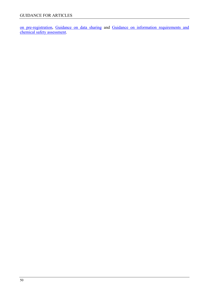on pre-registration, [Guidance on data sharing](http://reach.jrc.it/public-2/getdoc.php?file=data_sharing_en) and [Guidance on information requirements and](http://reach.jrc.it/public-2/getdoc.php?file=csr_en)  [chemical safety assessment](http://reach.jrc.it/public-2/getdoc.php?file=csr_en).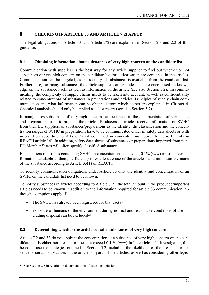# <span id="page-50-1"></span><span id="page-50-0"></span>**8 CHECKING IF ARTICLE 33 AND ARTICLE 7(2) APPLY**

The legal obligations of Article 33 and Article 7(2) are explained in Section [2.3](#page-15-0) and [2.2](#page-15-1) of this guidance.

#### **8.1 Obtaining information about substances of very high concern on the candidate list**

Communication with suppliers is the best way for any article supplier to find out whether or not substances of very high concern on the candidate list for authorisation are contained in the articles. Communication can be targeted, as the identity of substances is available from the candidate list. Furthermore, for many substances the article supplier can exclude their presence based on knowledge on the substance itself, as well as information on the article (see also Section [5.2\)](#page-36-1). In communicating, the complexity of supply chains needs to be taken into account, as well as confidentiality related to concentrations of substances in preparations and articles. Principles of supply chain communication and what information can be obtained from which actors are explained in Chapter [4.](#page-29-0) Chemical analysis should only be applied as a last resort (see also Section [5.2](#page-36-1)).

In many cases substances of very high concern can be traced in the documentation of substances and preparations used to produce the article. Producers of articles receive information on SVHC from their EU suppliers of substances/preparations as the identity, the classification and the concentration ranges of SVHC in preparations have to be communicated either in safety data sheets or with information according to Article 32 (if contained in concentrations above the cut-off limits in REACH article 14). In addition, safety data sheets of substances or preparations imported from non-EU Member States will often specify classified substances.

EU suppliers of articles containing SVHC in concentrations exceeding 0.1% (w/w) must deliver information available to them, sufficiently to enable safe use of the articles, as a minimum the name of the substance according to Article 33(1) of REACH.

To identify communication obligations under Article 33 only the identity and concentration of an SVHC on the candidate list need to be known.

To notify substances in articles according to Article 7(2), the total amount in the produced/imported articles needs to be known in addition to the information required for article 33 communication, although exemptions apply if

- The SVHC has already been registered for that use(s)
- exposure of humans or the environment during normal and reasonable conditions of use including disposal can be excluded<sup>24</sup>

### <span id="page-50-2"></span>**8.2 Determining whether the article contains substances of very high concern**

Article 7.2 and 33 do not apply if the concentration of a substance of very high concern on the candidate list is either not present or does not exceed 0.1 % (w/w) in his articles. In investigating this he could use the strategies outlined in Section [5.2,](#page-36-1) including the likelihood of the presence or absence of certain substances in the articles or parts of the articles, as well as considering other legis-

<sup>24</sup> See Section 2.8 in relation to documentation of such a conclusion.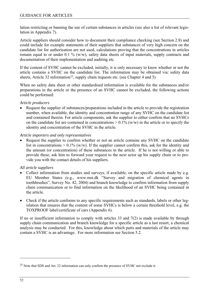<span id="page-51-0"></span>lation restricting or banning the use of certain substances in articles (see also a list of relevant legislation in Appendix 7).

Article suppliers should consider how to document their compliance checking (see Section [2.8\)](#page-19-0) and could include for example statements of their suppliers that substances of very high concern on the candidate list for authorisation are not used, calculations proving that the concentrations in articles remain equal to or under 0.1 % (w/w), safety data sheets of input materials, supply contracts and documentation of their implementation and auditing etc.

If the content of SVHC cannot be excluded, initially, it is only necessary to know whether or not the article contains a SVHC on the candidate list. The information may be obtained via: safety data sheets, Article 32 information<sup>25</sup>, supply chain requests etc. (see Chapter [4](#page-29-0) and [5\)](#page-34-0)

When no safety data sheet or other standardised information is available for the substances and/or preparations in the article or the presence of an SVHC cannot be excluded, the following actions could be performed:

#### *Article producers*

• Request the supplier of substances/preparations included in the article to provide the registration number, when available, the identity and concentration range of any SVHC on the candidate list and contained therein. For article components, ask the supplier to either confirm that no SVHCs on the candidate list are contained in concentrations  $> 0.1\%$  (w/w) in the article or to specify the identity and concentration of the SVHC in the article.

#### *Article importers and only representatives*

Request the supplier to confirm whether or not an article contains any SVHC on the candidate list in concentrations  $> 0.1\%$  (w/w). If the supplier cannot confirm this, ask for the identity and the amount (or concentration) of these substances in the article. If he is not willing or able to provide these, ask him to forward your request to the next actor up his supply chain or to provide you with the contact details of his suppliers.

### *All article suppliers*

- Collect information from studies and surveys, if available, on the specific article made by e.g. EU Member States (e.g., www.mst.dk "Survey and migration of chemical agents in toothbrushes", Survey No. 42, 2004) and branch knowledge to confirm information from supply chain communication or to find information on the likelihood of an SVHC being contained in the article.
- Check if the article conforms to any specific requirements such as standards, labels or other legislation that ensures that the content of some SVHCs is below a certain threshold level, e.g. the TOXPROOF label/certificate of cars (Appendix 6).

If no or insufficient information to comply with articles 33 and  $7(2)$  is made available by through supply chain communication and branch knowledge for a specific article as a last resort, a chemical analysis may be conducted. For this, knowledge about which parts and materials of the article may contain a SVHC is an advantage. For more information see Section [5.2.](#page-36-1)

<sup>25</sup> Note that SDS and Art. 32 information can only confirm the presence of SVHC not exclude it.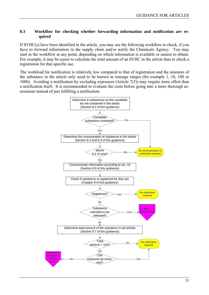### **8.3 Workflow for checking whether forwarding information and notification are required**

If SVHC(s) have been identified in the article, you may use the following workflow to check, if you have to forward information in the supply chain and/or notify the Chemicals Agency. You may start in the workflow at any point, depending on which information is available or easiest to obtain. For example, it may be easier to calculate the total amount of an SVHC in the article than to check a registration for that specific use.

The workload for notification is relatively low compared to that of registration and the amounts of the substance in the article only need to be known in tonnage ranges (for example 1, 10, 100 or 1000). Avoiding a notification by excluding exposures (Article 7(3)) may require more effort than a notification itself. It is recommended to evaluate the costs before going into a more thorough assessment instead of just fulfilling a notification.

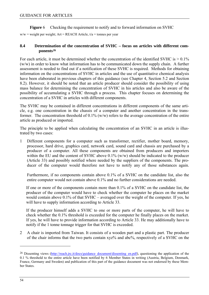**Figure** 6 Checking the requirement to notify and to forward information on SVHC

<span id="page-53-0"></span> $w/w =$  weight per weight; Art = REACH Article,  $t/a =$  tonnes per year

### **8.4 Determination of the concentration of SVHC – focus on articles with different components[26](#page-53-0)**

For each article, it must be determined whether the concentration of the identified SVHC is  $> 0.1\%$ (w/w) in order to know what information has to be communicated down the supply chain. A further assessment is needed to find out if a notification of these SVHC is required. Methods for obtaining information on the concentrations of SVHC in articles and the use of quantitative chemical analysis have been elaborated in previous chapters of this guidance (see Chapter [4,](#page-29-0) Section [5.2](#page-36-1) and Section [8.2\)](#page-50-2). However, it should be noted that an article producer should consider the possibility of using mass balance for determining the concentration of SVHC in his articles and also be aware of the possibility of accumulating a SVHC through a process. This chapter focuses on determining the concentration of a SVHC in articles with different components.

The SVHC may be contained in different concentrations in different components of the same article, e.g. one concentration in the chassis of a computer and another concentration in the transformer. The concentration threshold of  $0.1\%$  (w/w) refers to the average concentration of the entire article as produced or imported.

The principle to be applied when calculating the concentration of an SVHC in an article is illustrated by two cases:

1 Different components for a computer such as transformer, rectifier, mother board, memory, processor, hard drive, graphics card, network card, sound card and chassis are purchased by a producer of a computer. All these components are obtained from producers and importers within the EU and the content of SVHC above 0.1% (w/w) should be indicated to the producer (Article 33) and possibly notified where needed by the suppliers of the components. The producer of the computer would therefore not have to notify any of those substances again.

Furthermore, if no components contain above 0.1% of a SVHC on the candidate list, also the entire computer would not contain above 0.1% and no further considerations are needed.

If one or more of the components contain more than 0.1% of a SVHC on the candidate list, the producer of the computer would have to check whether the computer he places on the market would contain above 0.1% of that SVHC – averaged over the weight of the computer. If yes, he will have to supply information according to Article 33.

If the producer himself adds a SVHC to one or more parts of the computer, he will have to check whether the 0.1% threshold is exceeded for the computer he finally places on the market. If yes, he will have to provide information according to Article 33. He may additionally have to notify if the 1 tonne tonnage trigger for that SVHC is exceeded.

2 A chair is imported from Taiwan. It consists of a wooden part and a plastic part. The producer of the chair informs that the two parts contain xyz% and abc%, respectively of a SVHC on the

<sup>&</sup>lt;sup>26</sup> Dissenting views (http://reach.jrc.it/docs/guidance\_document/dissenting\_en.pdf), questioning the application of the 0.1 % threshold to the entire article have been notified by 6 Member States in writing (Austria, Belgium, Denmark, France, Germany and Sweden) and publication of this part of the guidance document was not endorsed by these Member States.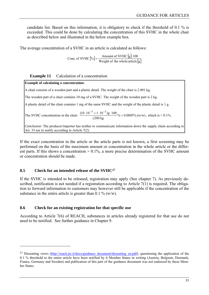<span id="page-54-0"></span>candidate list. Based on this information, it is obligatory to check if the threshold of 0.1 % is exceeded. This could be done by calculating the concentration of this SVHC in the whole chair as described below and illustrated in the below example box.

The average concentration of a SVHC in an article is calculated as follows:

 $[\%] = \frac{\text{Amount of SVHC} [g]}{\text{mean to 1}}$ Conc. of SVHC  $[\%] = \frac{\text{Amount of SVHC} [g] \cdot 100}{\text{Weight of the whole article} [g]}$ 

### **Example 11** Calculation of a concentration

**Example of calculating a concentration:** A chair consists of a wooden part and a plastic detail. The weight of the chair is 2.001 kg. The wooden part of a chair contains 10 mg of a SVHC. The weight of the wooden part is 2 kg. A plastic detail of the chair contains 1 mg of the same SVHC and the weight of the plastic detail is 1 g. The SVHC concentration in the chair:  $\frac{(10-10^{-11} + 10^{-11})g}{(2001)g}$ % = 0.0005% (w/w)  $\frac{(10 \cdot 10^{-3} + 1 \cdot 10^{-3})g \cdot 100}{(10 \cdot 10^{-3} + 1 \cdot 10^{-3})g} = 0.0005\%$  (w/w), which is < 0.1%. *Conclusion:* The producer/importer has neither to communicate information down the supply chain according to Art. 33 nor to notify according to Article 7(2).

If the exact concentration in the article or the article parts is not known, a first screening may be performed on the basis of the maximum amount or concentration in the whole article or the different parts. If this shows a concentration  $> 0.1\%$ , a more precise determination of the SVHC amount or concentration should be made.

# **8.5 Check for an intended release of the SVHC[27](#page-54-0)**

 $\overline{a}$ 

If the SVHC is intended to be released, registration may apply (See chapter [7](#page-41-2)). As previously described, notification is not needed if a registration according to Article 7(1) is required. The obligation to forward information to customers may however still be applicable if the concentration of the substance in the entire article is greater than 0.1  $\%$  (w/w).

# **8.6 Check for an existing registration for that specific use**

According to Article 7(6) of REACH, substances in articles already registered for that use do not need to be notified. See further guidance in Chapter [9.](#page-61-0)

<sup>&</sup>lt;sup>27</sup> Dissenting views (http://reach.jrc.it/docs/guidance\_document/dissenting\_en.pdf), questioning the application of the

<sup>0.1 %</sup> threshold to the entire article have been notified by 6 Member States in writing (Austria, Belgium, Denmark, France, Germany and Sweden) and publication of this part of the guidance document was not endorsed by these Member States.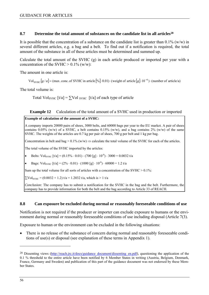### <span id="page-55-1"></span><span id="page-55-0"></span>8.7 **Determine the total amount of substances on the candidate list in all articles<sup>28</sup>**

It is possible that the concentration of a substance on the candidate list is greater than  $0.1\%$  (w/w) in several different articles, e.g. a bag and a belt. To find out if a notification is required, the total amount of the substance in all of these articles must be determined and summed up.

Calculate the total amount of the SVHC (g) in each article produced or imported per year with a concentration of the SVHC  $> 0.1\%$  (w/w):

The amount in one article is:

 $Vol_{\text{SVHC}}[g/a] = (max.\text{conc. of SYHC in article [%]·0.01) · (weight of article [g]·10<sup>-6</sup>) · (number of article/a)$ 

The total volume is:

Total Vol<sub>SVHC</sub>  $\lceil t/a \rceil = \sum$ Vol <sub>SVHC</sub>  $\lceil t/a \rceil$  of each type of article

#### **Example 12** Calculation of the total amount of a SVHC used in production or imported

#### **Example of calculation of the amount of a SVHC:**

A company imports 20000 pairs of shoes, 3000 belts, and 60000 bags per year to the EU market. A pair of shoes contains  $0.05\%$  (w/w) of a SVHC, a belt contains  $0.15\%$  (w/w), and a bag contains 2% (w/w) of the same SVHC. The weights of the articles are 0.7 kg per pair of shoes, 700 g per belt and 1 kg per bag.

Concentration in belt and bag >  $0.1\%$  (w/w)  $\Rightarrow$  calculate the total volume of the SVHC for each of the articles.

The total volume of the SVHC imported by the articles:

Belts: Vol<sub>SVHC</sub>  $[t/a] = (0.15\% \cdot 0.01) \cdot (700 \text{ [g]} \cdot 10^{-6}) \cdot 3000 = 0.0032 \text{ t/a}$ 

Bags: Vol<sub>SVHC</sub>  $[t/a] = (2\% \cdot 0.01) \cdot (1000 \text{ [g]} \cdot 10^{-6}) \cdot 60000 = 1.2 \text{ t/a}$ 

Sum up the total volume for all sorts of articles with a concentration of the SVHC  $> 0.1\%$ :

 $\Sigma \text{Vol}_{\text{SVHC}} = (0.0032 + 1.2) \text{ t/a} = 1.2032 \text{ t/a}, \text{ which is } > 1 \text{ t/a}$ 

*Conclusion:* The company has to submit a notification for the SVHC in the bag and the belt. Furthermore, the company has to provide information for both the belt and the bag according to Article 33 of REACH.

#### **8.8 Can exposure be excluded during normal or reasonably foreseeable conditions of use**

Notification is not required if the producer or importer can exclude exposure to humans or the environment during normal or reasonably foreseeable conditions of use including disposal (Article 7(3).

Exposure to human or the environment can be excluded in the following situations:

• There is no release of the substance of concern during normal and reasonably foreseeable conditions of use(s) or disposal (see explanation of these terms in Appendix 1).

<sup>&</sup>lt;sup>28</sup> Dissenting views (http://reach.jrc.it/docs/guidance\_document/dissenting\_en.pdf), questioning the application of the

<sup>0.1 %</sup> threshold to the entire article have been notified by 6 Member States in writing (Austria, Belgium, Denmark, France, Germany and Sweden) and publication of this part of the guidance document was not endorsed by these Member States.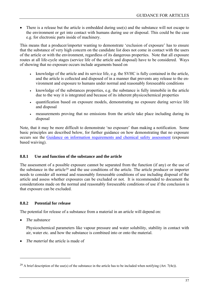<span id="page-56-0"></span>• There is a release but the article is embedded during use(s) and the substance will not escape to the environment or get into contact with humans during use or disposal. This could be the case e.g. for electronic parts inside of machinery.

This means that a producer/importer wanting to demonstrate 'exclusion of exposure' has to ensure that the substance of very high concern on the candidate list does not come in contact with the users of the article or with the environment, regardless of its dangerous properties. Note that all exposure routes at all life-cycle stages (service life of the article and disposal) have to be considered. Ways of showing that no exposure occurs include arguments based on

- knowledge of the article and its service life, e.g. the SVHC is fully contained in the article, and the article is collected and disposed of in a manner that prevents any release to the environment and exposure to humans under normal and reasonably foreseeable conditions
- knowledge of the substances properties, e.g. the substance is fully immobile in the article due to the way it is integrated and because of its inherent physicochemical properties
- quantification based on exposure models, demonstrating no exposure during service life and disposal
- measurements proving that no emissions from the article take place including during its disposal

Note, that it may be more difficult to demonstrate 'no exposure' than making a notification. Some basic principles are described below, for further guidance on how demonstrating that no exposure occurs see the [Guidance on information requirements and chemical safety assessment](http://reach.jrc.it/public-2/getdoc.php?file=csr_en) (exposure based waiving).

# <span id="page-56-1"></span>**8.8.1 Use and function of the substance and the article**

The assessment of a possible exposure cannot be separated from the function (if any) or the use of the substance in the article[29](#page-56-0) and the use conditions of the article. The article producer or importer needs to consider all normal and reasonably foreseeable conditions of use including disposal of the article and assess whether exposures can be excluded or not. It is recommended to document the considerations made on the normal and reasonably foreseeable conditions of use if the conclusion is that exposure can be excluded.

# **8.8.2 Potential for release**

The potential for release of a substance from a material in an article will depend on:

• *The substance* 

 $\overline{a}$ 

Physicochemical parameters like vapour pressure and water solubility, stability in contact with air, water etc. and how the substance is combined into or onto the material.

• *The material* the article is made of

<sup>&</sup>lt;sup>29</sup> A brief description of the use(s) of the substance in the article has to be included when notifying (Art. 7(4e)).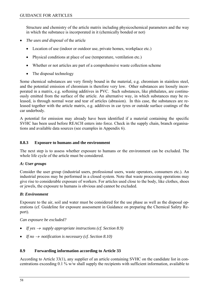Structure and chemistry of the article matrix including physicochemical parameters and the way in which the substance is incorporated in it (chemically bonded or not)

- *The uses and disposal* of the article
	- Location of use (indoor or outdoor use, private homes, workplace etc.)
	- Physical conditions at place of use (temperature, ventilation etc.)
	- Whether or not articles are part of a comprehensive waste collection scheme
	- The disposal technology

Some chemical substances are very firmly bound in the material, e.g. chromium in stainless steel, and the potential emission of chromium is therefore very low. Other substances are loosely incorporated in a matrix, e.g. softening additives in PVC. Such substances, like phthalates, are continuously emitted from the surface of the article. An alternative way, in which substances may be released, is through normal wear and tear of articles (abrasion). In this case, the substances are released together with the article matrix, e.g. additives in car tyres or outside surface coatings of the car underbody.

A potential for emission may already have been identified if a material containing the specific SVHC has been used before REACH enters into force. Check in the supply chain, branch organisations and available data sources (see examples in Appendix 6).

### **8.8.3 Exposure to humans and the environment**

The next step is to assess whether exposure to humans or the environment can be excluded. The whole life cycle of the article must be considered.

### *A: User groups*

Consider the user group (industrial users, professional users, waste operators, consumers etc.). An industrial process may be performed in a closed system. Note that waste processing operations may give rise to considerable exposure of workers. For articles used close to the body, like clothes, shoes or jewels, the exposure to humans is obvious and cannot be excluded.

### *B: Environment*

Exposure to the air, soil and water must be considered for the use phase as well as the disposal operations (cf. Guideline for exposure assessment in Guidance on preparing the Chemical Safety Report).

### *Can exposure be excluded?*

- *If yes*  $\rightarrow$  *supply appropriate instructions (cf. Section [8.9](#page-57-0))*
- *If no*  $\rightarrow$  *notification is necessary (cf. Section [8.10](#page-59-0))*

### <span id="page-57-0"></span>**8.9 Forwarding information according to Article 33**

According to Article 33(1), any supplier of an article containing SVHC on the candidate list in concentrations exceeding 0.1 % w/w shall supply the recipients with sufficient information, available to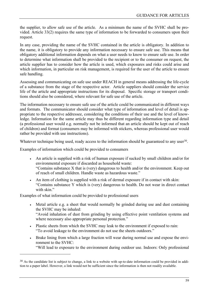<span id="page-58-0"></span>the supplier, to allow safe use of the article. As a minimum the name of the SVHC shall be provided. Article 33(2) requires the same type of information to be forwarded to consumers upon their request.

In any case, providing the name of the SVHC contained in the article is obligatory. In addition to the name, it is obligatory to provide any information necessary to ensure safe use. This means that obligatory additional information depends on what a user needs to know to ensure safe use. In order to determine what information shall be provided to the recipient or to the consumer on request, the article supplier has to consider how the article is used, which exposures and risks could arise and which information, in particular on risk management, is required for the user of the article to ensure safe handling.

Assessing and communicating on safe use under REACH in general means addressing the life-cycle of a substance from the stage of the respective actor. Article suppliers should consider the service life of the article and appropriate instructions for its disposal. Specific storage or transport conditions should also be considered, where relevant for safe use of the article.

The information necessary to ensure safe use of the article could be communicated in different ways and formats. The communicator should consider what type of information and level of detail is appropriate to the respective addressee, considering the conditions of their use and the level of knowledge. Information for the same article may thus be different regarding information type and detail (a professional user would e.g. normally not be informed that an article should be kept out of reach of children) and format (consumers may be informed with stickers, whereas professional user would rather be provided with use instructions).

Whatever technique being used, ready access to the information should be guaranteed to any user<sup>30</sup>.

Examples of information which could be provided to consumers

- An article is supplied with a risk of human exposure if sucked by small children and/or for environmental exposure if discarded as household waste: "Contains substance X that is (very) dangerous to health and/or the environment. Keep out of reach of small children. Handle waste as hazardous waste."
- An item of clothing is supplied with a risk of dermal exposure if in contact with skin: "Contains substance Y which is (very) dangerous to health. Do not wear in direct contact with skin."

Examples of what information could be provided to professional users

 $\overline{a}$ 

- Metal article e.g. a sheet that would normally be grinded during use and dust containing the SVHC may be inhaled: "Avoid inhalation of dust from grinding by using effective point ventilation systems and where necessary also appropriate personal protection."
- Plastic sheets from which the SVHC may leak to the environment if exposed to rain: "To avoid leakage to the environment do not use the sheets outdoors."
- Brake lining from which a large fraction will wear during normal use and expose the environment to the SVHC:

"Will lead to exposure to the environment during outdoor use. Indoors: Only professional

<sup>&</sup>lt;sup>30</sup> As the candidate list is subject to change, a link to a website with up-to-date information could be provided in addition to a paper label. However, a link would not be sufficient since the information is then not readily available.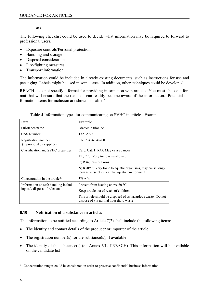use."

<span id="page-59-2"></span>The following checklist could be used to decide what information may be required to forward to professional users.

- Exposure controls/Personal protection
- Handling and storage
- Disposal consideration
- Fire-fighting measures
- Transport information

The information could be included in already existing documents, such as instructions for use and packaging. Labels might be used in some cases. In addition, other techniques could be developed.

REACH does not specify a format for providing information with articles. You must choose a format that will ensure that the recipient can readily become aware of the information. Potential information items for inclusion are shown in [Table 4.](#page-59-1)

<span id="page-59-1"></span>

| <b>Item</b>                                      | <b>Example</b>                                                                                                  |  |  |  |
|--------------------------------------------------|-----------------------------------------------------------------------------------------------------------------|--|--|--|
| Substance name                                   | Diarsenic trioxide                                                                                              |  |  |  |
| CAS Number                                       | 1327-53-3                                                                                                       |  |  |  |
| Registration number<br>(if provided by supplier) | 01-1234567-49-00                                                                                                |  |  |  |
| Classification and SVHC properties               | Carc. Cat. 1; R45; May cause cancer                                                                             |  |  |  |
|                                                  | $T^+$ ; R28; Very toxic is swallowed                                                                            |  |  |  |
|                                                  | C; R34; Causes burns                                                                                            |  |  |  |
|                                                  | N; R50/53; Very toxic to aquatic organisms, may cause long-<br>term adverse effects in the aquatic environment. |  |  |  |
| Concentration in the article $31$                | $1\%$ w/w                                                                                                       |  |  |  |
| Information on safe handling includ-             | Prevent from heating above 60 $^{\circ}$ C                                                                      |  |  |  |
| ing safe disposal if relevant                    | Keep article out of reach of children                                                                           |  |  |  |
|                                                  | This article should be disposed of as hazardous waste. Do not<br>dispose of via normal household waste          |  |  |  |

**Table 4** Information types for communicating on SVHC in article - Example

# <span id="page-59-0"></span>**8.10 Notification of a substance in articles**

The information to be notified according to Article 7(2) shall include the following items:

- The identity and contact details of the producer or importer of the article
- The registration number(s) for the substance(s), if available
- The identity of the substance(s) (cf. Annex VI of REACH). This information will be available on the candidate list

<sup>&</sup>lt;sup>31</sup> Concentration ranges could be considered in order to preserve confidential business information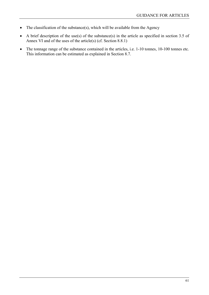- The classification of the substance(s), which will be available from the Agency
- A brief description of the use(s) of the substance(s) in the article as specified in section 3.5 of Annex VI and of the uses of the article(s) (cf. Section [8.8.1\)](#page-56-1)
- The tonnage range of the substance contained in the articles, i.e. 1-10 tonnes, 10-100 tonnes etc. This information can be estimated as explained in Section [8.7.](#page-55-1)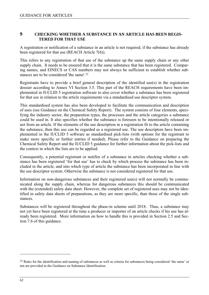### <span id="page-61-1"></span>**9 CHECKING WHETHER A SUBSTANCE IN AN ARTICLE HAS BEEN REGIS-TERED FOR THAT USE**

A registration or notification of a substance in an article is not required, if the substance has already been registered for that use (REACH Article 7(6)).

<span id="page-61-0"></span>This refers to any registration of that use of the substance up the same supply chain or any other supply chain. It needs to be ensured that it is the same substance that has been registered. Comparing names, and EINECS or CAS numbers may not always be sufficient to establish whether substances are to be considered 'the same'.[32](#page-61-1) 

Registrants have to provide a brief general description of the identified use(s) in the registration dossier according to Annex VI Section 3.5. This part of the REACH requirements have been implemented in IUCLID 5 registration software to also cover whether a substance has been registered for that use in relation to the article requirements via a standardised use descriptor system.

This standardised system has also been developed to facilitate the communication and description of uses (see Guidance on the Chemical Safety Report). The system consists of four elements, specifying the industry sector, the preparation types, the processes and the article categories a substance could be used in. It also specifies whether the substance is foreseen to be intentionally released or not from an article. If the elements of the use description in a registration fit to the article containing the substance, then this use can be regarded as a registered use. The use descriptors have been implemented in the IUCLID 5 software as standardised pick-lists (with options for the registrant to make more specific or further entries if needed). Please refer to the Guidance on preparing the Chemical Safety Report and the IUCLID 5 guidance for further information about the pick-lists and the context in which the lists are to be applied.

Consequently, a potential registrant or notifier of a substance in articles checking whether a substance has been registered 'for that use' has to check by which process the substance has been included in the article, and into which type of article the substance has been incorporated in line with the use descriptor system. Otherwise the substance is not considered registered for that use.

Information on non-dangerous substances and their registered use(s) will not normally be communicated along the supply chain, whereas for dangerous substances this should be communicated with the (extended) safety data sheet. However, the complete set of registered uses may not be identified in safety data sheets of preparations, as they are more specific, than those of the single substances.

Substances will be registered throughout the phase-in scheme until 2018. Thus, a substance may not yet have been registered at the time a producer or importer of an article checks if his use has already been registered. More information on how to handle this is provided in Section [2.5](#page-16-0) and Section [7.6](#page-46-0) of this guidance.

<sup>&</sup>lt;sup>32</sup> Rules for the identification and naming of substances as well as criteria for substances being considered 'the same' or not are provided in the Guidance on Substance Identification.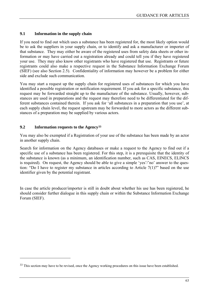# <span id="page-62-0"></span>**9.1 Information in the supply chain**

If you need to find out which uses a substance has been registered for, the most likely option would be to ask the suppliers in your supply chain, or to identify and ask a manufacturer or importer of that substance. They may either be aware of the registered uses from safety data sheets or other information or may have carried out a registration already and could tell you if they have registered your use. They may also know other registrants who have registered that use. Registrants or future registrants could also make a respective request in the Substance Information Exchange Forum (SIEF) (see also Section [2.5](#page-16-0)). Confidentiality of information may however be a problem for either side and exclude such communication.

You may start a request up the supply chain for registered uses of substances for which you have identified a possible registration or notification requirement. If you ask for a specific substance, this request may be forwarded straight up to the manufacture of the substance. Usually, however, substances are used in preparations and the request may therefore need to be differentiated for the different substances contained therein. If you ask for 'all substances in a preparation that you use', at each supply chain level, the request upstream may be forwarded to more actors as the different substances of a preparation may be supplied by various actors.

### **9.2 Information requests to the Agency[33](#page-62-0)**

 $\overline{a}$ 

You may also be exempted if a Registration of your use of the substance has been made by an actor in another supply chain.

Search for information on the Agency databases or make a request to the Agency to find out if a specific use of a substance has been registered. For this step, it is a prerequisite that the identity of the substance is known (as a minimum, an identification number, such as CAS, EINECS, ELINCS is required). On request, the Agency should be able to give a simple 'yes'/'no' answer to the question: "Do I have to register my substance in articles according to Article  $7(1)$ ?" based on the use identifier given by the potential registrant.

In case the article producer/importer is still in doubt about whether his use has been registered, he should consider further dialogue in this supply chain or within the Substance Information Exchange Forum (SIEF).

<sup>&</sup>lt;sup>33</sup> This section may have to be revised, once the Agency working procedures on this issue have been established.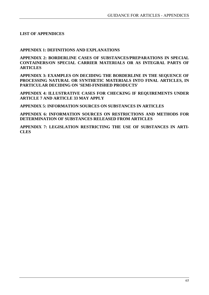### **LIST OF APPENDICES**

### **APPENDIX 1: DEFINITIONS AND EXPLANATIONS**

**APPENDIX 2: BORDERLINE CASES OF SUBSTANCES/PREPARATIONS IN SPECIAL CONTAINERS/ON SPECIAL CARRIER MATERIALS OR AS INTEGRAL PARTS OF ARTICLES** 

**APPENDIX 3: EXAMPLES ON DECIDING THE BORDERLINE IN THE SEQUENCE OF PROCESSING NATURAL OR SYNTHETIC MATERIALS INTO FINAL ARTICLES, IN PARTICULAR DECIDING ON 'SEMI-FINISHED PRODUCTS'** 

**APPENDIX 4: ILLUSTRATIVE CASES FOR CHECKING IF REQUIREMENTS UNDER ARTICLE 7 AND ARTICLE 33 MAY APPLY** 

**APPENDIX 5: INFORMATION SOURCES ON SUBSTANCES IN ARTICLES** 

**APPENDIX 6: INFORMATION SOURCES ON RESTRICTIONS AND METHODS FOR DETERMINATION OF SUBSTANCES RELEASED FROM ARTICLES** 

**APPENDIX 7: LEGISLATION RESTRICTING THE USE OF SUBSTANCES IN ARTI-CLES**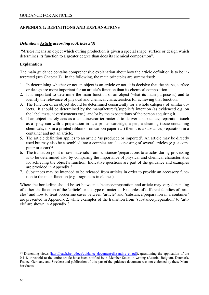## <span id="page-65-0"></span>**APPENDIX 1: DEFINITIONS AND EXPLANATIONS**

#### *Definition: Article according to Article 3(3)*

 "*Article* means an object which during production is given a special shape, surface or design which determines its function to a greater degree than does its chemical composition".

#### **Explanation**

The main guidance contains comprehensive explanation about how the article definition is to be interpreted (see Chapter 3). In the following, the main principles are summarised:

- 1. In determining whether or not an object is an article or not, it is decisive that the shape, surface or design are more important for an article's function than its chemical composition.
- 2. It is important to determine the main function of an object (what its main purpose is) and to identify the relevance of physical and chemical characteristics for achieving that function.
- 3. The function of an object should be determined consistently for a whole category of similar objects. It should be determined by the manufacturer's/supplier's intention (as evidenced e.g. on the label texts, advertisements etc.), and/or by the expectations of the person acquiring it.
- 4. If an object merely acts as a container/carrier material to deliver a substance/preparation (such as a spray can with a preparation in it, a printer cartridge, a pen, a cleaning tissue containing chemicals, ink in a printed ribbon or on carbon paper etc.) then it is a substance/preparation in a container and not an article.
- 5. The article definition applies to an article 'as produced or imported'. An article may be directly used but may also be assembled into a complex article consisting of several articles (e.g. a computer or a car $)^{34}$ .
- 6. The transition point of raw materials from substances/preparations to articles during processing is to be determined also by comparing the importance of physical and chemical characteristics for achieving the object's function. Indicative questions are part of the guidance and examples are provided in Appendix 3
- 7. Substances may be intended to be released from articles in order to provide an accessory function to the main function (e.g. fragrances in clothes).

Where the borderline should be set between substance/preparation and article may vary depending of either the function of the 'article' or the type of material. Examples of different families of 'articles' and how to treat borderline cases between 'article' and 'substance/preparation in a container' are presented in Appendix 2, while examples of the transition from 'substance/preparation' to 'article' are shown in Appendix 3.

<sup>&</sup>lt;sup>34</sup> Dissenting views (http://reach.jrc.it/docs/guidance\_document/dissenting\_en.pdf), questioning the application of the 0.1 % threshold to the entire article have been notified by 6 Member States in writing (Austria, Belgium, Denmark, France, Germany and Sweden) and publication of this part of the guidance document was not endorsed by these Member States.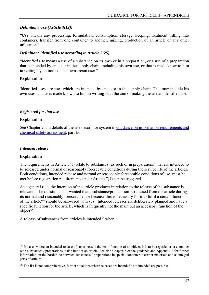### <span id="page-66-0"></span>*Definition: Use (Article 3(12))*

"*Use*: means any processing, formulation, consumption, storage, keeping, treatment, filling into containers, transfer from one container to another, mixing, production of an article or any other utilisation".

## *Definition: Identified use according to Article 3(25)*

"*Identified use* means a use of a substance on its own or in a preparation, or a use of a preparation that is intended by an actor in the supply chain, including his own use, or that is made know to him in writing by an immediate downstream user."

### **Explanation**

'Identified uses' are uses which are intended by an actor in the supply chain. This may include his own uses, and uses made known to him in writing with the aim of making the use an identified use.

### *Registered for that use*

### **Explanation**

See Chapter 9 and details of the use descriptor system in [Guidance on information requirements and](http://reach.jrc.it/public-2/getdoc.php?file=csr_en)  [chemical safety assessment](http://reach.jrc.it/public-2/getdoc.php?file=csr_en), part D.

### *Intended release*

### **Explanation**

 $\overline{a}$ 

The requirements in Article 7(1) relate to substances (as such or in preparations) that are intended to be released under normal or reasonably foreseeable conditions during the service life of the articles. Both conditions, intended release and normal or reasonably foreseeable conditions of use, must be met before registration requirements under Article 7(1) can be triggered.

As a general rule, the intention of the article producer in relation to the release of the substance is relevant. The question "Is it wanted that a substance/preparation is released from the article during its normal and reasonably foreseeable use because this is necessary for it to fulfil a certain function of the article?" should be answered with yes. Intended releases are deliberately planned and have a specific function for the article, which is frequently not the main but an accessory function of the object[35.](#page-66-0)

<span id="page-66-1"></span>A release of substances from articles is intended[36](#page-66-0) when:

<sup>&</sup>lt;sup>35</sup> In cases where an intended release of substances is the main function of an object, it is to be regarded as a container with substances / preparations inside but not an article. See also Chapter 3 of the guidance and Appendix 2 for further information on the borderline between substances / preparations in special containers / carrier materials and as integral parts of articles.

<sup>36</sup> The list is not comprehensive, further situations where releases are intended / not intended are possible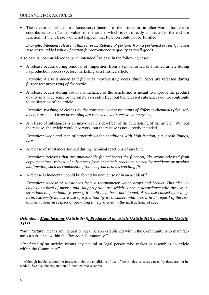<span id="page-67-0"></span>• The release contributes to a (accessory) function of the article, or, in other words the, release contributes to the 'added value' of the article, which is not directly connected to the end use function. If the release would not happen, that function could not be fulfilled.

*Example: Intended release in this sense is: Release of perfume from a perfumed eraser (function = to erase, added value / function for convenience = quality to smell good).* 

A release is not considered to be an intended<sup>36</sup> release in the following cases:

• A release occurs during removal of 'impurities' from a semi-finished or finished article during its production process (before marketing as a finished article).

*Example: A size is added to a fabric to improve its process ability. Sizes are released during further wet processing of the textile* 

• A release occurs during use or maintenance of the article and is meant to improve the product quality in a wide sense or the safety as a side effect but the released substances do not contribute to the function of the article.

*Example: Washing of clothes by the consumer where remnants of different chemicals (dye, softener, starch etc.) from processing are removed over some washing cycles* 

• A release of substances is an unavoidable side-effect of the functioning of the article. Without the release, the article would not work, but the release is not directly intended.

*Examples: wear and tear of materials under conditions with high friction, e.g. break linings, tyres* 

• A release of substances formed during chemical reactions of any kind

*Examples: Releases that are unavoidable for achieving the function, like ozone released from copy machines; release of substances from chemicals reactions caused by accidents or product malfunction, such as combustion products from articles catching fire* 

A release is incidental, could be forced by undue use or in an accident  $37$ 

*Examples: release of substances from a thermometer which drops and breaks. This also includes any form of misuse and inappropriate use which is not in accordance with the use instructions or functionality, even if it could have been anticipated: A release caused by a longterm, extremely intensive use of e.g. a tool by a consumer, who uses it in disregard of the recommendations in respect of operating time provided in the instructions of use)* 

# *Definition: Manufacturer (Article 3(7)), Producer of an article (Article 3(4)) or Importer (Article 3 (11)*

"*Manufacturer* means any natural or legal person established within the Community who manufactures a substance within the European Community."

*"Producer of an article:* means any natural or legal person who makes or assembles an article within the Community"

<sup>&</sup>lt;sup>37</sup> Although incidents could be foreseen under the conditions of use of the articles, releases caused by these are not intended. See also the explanation of intended release above.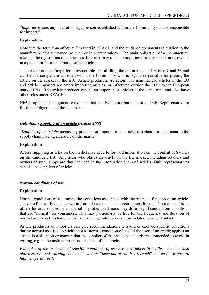"*Importer* means any natural or legal person established within the Community who is responsible for import."

## **Explanation**

Note that the term "manufacturer" is used in REACH and the guidance documents in relation to the manufacture of a substance (as such or in a preparation). The main obligation of a manufacturer relate to the registration of substances. Importer may relate to importer of a substance (on its own or in a preparation) or an importer of an article.

The article producer/importer is responsible for fulfilling the requirements of Article 7 and 33 and can be any company established within the Community who is legally responsible for placing the article on the market in the EU. Article producers are actors who manufacture articles in the EU and article importers are actors importing articles manufactured outside the EU into the European market (EU). The article producer can be an importer of articles at the same time and also have other roles under REACH.

NB! Chapter 1 of the guidance explains that non-EU actors can appoint an Only Representative to fulfil the obligations of the importers.

### *Definition: Supplier of an article (Article 3(33))*

"*Supplier of an article*: means any producer or importer of an article, distributor or other actor in the supply chain placing an article on the market"

### **Explanation**

Actors supplying articles on the market may need to forward information on the content of SVHCs on the candidate list. Any actor who places an article on the EU market, including retailers and owners of small shops are thus included in the information chain of articles. Only representatives can also be suppliers of articles.

### *Normal conditions of use*

### **Explanation**

Normal conditions of use means the conditions associated with the intended function of an article. They are frequently documented in form of user manuals or instructions for use. Normal conditions of use for articles used by industrial or professional users may differ significantly from conditions that are "normal" for consumers. This may particularly be true for the frequency and duration of normal use as well as temperature, air exchange rates or conditions related to water contact.

Article producers or importers can give recommendations to avoid or exclude specific conditions during normal use. It is explicitly not a "normal condition of use" if the user of an article applies an article in a situation or manner that the supplier of the article has clearly recommended to avoid in writing, e.g. in the instructions or on the label of the article.

*Examples of the exclusion of specific conditions of use are care labels in textiles "do not wash above 30°C" and warning statements such as "keep out of children's reach" or "do not expose to high temperatures".*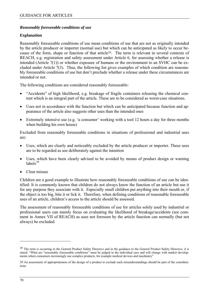### <span id="page-69-0"></span>*Reasonably foreseeable conditions of use*

### **Explanation**

Reasonably foreseeable conditions of use mean conditions of use that are not as originally intended by the article producer or importer (normal use) but which can be anticipated as likely to occur because of the form, shape or function of that article[38.](#page-69-0) The term is relevant in several contexts of REACH, e.g. registration and safety assessment under Article 6, for assessing whether a release is intended (Article 7(1)) or whether exposure of humans or the environment to an SVHC can be excluded under Article 7(3). Thus, the following list gives examples of which condition are reasonably foreseeable conditions of use but don't preclude whether a release under these circumstances are intended or not.

The following conditions are considered reasonably foreseeable:

- "Accidents" of high likelihood, e.g. breakage of fragile containers releasing the chemical content which is an integral part of the article. These are to be considered as worst-case situations.
- Uses not in accordance with the function but which can be anticipated because function and appearance of the article also suggests other uses than the intended ones
- Extremely intensive use (e.g. 'a consumer' working with a tool 12 hours a day for three months when building his own house)

Excluded from reasonably foreseeable conditions in situations of professional and industrial uses are:

- Uses, which are clearly and noticeably excluded by the article producer or importer. These uses are to be regarded as use deliberately against the intention
- Uses, which have been clearly advised to be avoided by means of product design or warning labels $39$
- Clear misuse

Children are a good example to illustrate how reasonably foreseeable conditions of use can be identified: It is commonly known that children do not always know the function of an article but use it for any purpose they associate with it. Especially small children put anything into their mouth or, if the object is too big, bite it or lick it. Therefore, when defining conditions of reasonable foreseeable uses of an article, children's access to the article should be assessed.

The assessment of reasonably foreseeable conditions of use for articles solely used by industrial or professional users can mainly focus on evaluating the likelihood of breakage/accidents (see comment in Annex VII of REACH) as uses not foreseen by the article function can normally (but not always) be excluded.

<sup>&</sup>lt;sup>38</sup> The term is occurring in the General Product Safety Directive and in the guidance to the General Product Safety Directive, it is stated: "What are "reasonably foreseeable conditions" must be judged in the individual case and will change with market developments where consumers increasingly use complex products, for example medical devices and machinery"

<sup>39</sup> An assessment of appropriateness of the design of a product to exclude such misunderstandings should be part of the considerations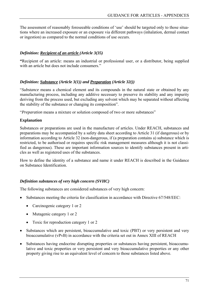The assessment of reasonably foreseeable conditions of 'use' should be targeted only to those situations where an increased exposure or an exposure via different pathways (inhalation, dermal contact or ingestion) as compared to the normal conditions of use occurs.

# *Definition: Recipient of an article (Article 3(35)*

**"**Recipient of an article: means an industrial or professional user, or a distributor, being supplied with an article but does not include consumers."

# *Definition: Substance (Article 3(1)) and Preparation (Article 32())*

"*Substance* means a chemical element and its compounds in the natural state or obtained by any manufacturing process, including any additive necessary to preserve its stability and any impurity deriving from the process used, but excluding any solvent which may be separated without affecting the stability of the substance or changing its composition".

"*Preparation* means a mixture or solution composed of two or more substances"

# **Explanation**

Substances or preparations are used in the manufacture of articles. Under REACH, substances and preparations may be accompanied by a safety data sheet according to Article 31 (if dangerous) or by information according to Article 32 (non-dangerous, if (a preparation contains a) substance which is restricted, to be authorised or requires specific risk management measures although it is not classified as dangerous). These are important information sources to identify substances present in articles as well as registered uses of the substances.

How to define the identity of a substance and name it under REACH is described in the Guidance on Substance Identification.

# *Definition substances of very high concern (SVHC)*

The following substances are considered substances of very high concern:

- Substances meeting the criteria for classification in accordance with Directive 67/548/EEC:
	- Carcinogenic category 1 or 2
	- Mutagenic category 1 or 2
	- Toxic for reproduction category 1 or 2
- Substances which are persistent, bioaccumulative and toxic (PBT) or very persistent and very bioaccumulative (vPvB) in accordance with the criteria set out in Annex XIII of REACH
- Substances having endocrine disrupting properties or substances having persistent, bioaccumulative and toxic properties or very persistent and very bioaccumulative properties or any other property giving rise to an equivalent level of concern to those substances listed above.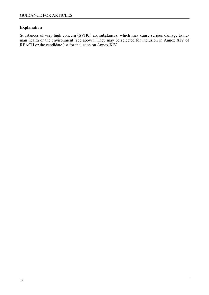# **Explanation**

Substances of very high concern (SVHC) are substances, which may cause serious damage to human health or the environment (see above). They may be selected for inclusion in Annex XIV of REACH or the candidate list for inclusion on Annex XIV.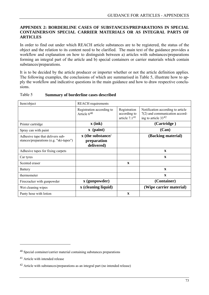# <span id="page-72-1"></span>**APPENDIX 2: BORDERLINE CASES OF SUBSTANCES/PREPARATIONS IN SPECIAL CONTAINERS/ON SPECIAL CARRIER MATERIALS OR AS INTEGRAL PARTS OF ARTICLES**

In order to find out under which REACH article substances are to be registered, the status of the object and the relation to its content need to be clarified. The main text of the guidance provides a workflow and explanation on how to distinguish between a) articles with substances/preparations forming an integral part of the article and b) special containers or carrier materials which contain substances/preparations.

It is to be decided by the article producer or importer whether or not the article definition applies. The following examples, the conclusions of which are summarised in [Table 5](#page-72-0), illustrate how to apply the workflow and indicative questions in the main guidance and how to draw respective conclusions.

| Item/object                                                                 | <b>REACH</b> requirements                      |                                                 |                                                                                                   |
|-----------------------------------------------------------------------------|------------------------------------------------|-------------------------------------------------|---------------------------------------------------------------------------------------------------|
|                                                                             | Registration according to<br>Article $6^{40}$  | Registration<br>according to<br>article $7.141$ | Notification according to article<br>$7(2)$ and communication accord-<br>ing to article $33^{42}$ |
| Printer cartridge                                                           | $\mathbf{x}$ (ink)                             |                                                 | (Cartridge)                                                                                       |
| Spray can with paint                                                        | $\mathbf x$ (paint)                            |                                                 | (Can)                                                                                             |
| Adhesive tape that delivers sub-<br>stances/preparations (e.g. "ski-tapes") | x (the substance/<br>preparation<br>delivered) |                                                 | (Backing material)                                                                                |
| Adhesive tapes for fixing carpets                                           |                                                |                                                 | $\mathbf x$                                                                                       |
| Car tyres                                                                   |                                                |                                                 | $\mathbf{x}$                                                                                      |
| Scented eraser                                                              |                                                | $\mathbf{x}$                                    |                                                                                                   |
| <b>Battery</b>                                                              |                                                |                                                 | $\mathbf x$                                                                                       |
| thermometer                                                                 |                                                |                                                 | $\mathbf{x}$                                                                                      |
| Firecracker with gunpowder                                                  | x (gunpowder)                                  |                                                 | (Container)                                                                                       |
| Wet cleaning wipes                                                          | x (cleaning liquid)                            |                                                 | (Wipe carrier material)                                                                           |
| Panty hose with lotion                                                      |                                                | $\mathbf X$                                     |                                                                                                   |

## <span id="page-72-0"></span>Table 5 **Summary of borderline cases described**

 $\overline{a}$ 

<sup>40</sup> Special container/carrier material containing substances preparations

<sup>41</sup> Article with intended release

<sup>42</sup> Article with substances/preparations as an integral part (no intended release)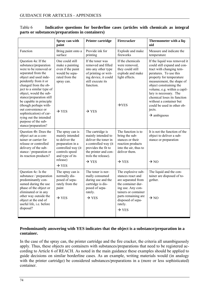|                                                                                                                                                                                                                                                                                                                                                                                                                                      | Spray can with<br>paint                                                                                                                                               | <b>Printer cartridge</b>                                                                                                                                                          | Firecracker                                                                                                                                                                                                  | Thermometer with a liq-<br>uid                                                                                                                                                                                                                                                                                                                                                               |
|--------------------------------------------------------------------------------------------------------------------------------------------------------------------------------------------------------------------------------------------------------------------------------------------------------------------------------------------------------------------------------------------------------------------------------------|-----------------------------------------------------------------------------------------------------------------------------------------------------------------------|-----------------------------------------------------------------------------------------------------------------------------------------------------------------------------------|--------------------------------------------------------------------------------------------------------------------------------------------------------------------------------------------------------------|----------------------------------------------------------------------------------------------------------------------------------------------------------------------------------------------------------------------------------------------------------------------------------------------------------------------------------------------------------------------------------------------|
| Function                                                                                                                                                                                                                                                                                                                                                                                                                             | Bring paint onto a<br>surface                                                                                                                                         | Provide ink for<br>printing                                                                                                                                                       | Explode and make<br>fireworks                                                                                                                                                                                | Measure and indicate the<br>temperature                                                                                                                                                                                                                                                                                                                                                      |
| Question 4a: If the<br>substance/preparation<br>were to be removed or<br>separated from the<br>object and used inde-<br>pendently from it or<br>changed from the ob-<br>ject to a similar type of<br>object, would the sub-<br>stance/preparation still<br>be capable in principle<br>(though perhaps with-<br>out convenience or<br>sophistication) of car-<br>rying out the intended<br>purpose of the sub-<br>stance/preparation? | One could still<br>make a painting<br>even if the paint<br>would be sepa-<br>rated from the<br>spray can.<br>$\rightarrow$ YES                                        | If the toner was<br>removed and filled<br>into any other type<br>of printing or writ-<br>ing device, it could<br>still execute its<br>function.<br>$\rightarrow$ YES              | If the chemicals<br>were removed,<br>they could still<br>explode and make<br>light effects.<br>$\rightarrow$ YES                                                                                             | If the liquid was removed it<br>could still expand and con-<br>tract with changing tem-<br>peratures. To use this<br>property for temperature<br>measurement, the shape of<br>object constraining the<br>volume, e.g. within a capil-<br>lary is necessary. The<br>chemical loses its function<br>without a container but<br>could be used in other ob-<br>jects.<br>$\rightarrow$ ambiguous |
| Question 4b: Does the<br>object act as a con-<br>tainer or carrier for<br>release or controlled<br>delivery of the sub-<br>stance / preparation or<br>its reaction products?                                                                                                                                                                                                                                                         | The spray can is<br>mainly intended<br>to deliver the<br>preparation in a<br>controlled way (it<br>controls speed<br>and type of its<br>release)<br>$\rightarrow$ YES | The cartridge is<br>mainly intended to<br>deliver the toner in<br>a controlled way (it<br>provides the fit to<br>the printer and con-<br>trols the release).<br>$\rightarrow$ YES | The function is to<br>bring the sub-<br>stances or their<br>reaction products<br>into the air, thus to<br>deliver them.<br>$\rightarrow$ YES                                                                 | It is not the function of the<br>object to deliver a sub-<br>stance or preparation<br>$\rightarrow$ NO                                                                                                                                                                                                                                                                                       |
| Question 4c: Is the<br>substance / preparation<br>predominantly con-<br>sumed during the use<br>phase of the object or<br>eliminated or in any<br>other way outside the<br>object at the end of<br>useful life, i.e. before<br>disposal?                                                                                                                                                                                             | The spray can is<br>normally dis-<br>posed of sepa-<br>rately from the<br>paint<br>$\rightarrow$ YES                                                                  | The toner is nor-<br>mally consumed<br>during use and the<br>cartridge is dis-<br>posed of sepa-<br>rately.<br>$\rightarrow$ YES                                                  | The explosive sub-<br>stances react and<br>are separated from<br>the container dur-<br>ing use. Any con-<br>tainers or container<br>parts remaining are<br>disposed of sepa-<br>rately.<br>$\rightarrow$ YES | The liquid and the con-<br>tainer are disposed of to-<br>gether.<br>$\rightarrow$ NO                                                                                                                                                                                                                                                                                                         |

# Table 6 **Indicative questions for borderline cases (articles with chemicals as integral parts or substances/preparations in containers)**

# **Predominantly answering with YES indicates that the object is a substance/preparation in a container.**

In the case of the spray can, the printer cartridge and the fire cracker, the criteria all unambiguously apply. Thus, these objects are containers with substances/preparations that need to be registered according to Article 6 of REACH. As noted in the main guidance these examples should be applied to guide decisions on similar borderline cases. As an example, writing materials would (in analogy with the printer cartridge) be considered substances/preparations in a (more or less sophisticated) container.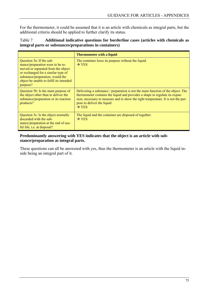For the thermometer, it could be assumed that it is an article with chemicals as integral parts, but the additional criteria should be applied to further clarify its status.

| Table 7 | Additional indicative questions for borderline cases (articles with chemicals as |
|---------|----------------------------------------------------------------------------------|
|         | integral parts or substances/preparations in containers)                         |

|                                                                                                                                                                                                                                      | <b>Thermometer with a liquid</b>                                                                                                                                                                                                                                                                       |
|--------------------------------------------------------------------------------------------------------------------------------------------------------------------------------------------------------------------------------------|--------------------------------------------------------------------------------------------------------------------------------------------------------------------------------------------------------------------------------------------------------------------------------------------------------|
| Question 5a: If the sub-<br>stance/preparation were to be re-<br>moved or separated from the object<br>or exchanged for a similar type of<br>substance/preparation, would the<br>object be unable to fulfil its intended<br>purpose? | The container loses its purpose without the liquid.<br>$\rightarrow$ YES                                                                                                                                                                                                                               |
| Question 5b: Is the main purpose of<br>the object other than to deliver the<br>substance/preparation or its reaction<br>products?                                                                                                    | Delivering a substance / preparation is not the main function of the object. The<br>thermometer contains the liquid and provides a shape to regulate its expan-<br>sion, necessary to measure and to show the right temperature. It is not the pur-<br>pose to deliver the liquid<br>$\rightarrow$ YES |
| Question 5c: Is the object normally<br>discarded with the sub-<br>stance/preparation at the end of use-<br>ful life, i.e. at disposal?                                                                                               | The liquid and the container are disposed of together.<br>$\rightarrow$ YES                                                                                                                                                                                                                            |

# **Predominantly answering with YES indicates that the object is an article with substance/preparation as integral parts.**

These questions can all be answered with yes, thus the thermometer is an article with the liquid inside being an integral part of it.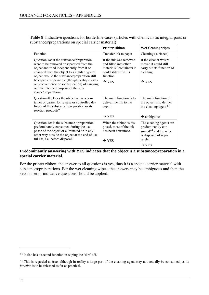| <b>Printer ribbon</b>                                                                                                                    | Wet cleaning wipes                                                                                                                         |
|------------------------------------------------------------------------------------------------------------------------------------------|--------------------------------------------------------------------------------------------------------------------------------------------|
| Transfer ink to paper                                                                                                                    | Cleaning (surfaces)                                                                                                                        |
| If the ink was removed<br>and filled into other<br>materials / containers it<br>could still fulfill its<br>function<br>$\rightarrow$ YES | If the cleaner was re-<br>moved it could still<br>carry out its function of<br>cleaning.<br>$\rightarrow$ YES                              |
| The main function is to<br>deliver the ink to the<br>paper.<br>$\rightarrow$ YES                                                         | The main function of<br>the object is to deliver<br>the cleaning agent <sup>43</sup> .<br>$\rightarrow$ ambiguous                          |
| When the ribbon is dis-<br>posed, most of the ink<br>has been consumed.<br>$\rightarrow$ YES                                             | The cleaning agents are.<br>predominantly con-<br>sumed <sup>44</sup> and the wipe<br>is disposed of sepa-<br>rately.<br>$\rightarrow$ YES |
|                                                                                                                                          |                                                                                                                                            |

<span id="page-75-0"></span>**Table 8** Indicative questions for borderline cases (articles with chemicals as integral parts or substances/preparations on special carrier material)

# **Predominantly answering with YES indicates that the object is a substance/preparation in a special carrier material.**

For the printer ribbon, the answer to all questions is yes, thus it is a special carrier material with substances/preparations. For the wet cleaning wipes, the answers may be ambiguous and then the second set of indicative questions should be applied.

 $\overline{a}$ 

<sup>43</sup> It also has a second function in wiping the 'dirt' off.

<sup>&</sup>lt;sup>44</sup> This is regarded as true, although in reality a large part of the cleaning agent may not actually be consumed, as its *function* is to be released as far as practical.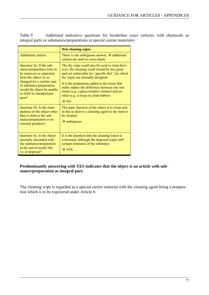Table 9 Additional indicative questions for borderline cases (articles with chemicals as integral parts or substances/preparations in special carrier materials)

|                                                                                                                                                                                                                                              | <b>Wet cleaning wipes</b>                                                                                                                                                                                                                                                                                                                                                                            |
|----------------------------------------------------------------------------------------------------------------------------------------------------------------------------------------------------------------------------------------------|------------------------------------------------------------------------------------------------------------------------------------------------------------------------------------------------------------------------------------------------------------------------------------------------------------------------------------------------------------------------------------------------------|
| Additional criteria                                                                                                                                                                                                                          | There is one ambiguous answer, $\rightarrow$ additional<br>criteria are used to cross-check                                                                                                                                                                                                                                                                                                          |
| Question 5a: If the sub-<br>stance/preparation were to<br>be removed or separated<br>from the object or ex-<br>changed for a similar type<br>of substance/preparation,<br>would the object be unable<br>to fulfil its intended pur-<br>pose? | The dry wipe could also be used to clean how-<br>ever, the cleaning result would be less good<br>and not achievable for 'specific dirt', for which<br>the wipes are normally designed.<br>It is the preparation added to the tissue that<br>really makes the difference between one wet<br>tissue (e.g. a glass/window cleaner) and an-<br>other (e.g. a tissue to clean babies)<br>$\rightarrow$ NO |
| Question 5b: Is the main<br>purpose of the object other<br>than to deliver the sub-<br>stance/preparation or its<br>reaction products?                                                                                                       | The main function of the object is to clean and<br>in this to deliver a cleaning agent to the item to<br>be cleaned.<br>$\rightarrow$ ambiguous                                                                                                                                                                                                                                                      |
| Question 5c: Is the object<br>normally discarded with<br>the substance/preparation<br>at the end of useful life,<br>i.e. at disposal?                                                                                                        | It is the intention that the cleaning lotion is<br>consumed, although the disposed wipes still<br>contain remnants of the substance.<br>$\rightarrow$ YES                                                                                                                                                                                                                                            |

# **Predominantly answering with YES indicates that the object is an article with substance/preparation as integral part.**

The cleaning wipe is regarded as a special carrier material with the cleaning agent being a preparation which is to be registered under Article 6.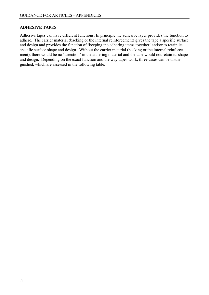# **ADHESIVE TAPES**

Adhesive tapes can have different functions. In principle the adhesive layer provides the function to adhere. The carrier material (backing or the internal reinforcement) gives the tape a specific surface and design and provides the function of 'keeping the adhering items together' and/or to retain its specific surface shape and design. Without the carrier material (backing or the internal reinforcement), there would be no 'direction' in the adhering material and the tape would not retain its shape and design. Depending on the exact function and the way tapes work, three cases can be distinguished, which are assessed in the following table.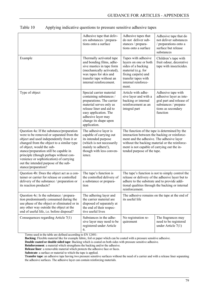| Table 10 |  |  | Applying indicative questions to pressure sensitive adhesive tapes |
|----------|--|--|--------------------------------------------------------------------|
|          |  |  |                                                                    |

|                                                                                                                                                                                                                                                                                                                                                                                                           | Adhesive tape that deliv-<br>ers substances / prepara-<br>tions onto a surface                                                                                                                                                  | Adhesive tapes that<br>do not deliver sub-<br>stances / prepara-<br>tions onto a surface                                                                                                                                                                                    | Adhesive tape that do<br>not deliver substances<br>/ preparations onto a<br>surface but release<br>substances                        |  |
|-----------------------------------------------------------------------------------------------------------------------------------------------------------------------------------------------------------------------------------------------------------------------------------------------------------------------------------------------------------------------------------------------------------|---------------------------------------------------------------------------------------------------------------------------------------------------------------------------------------------------------------------------------|-----------------------------------------------------------------------------------------------------------------------------------------------------------------------------------------------------------------------------------------------------------------------------|--------------------------------------------------------------------------------------------------------------------------------------|--|
| Example                                                                                                                                                                                                                                                                                                                                                                                                   | Thermally activated tape<br>and bonding films, adhe-<br>sive mastics in tape form<br>(mechanically activated),<br>wax tapes for skis and<br>transfer tape without an<br>internal reinforcement.                                 | Tapes with adhesive<br>layers on one or both<br>sides of a backing<br>material (e.g. for<br>fixing carpets) and<br>transfer tapes with<br>internal reinforce-<br>ment.                                                                                                      | Children's tape with<br>fruit odour, decorative<br>tape with insecticides.                                                           |  |
| Type of object                                                                                                                                                                                                                                                                                                                                                                                            | Special carrier material<br>containing substances /<br>preparations. The carrier<br>material serves only as<br>release liner and aid to<br>easy application. The<br>adhesive layer may<br>change its shape upon<br>application. | Article with adhe-<br>sive layer and with a<br>backing or internal<br>reinforcement as an<br>integral part                                                                                                                                                                  | Adhesive tape with<br>adhesive layer as inte-<br>gral part and release of<br>substances / prepara-<br>tions as secondary<br>function |  |
| Question 4a: If the substance/preparation<br>were to be removed or separated from the<br>object and used independently from it or<br>changed from the object to a similar type<br>of object, would the sub-<br>stance/preparation still be capable in<br>principle (though perhaps without con-<br>venience or sophistication) of carrying<br>out the intended purpose of the sub-<br>stance/preparation? | The adhesive layer is<br>capable of carrying out<br>its intended purpose<br>(which is not necessarily<br>mainly to adhere!),<br>though with less conven-<br>ience.                                                              | The function of the tape is determined by the<br>interaction between the backing or reinforce-<br>ment and the adhesive. The adhesive layer<br>without the backing material or the reinforce-<br>ment is not capable of carrying out the in-<br>tended purpose of the tape. |                                                                                                                                      |  |
| Question 4b: Does the object act as a con-<br>tainer or carrier for release or controlled<br>delivery of the substance / preparation or<br>its reaction products?                                                                                                                                                                                                                                         | The tape's function is<br>the controlled delivery of<br>a substance or prepara-<br>tion                                                                                                                                         | The tape's function is not to simply control the<br>release or delivery of the adhesive layer but to<br>adhere to the substrate and to provide addi-<br>tional qualities through the backing or internal<br>reinforcement.                                                  |                                                                                                                                      |  |
| Question 4c: Is the substance / prepara-<br>tion predominantly consumed during the<br>use phase of the object or eliminated or in<br>any other way outside the object at the<br>end of useful life, i.e. before disposal?                                                                                                                                                                                 | The adhering layer and<br>the carrier material are<br>disposed of separately at<br>the end of their respec-<br>tive useful lives                                                                                                | The adhesive remains on the tape at the end of<br>its useful life                                                                                                                                                                                                           |                                                                                                                                      |  |
| Consequences regarding Article 7(1)                                                                                                                                                                                                                                                                                                                                                                       | Substances in the adhe-<br>sive layer may need to be<br>registered under Article<br>6.                                                                                                                                          | No registration re-<br>quirement                                                                                                                                                                                                                                            | The fragrances may<br>need to be registered<br>under Article $7(1)$                                                                  |  |

Terms used in the table are defined according to EN 12481:

**Backing**: Flexible material like for example fabric, foil or paper which can be coated with a pressure sensitive adhesive.

**Double coated or double sided tape**: Backing which is coated on both sides with pressure sensitive adhesive.

**Reinforcement**: a material which strengthens the backing and/or the adhesive.

**Release liner**: a removable material which protects the adhesive face or faces.

**Substrate**: a surface or material to which the tape is applied.

**Transfer tape**: an adhesive tape having two pressure sensitive surfaces without the need of a carrier and with a release liner separating the adhesive surfaces. The adhesive layer can contain reinforcing materials.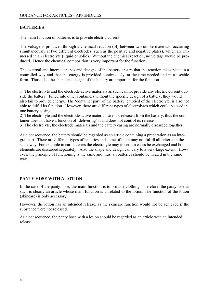# **BATTERIES**

The main function of batteries is to provide electric current.

The voltage is produced through a chemical reaction (of) between two unlike materials, occurring simultaneously at two different electrodes (such as the positive and negative plates), which are immersed in an electrolyte (liquid or solid). Without the chemical reaction, no voltage would be produced. Hence the chemical composition is very important for the function.

The external and internal shapes and designs of the battery ensure that the reaction takes place in a controlled way and that the energy is provided continuously, at the time needed and in a useable form. Thus, also the shape and design of the battery are important for the function.

1) The electrolyte and the electrode active materials as such cannot provide any electric current outside the battery. Filled into other containers without the specific design of a battery, they would also fail to provide energy. The 'container part' of the battery, emptied of the electrolyte, is also not able to fulfill its function. However, there are different types of electrolytes which could be used in one battery casing.

2) The electrolyte and the electrode active materials are not released from the battery, thus the container does not have a function of 'delivering' it and does not control its release

3) The electrolyte, the electrode materials and the battery casing are normally discarded together.

As a consequence, the battery should be regarded as an article containing a preparation as an integral part. There are different types of batteries and some of them may not fulfill all criteria in the same way. For example in car batteries the electrolyte may in certain cases be exchanged and both elements are discarded separately. Also the shape and design can vary to a very large extent. However, the principle of functioning is the same and thus, all batteries should be treated in the same way.

## **PANTY HOSE WITH A LOTION**

In the case of the panty hose, the main function is to provide clothing. Therefore, the pantyhose as such is clearly an article whose main function is unrelated to the lotion. The function of the lotion (skincare) is only accessory.

However, the lotion has an intended release, as the skincare function would not be achieved if the substance were not released.

As a consequence, the panty hose with a lotion should be regarded as an article with an intended release.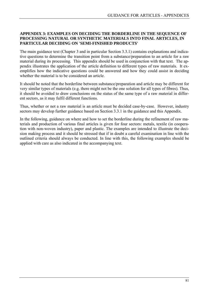# **APPENDIX 3: EXAMPLES ON DECIDING THE BORDERLINE IN THE SEQUENCE OF PROCESSING NATURAL OR SYNTHETIC MATERIALS INTO FINAL ARTICLES, IN PARTICULAR DECIDING ON 'SEMI-FINISHED PRODUCTS'**

The main guidance text (Chapter 3 and in particular Section 3.3.1) contains explanations and indicative questions to determine the transition point from a substance/preparation to an article for a raw material during its processing. This appendix should be used in conjunction with that text. The appendix illustrates the application of the article definition to different types of raw materials. It exemplifies how the indicative questions could be answered and how they could assist in deciding whether the material is to be considered an article.

It should be noted that the borderline between substance/preparation and article may be different for very similar types of materials (e.g. there might not be the one solution for all types of fibres). Thus, it should be avoided to draw conclusions on the status of the same type of a raw material in different sectors, as it may fulfil different functions.

Thus, whether or not a raw material is an article must be decided case-by-case. However, industry sectors may develop further guidance based on Section 3.3.1 in the guidance and this Appendix.

In the following, guidance on where and how to set the borderline during the refinement of raw materials and production of various final articles is given for four sectors: metals, textile (in cooperation with non-woven industry), paper and plastic. The examples are intended to illustrate the decision making process and it should be stressed that if in doubt a careful examination in line with the outlined criteria should always be conducted. In line with this, the following examples should be applied with care as also indicated in the accompanying text.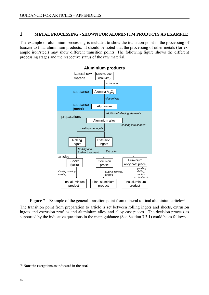# <span id="page-81-0"></span>**1 METAL PROCESSING - SHOWN FOR ALUMINIUM PRODUCTS AS EXAMPLE**

The example of aluminium processing is included to show the transition point in the processing of bauxite to final aluminium products. It should be noted that the processing of other metals (for example iron/steel) may show different transition points. The following figure shows the different processing stages and the respective status of the raw material.



**Figure** 7 Example of the general transition point from mineral to final aluminium article<sup>[45](#page-81-0)</sup>

The transition point from preparation to article is set between rolling ingots and sheets, extrusion ingots and extrusion profiles and aluminium alloy and alloy cast pieces. The decision process as supported by the indicative questions in the main guidance (See Section 3.3.1) could be as follows.

 $\overline{a}$ 

<sup>45</sup> **Note the exceptions as indicated in the text!**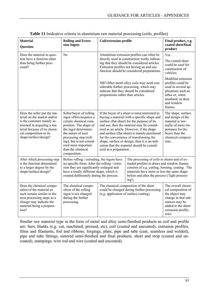| <b>Material</b><br><b>Question</b>                                                                                                                                                                         | <b>Rolling and Extru-</b><br>sion Ingots                                                                                                                                                                                                                              | <b>Coil/extrusion profile</b>                                                                                                                                                                                                                                                                                                                                                                                                                             |                                                                                                                                                                                                                                                        | Final product, e.g.<br>coated sheet/final<br>product                                                                                                      |
|------------------------------------------------------------------------------------------------------------------------------------------------------------------------------------------------------------|-----------------------------------------------------------------------------------------------------------------------------------------------------------------------------------------------------------------------------------------------------------------------|-----------------------------------------------------------------------------------------------------------------------------------------------------------------------------------------------------------------------------------------------------------------------------------------------------------------------------------------------------------------------------------------------------------------------------------------------------------|--------------------------------------------------------------------------------------------------------------------------------------------------------------------------------------------------------------------------------------------------------|-----------------------------------------------------------------------------------------------------------------------------------------------------------|
| Does the material in ques-                                                                                                                                                                                 | N <sub>0</sub>                                                                                                                                                                                                                                                        |                                                                                                                                                                                                                                                                                                                                                                                                                                                           | Aluminium extrusion profiles can often be                                                                                                                                                                                                              | Yes                                                                                                                                                       |
| tion have a function other<br>than being further proc-<br>essed?                                                                                                                                           |                                                                                                                                                                                                                                                                       |                                                                                                                                                                                                                                                                                                                                                                                                                                                           | directly used in construction works indicat-<br>ing that they should be considered articles.<br>Extrusion profiles not having an end-use<br>function should be considered preparations.                                                                | The coated sheet<br>could be used for<br>construction of<br>vehicles.                                                                                     |
|                                                                                                                                                                                                            |                                                                                                                                                                                                                                                                       | preparations rather than articles.                                                                                                                                                                                                                                                                                                                                                                                                                        | NB! Other metal alloy coils may need con-<br>siderable further processing, which may<br>indicate that they should be considered                                                                                                                        | Modified extrusion<br>profiles could be<br>used in several ap-<br>plications such as<br>tubes or, when<br>anodised, as door<br>and window<br>frames.      |
| Does the seller put the ma-<br>terial on the market and/or<br>is the customer mainly in-<br>terested in acquiring a ma-<br>terial because of its chemi-<br>cal composition or its<br>shape/surface/design? | Seller/buyer of rolling<br>ingot offers/acquires a<br>certain chemical com-<br>position. The shape of<br>the ingot determines<br>the nature of next<br>processing step (roll-<br>ing), but is not consid-<br>ered more important<br>than the chemical<br>composition. | If the buyer of a sheet is most interested in<br>buying a material with a specific shape and<br>surface (flat sheet) for the purpose of its<br>end use, then the material may be consid-<br>ered as an article. However, if the shape<br>and surface (flat sheet) is mainly purchased<br>for the convenience of transforming the<br>shape, surface or design, then it is an indi-<br>cation that the material should be consid-<br>ered as a preparation. |                                                                                                                                                                                                                                                        | The shape, surface<br>and design of the<br>material is nor-<br>mally of more im-<br>portance for the<br>buyer than the<br>chemical composi-<br>tion       |
| After which processing step<br>is the function determined<br>to a larger degree by the<br>shape/surface/design?                                                                                            | Before rolling / extruding, the ingots have<br>no specific form. After the rolling / extru-<br>sion they are significantly enlarged and<br>have a totally different shape, which is<br>created deliberately during the process.                                       |                                                                                                                                                                                                                                                                                                                                                                                                                                                           | The processing of coils to sheets and of ex-<br>truded profiles to doors and window frames<br>consists of e.g. cutting, forming, coating. The<br>materials have more or less the same shape<br>before and after the process ('light process-<br>ing'). |                                                                                                                                                           |
| Does the chemical compo-<br>sition of the material as<br>such remain similar in the<br>next processing steps as a<br>change may indicate the<br>material being a prepara-<br>tion?                         | The chemical compo-<br>sition of the rolling<br>ingot is not changed<br>during the further<br>processing                                                                                                                                                              | (e.g. application of surface coating)                                                                                                                                                                                                                                                                                                                                                                                                                     | The chemical composition of the sheet<br>could be changed during further processing                                                                                                                                                                    | The overall chemi-<br>cal composition of<br>the object may<br>change in that sub-<br>stances may be<br>added to the sheet/<br>extrusion profile,<br>wire. |

|  |  |  |  |  |  |  |  | Table 11 Inideative criteria in aluminium raw material processing (coils, profiles) |
|--|--|--|--|--|--|--|--|-------------------------------------------------------------------------------------|
|--|--|--|--|--|--|--|--|-------------------------------------------------------------------------------------|

Similar raw material type in the form of metal and alloy semi-finished products as coil and profile are: bars, blanks (e.g. cut, machined, pressed, etc), coil (coated and uncoated), extrusion profiles, films and filaments, foil and ribbons, forgings, plate, pipe and tube (cast, seamless and welded), pipe and tube fittings, sintered semi-finished and final products, sheet and strip (coated and uncoated), stampings, wire rod and wire (coated and uncoated).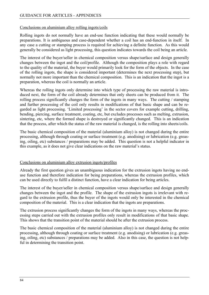# Conclusions on aluminium alloy rolling ingots/coils

Rolling ingots do not normally have an end-use function indicating that these would normally be preparations. It is ambiguous and case-dependent whether a coil has an end-function in itself. In any case a cutting or stamping process is required for achieving a definite function. As this would generally be considered as light processing, this question indicates towards the coil being an article.

The interest of the buyer/seller in chemical composition versus shape/surface and design generally changes between the ingot and the coil/profile. Although the composition plays a role with regard to the quality of the material, the buyer would primarily look for the form of the objects. In the case of the rolling ingots, the shape is considered important (determines the next processing step), but normally not more important than the chemical composition. This is an indication that the ingot is a preparation, whereas the coil is normally an article.

Whereas the rolling ingots only determine into which type of processing the raw material is introduced next, the form of the coil already determines that only sheets can be produced from it. The rolling process significantly changes the form of the ingots in many ways. The cutting / stamping and further processing of the coil only results in modifications of that basic shape and can be regarded as light processing. 'Limited processing' in the sector covers for example cutting, drilling, bending, piercing, surface treatment, coating, etc, but excludes processes such as melting, extrusion, sintering, etc, where the formed shape is destroyed or significantly changed. This is an indication that the process, after which the status of the raw material is changed, is the rolling into sheets/coils.

The basic chemical composition of the material (aluminium alloy) is not changed during the entire processing, although through coating or surface treatment (e.g. anodising) or lubrication (e.g. greasing, oiling, etc) substances / preparations may be added. This question is not a helpful indicator in this example, as it does not give clear indications on the raw material's status.

## Conclusions on aluminium alloy extrusion ingots/profiles

Already the first question gives an unambiguous indication for the extrusion ingots having no enduse function and therefore indication for being preparations, whereas the extrusion profiles, which can be used directly to fulfil a distinct function, have a clear indication for being articles.

The interest of the buyer/seller in chemical composition versus shape/surface and design generally changes between the ingot and the profile. The shape of the extrusion ingots is irrelevant with regard to the extrusion profile, thus the buyer of the ingots would only be interested in the chemical composition of the material. This is a clear indication that the ingots are preparations.

The extrusion process significantly changes the form of the ingots in many ways, whereas the processing steps carried out with the extrusion profiles only result in modifications of that basic shape. This shows that the transition point of the material should be after the extrusion process.

The basic chemical composition of the material (aluminium alloy) is not changed during the entire processing, although through coating or surface treatment (e.g. anodising) or lubrication (e.g. greasing, oiling, etc) substances / preparations may be added. Also in this case, the question is not helpful in determining the transition point.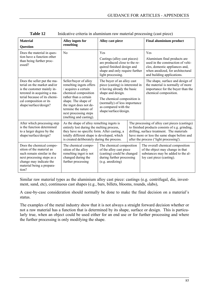| <b>Material</b><br><b>Question</b>                                                                                                                                                                         | Alloy ingots for<br>remelting                                                                                                                                                                                                                          | Alloy cast piece                                                                                                                                                                                                                    |  | <b>Final aluminium product</b>                                                                                                                                                                                                            |  |                                                                                                                                                                              |
|------------------------------------------------------------------------------------------------------------------------------------------------------------------------------------------------------------|--------------------------------------------------------------------------------------------------------------------------------------------------------------------------------------------------------------------------------------------------------|-------------------------------------------------------------------------------------------------------------------------------------------------------------------------------------------------------------------------------------|--|-------------------------------------------------------------------------------------------------------------------------------------------------------------------------------------------------------------------------------------------|--|------------------------------------------------------------------------------------------------------------------------------------------------------------------------------|
| Does the material in ques-<br>tion have a function other<br>than being further proc-<br>essed?                                                                                                             | $\rm No$                                                                                                                                                                                                                                               | Yes<br>Castings (alloy cast pieces)<br>are produced close to the re-<br>quired finished design and<br>shape and only require further                                                                                                |  | light processing.                                                                                                                                                                                                                         |  | Yes<br>Aluminium final products are<br>used in the construction of vehi-<br>cles, domestic appliances and,<br>when anodized, for architectural<br>and building applications. |
| Does the seller put the ma-<br>terial on the market and/or<br>is the customer mainly in-<br>terested in acquiring a ma-<br>terial because of its chemi-<br>cal composition or its<br>shape/surface/design? | Seller/buyer of alloy<br>remelting ingots offers<br>/ acquires a certain<br>chemical composition<br>rather than a certain<br>shape. The shape of<br>the ingot does not de-<br>termine the nature of<br>next processing steps<br>(melting and casting). | The buyer of an alloy cast<br>piece (casting) is interested in<br>it having already the basic<br>shape and design.<br>The chemical composition is<br>(normally) of less importance<br>as compared with the<br>shape/surface/design. |  | The shape, surface and design of<br>the material is normally of more<br>importance for the buyer than the<br>chemical composition.                                                                                                        |  |                                                                                                                                                                              |
| After which processing step<br>is the function determined<br>to a larger degree by the<br>shape/surface/design?                                                                                            | As the shape of alloy remelting ingots is<br>entirely lost during the melting process,<br>they have no specific form. After casting, a<br>totally different shape is developed, which<br>is created deliberately during the process.                   |                                                                                                                                                                                                                                     |  | The processing of alloy cast pieces (castings)<br>to finished products consists of e.g. grinding,<br>drilling, surface treatment. The materials<br>have more or less the same shape before and<br>after the process ('light processing'). |  |                                                                                                                                                                              |
| Does the chemical compo-<br>sition of the material as<br>such remain similar in the<br>next processing steps as a<br>change may indicate the<br>material being a prepara-<br>tion?                         | The chemical compo-<br>sition of the alloy<br>remelting ingot is not<br>changed during the<br>further processing                                                                                                                                       | The chemical composition<br>of the alloy cast piece<br>(casting) could be changed<br>during further processing<br>(e.g. anodizing)                                                                                                  |  | The overall chemical composition<br>of the object may change in that<br>substances may be added to the al-<br>loy cast piece (casting).                                                                                                   |  |                                                                                                                                                                              |

| <b>Table 12</b> |  | Inideative criteria in aluminium raw material processing (cast piece) |
|-----------------|--|-----------------------------------------------------------------------|
|                 |  |                                                                       |

Similar raw material types as the aluminium alloy cast piece: castings (e.g. centrifugal, die, investment, sand, etc), continuous cast shapes (e.g., bars, billets, blooms, rounds, slabs),

A case-by-case consideration should normally be done to make the final decision on a material's status.

The examples of the metal industry show that it is not always a straight forward decision whether or not a raw material has a function that is determined by its shape, surface or design. This is particularly true, when an object could be used either for an end use or for further processing and where the further processing is only modifying the shape.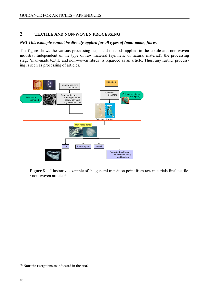# <span id="page-85-0"></span>**2 TEXTILE AND NON-WOVEN PROCESSING**

# *NB! This example cannot be directly applied for all types of (man-made) fibres.*

The figure shows the various processing steps and methods applied in the textile and non-woven industry. Independent of the type of raw material (synthetic or natural material), the processing stage 'man-made textile and non-woven fibres' is regarded as an article. Thus, any further processing is seen as processing of articles.



**Figure** 8 Illustrative example of the general transition point from raw materials final textile / non-woven articles<sup>[46](#page-85-0)</sup>

 $\overline{a}$ 

<sup>46</sup> **Note the exceptions as indicated in the text!**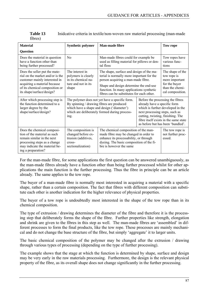| Table 13 | Inideative criteria in textile/non-woven raw material processing (man-made |
|----------|----------------------------------------------------------------------------|
| fibres)  |                                                                            |

| <b>Material</b>                                                                                                                                                                                   | <b>Synthetic polymer</b>                                                                                                                                                                                                                                                                         | <b>Man-made fibre</b>                                                                                                                                                                                                                                          |                                                                                                     | Tow rope                                                                                                                                            |
|---------------------------------------------------------------------------------------------------------------------------------------------------------------------------------------------------|--------------------------------------------------------------------------------------------------------------------------------------------------------------------------------------------------------------------------------------------------------------------------------------------------|----------------------------------------------------------------------------------------------------------------------------------------------------------------------------------------------------------------------------------------------------------------|-----------------------------------------------------------------------------------------------------|-----------------------------------------------------------------------------------------------------------------------------------------------------|
| <b>Question</b>                                                                                                                                                                                   |                                                                                                                                                                                                                                                                                                  |                                                                                                                                                                                                                                                                |                                                                                                     |                                                                                                                                                     |
| Does the material in question<br>have a function other than<br>being further processed?                                                                                                           | No<br>tal floss                                                                                                                                                                                                                                                                                  |                                                                                                                                                                                                                                                                | Man-made fibres could for example be<br>used as filling material for pillows or den-                |                                                                                                                                                     |
| Does the seller put the mate-<br>rial on the market and/or is the<br>customer mainly interested in<br>acquiring a material because<br>of its chemical composition or<br>its shape/surface/design? | The interest in<br>polymers is clearly<br>in its chemical na-<br>ture and not in its<br>shape                                                                                                                                                                                                    | The shape, surface and design of the ma-<br>terial is normally more important for the<br>person acquiring a man-made fibre.<br>Shape and design determine the end-use<br>function. In many applications synthetic<br>fibres can be substitutes for each other. |                                                                                                     | The shape of the<br>tow rope is<br>more important<br>for the buyer<br>than the chemi-<br>cal composition.                                           |
| After which processing step is<br>the function determined to a<br>larger degree by the<br>shape/surface/design?                                                                                   | The polymer does not yet have a specific form.<br>By spinning / drawing fibres are produced<br>which have a shape and design ('diameter')<br>which are deliberately formed during process-<br>ing.                                                                                               |                                                                                                                                                                                                                                                                | already have a specific form<br>next processing steps, such as<br>cutting, twisting, finishing. The | Before the processing the fibres<br>which is further developed in the<br>fibre itself exists in the same state<br>as before but has been 'bundled'. |
| Does the chemical composi-<br>tion of the material as such<br>remain similar in the next<br>processing steps as a change<br>may indicate the material be-<br>ing a preparation?                   | The composition is<br>The chemical composition of the man-<br>changed before ex-<br>made fibre may be changed in order to<br>enhance its processability, or through<br>trusion (additives,<br>dyeing. The basic composition of the fi-<br>cross-<br>bre is however the same<br>sectionalization) |                                                                                                                                                                                                                                                                |                                                                                                     | The tow rope is<br>not further proc-<br>essed.                                                                                                      |

For the man-made fibre, for some applications the first question can be answered unambiguously, as the man-made fibres already have a function other than being further processed whilst for other applications the main function is the further processing. Thus the fibre in principle can be an article already. The same applies to the tow rope.

The buyer of a man-made fibre is normally most interested in acquiring a material with a specific shape, rather than a certain composition. The fact that fibres with different composition can substitute each other is another indication for the higher relevance of physical properties.

The buyer of a tow rope is undoubtedly most interested in the shape of the tow rope than in its chemical composition.

The type of extrusion / drawing determines the diameter of the fibre and therefore it is the processing step that deliberately forms the shape of the fibre. Further properties like strength, elongation and shrink are given to the fibres in this step as well. The man-made fibres are 'assembled' in different processes to form the final products, like the tow rope. These processes are mainly mechanical and do not change the base structure of the fibre, but simply 'aggregate' it to larger units.

The basic chemical composition of the polymer may be changed after the extrusion / drawing through various types of processing (depending on the type of further processing).

The example shows that the stage at which the function is determined by shape, surface and design may be very early in the raw materials processing. Furthermore, the design is the relevant physical property of the fibre, as its overall shape does not change significantly in the further processing.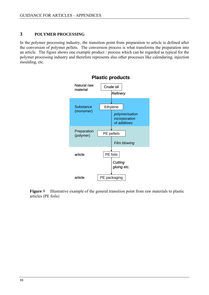# **3 POLYMER PROCESSING**

In the polymer processing industry, the transition point from preparation to article is defined after the conversion of polymer pellets. The conversion process is what transforms the preparation into an article. The figure shows one example product / process which can be regarded as typical for the polymer processing industry and therefore represents also other processes like calendaring, injection moulding, etc.



**Figure** 9 Illustrative example of the general transition point from raw materials to plastic articles (PE foils)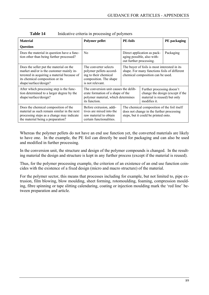| <b>Material</b>                                                                                                                                                                                | <b>Polymer pellet</b>                                                                                                             | <b>PE-foils</b>                                                                                                                   |                                                                            | PE packaging                     |
|------------------------------------------------------------------------------------------------------------------------------------------------------------------------------------------------|-----------------------------------------------------------------------------------------------------------------------------------|-----------------------------------------------------------------------------------------------------------------------------------|----------------------------------------------------------------------------|----------------------------------|
| <b>Question</b>                                                                                                                                                                                |                                                                                                                                   |                                                                                                                                   |                                                                            |                                  |
| Does the material in question have a func-<br>tion other than being further processed?                                                                                                         | N <sub>0</sub>                                                                                                                    | Direct application as pack-<br>aging possible, also with-<br>out further processing.                                              |                                                                            | Packaging                        |
| Does the seller put the material on the<br>market and/or is the customer mainly in-<br>terested in acquiring a material because of<br>its chemical composition or its<br>shape/surface/design? | The converter selects<br>polymer pellets accord-<br>ing to their chemical<br>composition. The shape<br>is not relevant.           | The buyer of foils is most interested in its<br>shape. For many functions foils of different<br>chemical composition can be used. |                                                                            |                                  |
| After which processing step is the func-<br>tion determined to a larger degree by the<br>shape/surface/design?                                                                                 | The conversion unit causes the delib-<br>erate formation of a shape of the<br>polymer material, which determines<br>its function. |                                                                                                                                   | Further processing doesn't<br>material is reused) but only<br>modifies it. | change the design (except if the |
| Does the chemical composition of the<br>material as such remain similar in the next<br>processing steps as a change may indicate<br>the material being a preparation?                          | Before extrusion, addi-<br>tives are mixed into the<br>raw material to obtain<br>certain functionalities.                         | The chemical composition of the foil itself<br>does not change in the further processing<br>steps, but it could be printed onto.  |                                                                            |                                  |

Whereas the polymer pellets do not have an end use function yet, the converted materials are likely to have one. In the example, the PE foil can directly be used for packaging and can also be used and modified in further processing.

In the conversion unit, the structure and design of the polymer compounds is changed. In the resulting material the design and structure is kept in any further process (except if the material is reused).

Thus, for the polymer processing example, the criterion of an existence of an end use function coincides with the existence of a fixed design (micro and macro structure) of the material.

For the polymer sector, this means that processes including for example, but not limited to, pipe extrusion, film blowing, blow moulding, sheet forming, rotomoulding, foaming, compression moulding, fibre spinning or tape slitting calendaring, coating or injection moulding mark the 'red line' between preparation and article.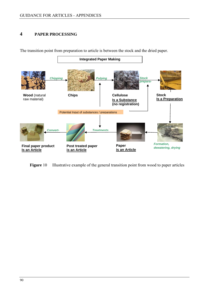# **4 PAPER PROCESSING**



The transition point from preparation to article is between the stock and the dried paper.

**Figure 10** Illustrative example of the general transition point from wood to paper articles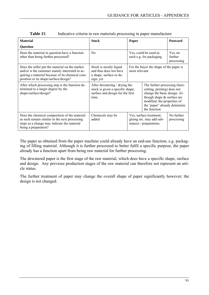| <b>Material</b>                                                                                                                                                                               | <b>Stock</b><br>Paper                                                                                                          |                                                           |                                                                                                                                                                                              | Postcard                         |  |
|-----------------------------------------------------------------------------------------------------------------------------------------------------------------------------------------------|--------------------------------------------------------------------------------------------------------------------------------|-----------------------------------------------------------|----------------------------------------------------------------------------------------------------------------------------------------------------------------------------------------------|----------------------------------|--|
| Question                                                                                                                                                                                      |                                                                                                                                |                                                           |                                                                                                                                                                                              |                                  |  |
| Does the material in question have a function<br>other than being further processed?                                                                                                          | No.                                                                                                                            | Yes, could be used as<br>such e.g. for packaging          |                                                                                                                                                                                              | Yes, no<br>further<br>processing |  |
| Does the seller put the material on the market<br>and/or is the customer mainly interested in ac-<br>quiring a material because of its chemical com-<br>position or its shape/surface/design? | Stock is mostly liquid<br>and thus does not have<br>a shape, surface or de-<br>sign, yet                                       | For the buyer the shape of the paper is<br>most relevant. |                                                                                                                                                                                              |                                  |  |
| After which processing step is the function de-<br>termined to a larger degree by the<br>shape/surface/design?                                                                                | After dewatering / drying the<br>stock is given a specific shape,<br>surface and design for the first<br>time.<br>the function |                                                           | The further processing (here:<br>cutting, printing) does not<br>change the basic design. Al-<br>though shape $&$ surface are<br>modified, the properties of<br>the 'paper' already determine |                                  |  |
| Does the chemical composition of the material<br>as such remain similar in the next processing<br>steps as a change may indicate the material<br>being a preparation?                         | Chemicals may be<br>added                                                                                                      |                                                           | Yes, surface treatment,<br>gluing etc. may add sub-<br>stances / preparations.                                                                                                               | No further<br>processing         |  |

| Table 15 |  |  | Indicative criteria in raw materials processing in paper manufacture |  |
|----------|--|--|----------------------------------------------------------------------|--|
|----------|--|--|----------------------------------------------------------------------|--|

The paper as obtained from the paper machine could already have an end-use function, e.g. packaging of filling material. Although it is further processed to better fulfil a specific purpose, the paper already has a function apart from being raw material for further processing.

The dewatered paper is the first stage of the raw material, which does have a specific shape, surface and design. Any previous production stages of the raw material can therefore not represent an article status.

The further treatment of paper may change the overall shape of paper significantly however; the design is not changed.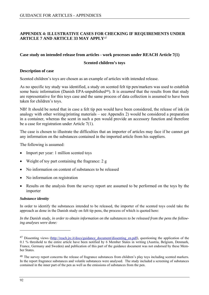# <span id="page-91-0"></span>**APPENDIX 4: ILLUSTRATIVE CASES FOR CHECKING IF REQUIREMENTS UNDER ARTICLE 7 AND ARTICLE 33 MAY APPLY**[47](#page-91-0)

## **Case study on intended release from articles - work processes under REACH Article 7(1)**

## **Scented children's toys**

## **Description of case**

Scented children's toys are chosen as an example of articles with intended release.

As no specific toy study was identified, a study on scented felt tip pen/markers was used to establish some basic information (Danish EPA-unpublished<sup>[48](#page-91-0)</sup>). It is *assumed* that the results from that study are representative for this toys case and the same process of data collection is assumed to have been taken for children's toys.

NB! It should be noted that in case a felt tip pen would have been considered, the release of ink (in analogy with other writing/printing materials – see Appendix 2) would be considered a preparation in a container, whereas the scent in such a pen would provide an accessory function and therefore be a case for registration under Article 7(1).

The case is chosen to illustrate the difficulties that an importer of articles may face if he cannot get any information on the substances contained in the imported article from his suppliers.

The following is assumed:

- Import per year: 1 million scented toys
- Weight of toy part containing the fragrance: 2 g
- No information on content of substances to be released
- No information on registration
- Results on the analysis from the survey report are assumed to be performed on the toys by the importer

## *Substance identity*

In order to identify the substances intended to be released, the importer of the scented toys could take the approach as done in the Danish study on felt tip pens, the process of which is quoted here:

*In the Danish study, in order to obtain information on the substances to be released from the pens the following analyses were done:* 

 $\overline{a}$ 

<sup>&</sup>lt;sup>47</sup> Dissenting views (http://reach.jrc.it/docs/guidance\_document/dissenting\_en.pdf), questioning the application of the 0.1 % threshold to the entire article have been notified by 6 Member States in writing (Austria, Belgium, Denmark, France, Germany and Sweden) and publication of this part of the guidance document was not endorsed by these Member States.

<sup>&</sup>lt;sup>48</sup> The survey report concerns the release of fragrance substances from children's play toys including scented markers. In the report fragrance substances and volatile substances were analysed. The study included a screening of substances contained in the inner part of the pen as well as the emissions of substances from the pen.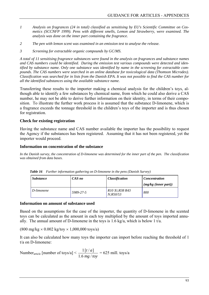- *1 Analysis on fragrances (24 in total) classified as sensitising by EU's Scientific Committee on Cosmetics (SCCNFP 1999). Pens with different smells, Lemon and Strawberry, were examined. The analysis was done on the inner part containing the fragrance.*
- *2 The pen with lemon scent was examined in an emission test to analyse the release.*
- *3 Screening for extractable organic compounds by GC/MS.*

*A total of 11 sensitising fragrance substances were found in the analysis on fragrances and substance names and CAS numbers could be identified. During the emission test various compounds were detected and identified by substance name. Only one substance was identified by name in the screening for extractable compounds. The CAS numbers were searched in an online database for toxicological data (Thomson Microdex). Classification was searched for in lists from the Danish EPA. It was not possible to find the CAS number for all the identified substances using the available substance name.* 

Transferring these results to the importer making a chemical analysis for the children's toys, although able to identify a few substances by chemical name, from which he could also derive a CAS number, he may not be able to derive further information on their identity, in terms of their composition. To illustrate the further work process it is assumed that the substance D-limonene, which is a fragrance exceeds the tonnage threshold in the children's toys of the importer and is thus chosen for registration.

## **Check for existing registration**

Having the substance name and CAS number available the importer has the possibility to request the Agency if the substances has been registered. Assuming that it has not been registered, yet the importer would proceed.

## **Information on concentration of the substance**

*In the Danish survey, the concentration of D-limonene was determined for the inner part of the pen. The classification was obtained from data bases.* 

| <i>Substance</i> | CAS no    | <b>Classification</b>      | <b>Concentration</b> |
|------------------|-----------|----------------------------|----------------------|
|                  |           |                            | (mg/kg (inner part)) |
| D-limonene       | 5989-27-5 | R10 Xi:R38 R43<br>N:R50/53 | 800                  |

*Table 16 Further information gathering on D-limonene in the pens (Danish Survey)*

## **Information on amount of substance used**

Based on the assumptions for the case of the importer, the quantity of D-limonene in the scented toys can be calculated as the amount in each toy multiplied by the amount of toys imported annually. The annual amount of D-limonene in the toys is 1.6 kg/a, which is below 1 t/a.

 $(800 \text{ mg/kg} \times 0.002 \text{ kg/tov} \times 1,000,000 \text{ toys/a})$ 

It can also be calculated how many toys the importer can import before reaching the threshold of 1 t/a on D-limonene:

Number<sub>article</sub> [number of toys/a]  $\leq$ mg / toy *at*  $1.6$  mg  $/$  $\frac{1[t/a]}{2}$  = 625 mill. toys/a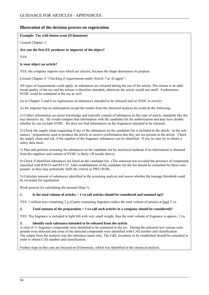## **Illustration of the decision process on registration**

#### **Example: Toy with lemon scent (D-limonene)**

*Consult Chapter 1:* 

#### **Are you the first EU producer or importer of the object?**

YES

### **Is your object an article?**

YES, the company imports toys which are articles, because the shape determines its purpose.

*Consult Chapter 4 "Checking if requirements under Article 7 or 33 apply":* 

All types of requirements could apply, as substances are released during the use of the article. The release is an additional quality of the toy and the release is therefore intended, otherwise the article would not smell. Furthermore, SVHC could be contained in the toy as well.

*Go to Chapter 5 and 6 on registration of substances intended to be released and on SVHC in articles* 

As the importer has no information except the results from the chemical analysis he could do the following:

1) Collect information on sector knowledge and typically content of substances in this type of article, standards like the toys directive etc. He would compare that information with the candidate list for authorization and may have doubts whether he can exclude SVHC. He does not find information on the fragrances intended to be released.

2) Check the supply chain requesting if any of the substances on the candidate list is included in the article / in the substances / preparations used to produce the article or receive confirmation that they are not present in the article. Check the supply chain and ask, if the supplier of the fragrance substances can be identified. If yes, he may try to obtain a safety data sheet.

3) Plan and perform screening for substances on the candidate list by analytical methods if no information is obtained from the suppliers and content of SVHC is likely  $(\rightarrow)$  results above)

4) Check if identified substances are listed on the candidate list. (The emission test revealed the presence of compounds classified with R50/53 and R51/53. After establishment of the candidate list the list should be consulted for these compounds, as they may potentially fulfil the criteria as PBT/vPvB).

5) Calculate amount of substances identified in the screening analysis and assess whether the tonnage threshold could be exceeded for registration

Work process for calculating the amount (Step 5)

#### **1. Is the total volume of articles > 1 t/a (all articles should be considered and summed up)?**

YES. 1 million toys containing 2 g of parts containing fragrance makes the total volume of articles at least 2 t/a.

#### **2. Total amount of the preparation > 1 t/a (all such articles in a company should be considered)?**

YES. The fragrance is included in light felt with very small weight, thus the total volume of fragrance is approx. 2 t/a.

#### **3. Identify each substance intended to be released from the article.**

A total of 11 fragrance compounds were identified to be contained in the toy. During the emission test various compounds were detected and some of the detected compounds were identified with CAS number and classification. The output from the analysis was the substance name only. The C&L inventory to be established should be consulted in order to obtain CAS number and classification.

Further steps in this case are focused on D-limonene, which was identified in the chemical analysis.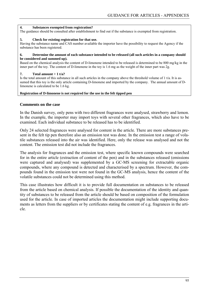#### **4. Substances exempted from registration?**

The guidance should be consulted after establishment to find out if the substance is exempted from registration.

#### **5. Check for existing registration for that use.**

Having the substance name and CAS number available the importer have the possibility to request the Agency if the substance has been registered.

#### **6. Determine the amount of each substance intended to be released (all such articles in a company should be considered and summed up).**

Based on the chemical analysis the content of D-limonene intended to be released is determined to be 800 mg/kg in the inner part of the toy. The content of D-limonene in the toy is 1.6 mg as the weight of the inner part was 2g.

### **7. Total amount > 1 t/a?**

Is the total amount of this substance in all such articles in the company above the threshold volume of  $1 \frac{1}{a}$ . It is assumed that this toy is the only article containing D-limonene and imported by the company. The annual amount of Dlimonene is calculated to be 1.6 kg.

#### **Registration of D-limonene is not required for the use in the felt tipped pen**

## **Comments on the case**

In the Danish survey, only pens with two different fragrances were analysed, strawberry and lemon. In the example, the importer may import toys with several other fragrances, which also have to be examined. Each individual substance to be released has to be identified.

Only 24 selected fragrances were analysed for content in the article. There are more substances present in the felt tip pen therefore also an emission test was done. In the emission test a range of volatile substances released into the air was identified. Here, only the release was analysed and not the content. The emission test did not include the fragrances.

The analysis for fragrances and the emission test, where specific known compounds were searched for in the entire article (extraction of content of the pen) and in the substances released (emissions were captured and analysed) was supplemented by a GC-MS screening for extractable organic compounds, where any compound is detected and characterised by a spectrum. However, the compounds found in the emission test were not found in the GC-MS analysis, hence the content of the volatile substances could not be determined using this method.

This case illustrates how difficult it is to provide full documentation on substances to be released from the article based on chemical analysis. If possible the documentation of the identity and quantity of substances to be released from the article should be based on composition of the formulation used for the article. In case of imported articles the documentation might include supporting documents as letters from the suppliers or by certificates stating the content of e.g. fragrances in the article.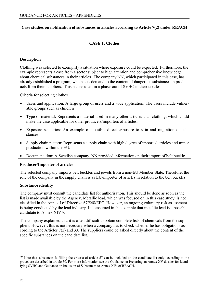# <span id="page-95-0"></span>**Case studies on notification of substances in articles according to Article 7(2) under REACH**

# **CASE 1: Clothes**

## **Description**

Clothing was selected to exemplify a situation where exposure could be expected. Furthermore, the example represents a case from a sector subject to high attention and comprehensive knowledge about chemical substances in their articles. The company NN, which participated in this case, has already established a program, which sets demand to the content of dangerous substances in products from their suppliers. This has resulted in a phase-out of SVHC in their textiles.

Criteria for selecting clothes

- Users and application: A large group of users and a wide application; The users include vulnerable groups such as children
- Type of material: Represents a material used in many other articles than clothing, which could make the case applicable for other producers/importers of articles.
- Exposure scenarios: An example of possible direct exposure to skin and migration of substances.
- Supply chain pattern: Represents a supply chain with high degree of imported articles and minor production within the EU.
- Documentation: A Swedish company, NN provided information on their import of belt buckles.

## **Producer/Importer of articles**

The selected company imports belt buckles and jewels from a non-EU Member State. Therefore, the role of the company in the supply chain is as EU-importer of articles in relation to the belt buckles.

## **Substance identity**

The company must consult the candidate list for authorisation. This should be done as soon as the list is made available by the Agency. Metallic lead, which was focused on in this case study, is not classified in the Annex I of Directive 67/548/EEC. However, an ongoing voluntary risk assessment is being conducted by the lead industry. It is assumed in the example that metallic lead is a possible candidate to Annex XIV[49.](#page-95-0)

The company explained that it is often difficult to obtain complete lists of chemicals from the suppliers. However, this is not necessary when a company has to check whether he has obligations according to the Articles 7(2) and 33. The suppliers could be asked directly about the content of the specific substances on the candidate list.

<sup>&</sup>lt;sup>49</sup> Note that substances fulfilling the criteria of article 57 can be included on the candidate list only according to the procedure described in article 59. For more information see the Guidance on Preparing an Annex XV dossier for identifying SVHC and Guidance on Inclusion of Substances to Annex XIV of REACH.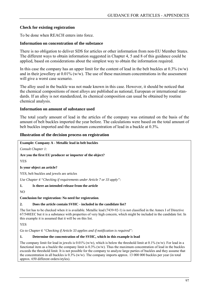# **Check for existing registration**

To be done when REACH enters into force.

## **Information on concentration of the substance**

There is no obligation to deliver SDS for articles or other information from non-EU Member States. The different ways to obtain information suggested in Chapter 4, 5 and 8 of this guidance could be applied, based on considerations about the simplest way to obtain the information required.

In this case the company has an upper limit for the content of lead in the belt buckles at  $0.3\%$  (w/w) and in their jewellery at  $0.01\%$  (w/w). The use of these maximum concentrations in the assessment will give a worst case scenario.

The alloy used in the buckle was not made known in this case. However, it should be noticed that the chemical compositions of most alloys are published as national, European or international standards. If an alloy is not standardized, its chemical composition can usual be obtained by routine chemical analysis.

## **Information on amount of substance used**

The total yearly amount of lead in the articles of the company was estimated on the basis of the amount of belt buckles imported the year before. The calculations were based on the total amount of belt buckles imported and the maximum concentration of lead in a buckle at 0.3%.

## **Illustration of the decision process on registration**

**Example: Company A - Metallic lead in belt buckles** 

*Consult Chapter 1:* 

**Are you the first EU producer or importer of the object?** 

YES

**Is your object an article?** 

YES, belt buckles and jewels are articles

*Use Chapter 4 "Checking if requirements under Article 7 or 33 apply":* 

**1. Is there an intended release from the article** 

NO

**Conclusion for registration: No need for registration**.

## **2. Does the article contain SVHC - included in the candidate list?**

The list has to be checked when it is available. Metallic lead (7439-92-1) is not classified in the Annex I of Directive 67/548EEC but it is a substance with properties of very high concern, which might be included in the candidate list. In this example it is assumed that it will be on this list.

YES

*Go to Chapter 6 "Checking if Article 33 applies and if notification is required":* 

## **1. Determine the concentration of the SVHC, which in this example is lead**

The company limit for lead in jewels is  $0.01\%$  (w/w), which is below the threshold limit at  $0.1\%$  (w/w). For lead in a functional item as a buckle the company limit is  $0.3\%$  (w/w). Thus the maximum concentration of lead in the buckles exceeds the threshold limit. It is not possible for the company to analyze large parties of buckles and they assume that the concentration in all buckles is  $0.3\%$  (w/w). The company imports approx. 13 000 000 buckles per year (in total approx. 650 different orders/styles).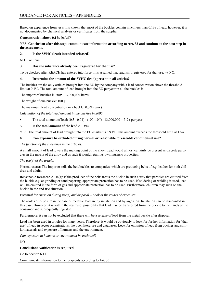Based on experience from tests it is known that most of the buckles contain much less than 0.1% of lead, however, it is not documented by chemical analysis or certificates from the supplier.

### **Concentration above 0.1% (w/w)?**

YES. **Conclusion after this step: communicate information according to Art. 33 and continue to the next step in the assessment.** 

### **2. Is the SVHC (lead) intended released**?

NO. Continue

## **3. Has the substance already been registered for that use**?

To be checked after REACH has entered into force. It is assumed that lead isn't registered for that use:  $\rightarrow$  NO.

### **4. Determine the amount of the SVHC (lead) present in all articles?**

The buckles are the only articles brought into the EU by the company with a lead concentration above the threshold limit at 0.1%. The total amount of lead brought into the EU per year in all the buckles is:

The import of buckles in 2005: 13,000,000 items

The weight of one buckle: 100 g

The maximum lead concentration in a buckle:  $0.3\%$  (w/w)

*Calculation of the total lead amount in the buckles in 2005*:

• The total amount of lead:  $(0.3 \cdot 0.01) \cdot (100 \cdot 10^{-6}) \cdot 13,000,000 = 3.9$  t per year

### **5. Is the total amount of the lead > 1 t/a?**

YES. The total amount of lead brought into the EU-market is  $3.9 \,$ t/a. This amount exceeds the threshold limit at 1 t/a.

### **6. Can exposure be excluded during normal or reasonable foreseeable conditions of use?**

*The function of the substance in the articles:* 

A small amount of lead lowers the melting point of the alloy. Lead would almost certainly be present as discrete particles in the matrix of the alloy and as such it would retain its own intrinsic properties.

#### *The use(s) of the article:*

Normal use(s): The importer sells the belt buckles to companies, which are producing belts of e.g. leather for both children and adults.

Reasonable foreseeable use(s): If the producer of the belts treats the buckle in such a way that particles are emitted from the buckle e.g. at grinding or sand papering, appropriate protection has to be used. If soldering or welding is used, lead will be emitted in the form of gas and appropriate protection has to be used. Furthermore, children may suck on the buckle in the end-use situation.

*Potential for emission during use(s) and disposal – Look at the routes of exposure:*

The routes of exposure in the case of metallic lead are by inhalation and by ingestion. Inhalation can be discounted in this case. However, it is within the realms of possibility that lead may be transferred from the buckle to the hands of the consumer and subsequently ingested.

Furthermore, it can not be excluded that there will be a release of lead from the metal buckle after disposal.

Lead has been used in articles for many years. Therefore, it would be obviously to look for further information for 'that use' of lead in sector organisations, the open literature and databases. Look for emission of lead from buckles and similar materials and exposure of humans and the environment.

*Can exposure to humans or environment be excluded?* 

NO

#### **Conclusion: Notification is required**

Go to Section 6.11

Communicate information to the recipients according to Art. 33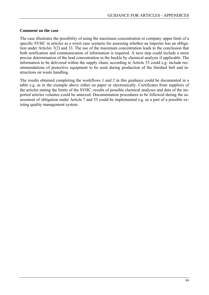## **Comment on the case**

The case illustrates the possibility of using the maximum concentration or company upper limit of a specific SVHC in articles as a worst case scenario for assessing whether an importer has an obligation under Articles 7(2) and 33. The use of the maximum concentration leads to the conclusion that both notification and communication of information is required. A next step could include a more precise determination of the lead concentration in the buckle by chemical analysis if applicable. The information to be delivered within the supply chain, according to Article 33 could e.g. include recommendations of protective equipment to be used during production of the finished belt and instructions on waste handling.

The results obtained completing the workflows 1 and 2 in this guidance could be documented in a table e.g. as in the example above either on paper or electronically. Certificates from suppliers of the articles stating the limits of the SVHC, results of possible chemical analyses and data of the imported articles volumes could be annexed. Documentation procedures to be followed during the assessment of obligation under Article 7 and 33 could be implemented e.g. as a part of a possible existing quality management system.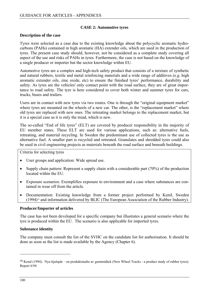## **CASE 2: Automotive tyres**

## <span id="page-99-0"></span>**Description of the case**

Tyres were selected as a case due to the existing knowledge about the polycyclic aromatic hydrocarbons (PAHs) contained in high aromatic (HA) extender oils, which are used in the production of tyres. The present case study should, however, not be considered as a complete study covering all aspect of the use and risks of PAHs in tyres*.* Furthermore, the case is not based on the knowledge of a single producer or importer but the sector knowledge within EU.

Automotive tyres are a complex and high-tech safety product that consists of a mixture of synthetic and natural rubbers, textile and metal reinforcing materials and a wide range of additives (e.g. high aromatic extender oils, zinc oxide, etc) to ensure the finished tyres' performance, durability and safety. As tyres are the vehicles' only contact point with the road surface, they are of great importance to road safety. The tyre is here considered to cover both winter and summer tyres for cars, trucks, buses and trailers.

Users are in contact with new tyres via two routes. One is through the "original equipment market" where tyres are mounted on the wheels of a new car. The other, is the "replacement market" where old tyres are replaced with new ones. The retreating market belongs to the replacement market, but it is a special case as it is only the tread, which is new.

The so-called "End of life tyres" (ELT) are covered by producer responsibility in the majority of EU member states. These ELT are used for various applications, such as: alternative fuels, retreating, and material recycling. In Sweden the predominant use of collected tyres is the use as alternative fuel. A smaller part is recycled and retreated. Granulates and shredded tyres could also be used in civil engineering projects as materials beneath the road surface and beneath buildings.

Criteria for selecting tyres

- User groups and application: Wide spread use.
- Supply chain pattern: Represent a supply chain with a considerable part (70%) of the production located within the EU.
- Exposure scenarios: Exemplifies exposure to environment and a case where substances are contained in wear off from the article.
- Documentation: Existing knowledge from a former project performed by KemI, Sweden  $(1994)$ <sup>[50](#page-99-0)</sup> and information delivered by BLIC (The European Association of the Rubber Industry).

## **Producer/Importer of articles**

The case has not been developed for a specific company but illustrates a general scenario where the tyre is produced within the EU. The scenario is also applicable for imported tyres.

## **Substance identity**

The company must consult the list of the SVHC on the candidate list for authorisation. It should be done as soon as the list is made available by the Agency (Chapter 6).

 $\overline{a}$ 

<sup>50</sup> KemI (1994). Nya hjulspår – en produktstudie av gummidäck (New Wheel Tracks - a product study of rubber tyres). Report 6/94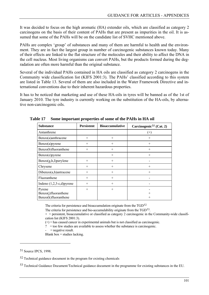<span id="page-100-0"></span>It was decided to focus on the high aromatic (HA) extender oils, which are classified as category 2 carcinogens on the basis of their content of PAHs that are present as impurities in the oil. It is assumed that some of the PAHs will be on the candidate list of SVHC mentioned above.

PAHs are complex 'group' of substances and many of them are harmful to health and the environment. They are in fact the largest group in number of carcinogenic substances known today. Many of their effects are linked to the flat structure of the molecules and their ability to affect the DNA in the cell nucleus. Most living organisms can convert PAHs, but the products formed during the degradation are often more harmful than the original substance.

Several of the individual PAHs contained in HA oils are classified as category 2 carcinogens in the Community wide classification list (KIFS 2001:3). The PAHs' classified according to this system are listed in Table 13. Several of them are also included in the Water Framework Directive and international conventions due to their inherent hazardous properties.

It has to be noticed that marketing and use of these HA-oils in tyres will be banned as of the 1st of January 2010. The tyre industry is currently working on the substitution of the HA-oils, by alternative non-carcinogenic oils.

| <b>Substance</b>                                       | <b>Persistent</b> | <b>Bioaccumulative</b> | Carcinogenic <sup>51</sup> (Cat. 2) |
|--------------------------------------------------------|-------------------|------------------------|-------------------------------------|
| Antanthrene                                            |                   |                        | $^{(+)}$                            |
| Benzo(a)anthracene                                     | $^{+}$            | $^{+}$                 | $^{+}$                              |
| Benzo(a)pyrene                                         | $^{+}$            | $+$                    | $^{+}$                              |
| Benzo(b)fluoranthene                                   | $^{+}$            | $+$                    | $+$                                 |
| Benzo(e)pyrene                                         |                   | $+$                    | $^{+}$                              |
| $Benzo(g,h,I)$ per ylene                               | $^{+}$            | $^{+}$                 |                                     |
| Chrysene                                               | $^{+}$            | $+$                    | $^{+}$                              |
| Dibenzo(a,h)antracene                                  | $^{+}$            | $+$                    | $^{+}$                              |
| Fluoranthene                                           | $^{+}$            | $^{+}$                 |                                     |
| Indeno $(1,2,3-c,d)$ pyrene                            | $+$               | $+$                    |                                     |
| Pyrene<br>Benzo(j)fluoranthene<br>Benzo(k)fluoranthene | $+$               | $+$                    | $^+$<br>$^+$                        |

**Table 17 Some important properties of some of the PAHs in HA oil** 

The criteria for persistence and bioaccumulation originate from the TGD<sup>[52](#page-100-0)</sup>

The criteria for persistence and bio-accumulability originate from the TGD<sup>[53](#page-100-0)</sup>.

 $+$  = persistent, bioaccumulative or classified as category 2 carcinogenic in the Community-wide classification list (KIFS 2001:3).

 $(+)$  = has caused cancer in experimental animals but is not classified as carcinogenic.

? = too few studies are available to assess whether the substance is carcinogenic.

 $=$  negative result.

Blank box  $=$  studies lacking.

 $\overline{a}$ 

<sup>51</sup> Source IPCS, 1998.

<sup>52</sup> Technical guidance document in the program for existing chemicals

<sup>53</sup> Technical Guidance Document/Technical guidance document in the programme for existing substances in the EU.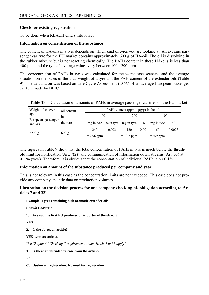# **Check for existing registration**

To be done when REACH enters into force.

## **Information on concentration of the substance**

The content of HA-oils in a tyre depends on which kind of tyres you are looking at. An average passenger car tyre for the EU market contains approximately 600 g of HA-oil. The oil is dissolving in the rubber mixture but is not reacting chemically. The PAHs content in these HA-oils is less than 400 ppm and the typical average values vary between 100 - 200 ppm.

The concentration of PAHs in tyres was calculated for the worst case scenario and the average situation on the bases of the total weight of a tyre and the PAH content of the extender oils (Table 9). The calculation was based on Life Cycle Assessment (LCA) of an average European passenger car tyre made by BLIC.

| Weight of an aver-                    | oil content |              | PAHs content (ppm = $\mu$ g/g) in the oil |              |       |             |               |
|---------------------------------------|-------------|--------------|-------------------------------------------|--------------|-------|-------------|---------------|
| age<br>European passenger<br>car tyre | 1n          | 400          |                                           | 200          |       | 100         |               |
|                                       | the tyre    | mg in tyre   | $%$ in tyre                               | mg in tyre   | $\%$  | mg in tyre  | $\frac{0}{0}$ |
| 8700 g                                |             | 240          | 0,003                                     | 120          | 0,001 | 60          | 0,0007        |
|                                       | 600 g       | $= 27.6$ ppm |                                           | $= 13,8$ ppm |       | $= 6.9$ ppm |               |

**Table 18** Calculation of amounts of PAHs in average passenger car tires on the EU market

The figures in Table 9 show that the total concentration of PAHs in tyre is much below the threshold limit for notification (Art. 7(2)) and communication of information down streams (Art. 33) at 0.1 % (w/w). Therefore, it is obvious that the concentration of individual PAHs is  $\leq 0.1\%$ .

## **Information on amount of the substance produced per company and year**

This is not relevant in this case as the concentration limits are not exceeded. This case does not provide any company specific data on production volumes.

## **Illustration on the decision process for one company checking his obligation according to Articles 7 and 33)**

**Example: Tyres containing high aromatic extender oils**  *Consult Chapter 1:* **1. Are you the first EU producer or importer of the object?** YES **2. Is the object an article?** YES, tyres are articles *Use Chapter 4 "Checking if requirements under Article 7 or 33 apply"*  **3. Is there an intended release from the article?**  NO **Conclusion on registration: No need for registration**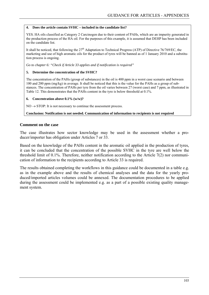## **4. Does the article contain SVHC – included in the candidate list?**

YES. HA oils classified as Category 2 Carcinogen due to their content of PAHs, which are an impurity generated in the production process of the HA oil. For the purposes of this example, it is assumed that DEHP has been included on the candidate list.

It shall be noticed, that following the  $27<sup>th</sup>$  Adaptation to Technical Progress (ATP) of Directive 76/769/EC, the marketing and use of high aromatic oils for the product of tyres will be banned as of 1 January 2010 and a substitution process is ongoing.

*Go to chapter 6: "Check if Article 33 applies and if notification is required"*

## **5. Determine the concentration of the SVHC?**

The concentration of the PAHs (group of substances) in the oil is 400 ppm in a worst case scenario and between 100 and 200 ppm (mg/kg) in average. It shall be noticed that this is the value for the PAHs as a group of substances. The concentration of PAHs per tyre from the oil varies between 27 (worst case) and 7 ppm, as illustrated in Table 12. This demonstrates that the PAHs content in the tyre is below threshold at 0.1%.

### **6. Concentration above 0.1% (w/w)?**

 $NO \rightarrow STOP$ : It is not necessary to continue the assessment process.

**Conclusion: Notification is not needed. Communication of information to recipients is not required** 

## **Comment on the case**

The case illustrates how sector knowledge may be used in the assessment whether a producer/importer has obligation under Articles 7 or 33.

Based on the knowledge of the PAHs content in the aromatic oil applied in the production of tyres, it can be concluded that the concentration of the possible SVHC in the tyre are well below the threshold limit of 0.1%. Therefore, neither notification according to the Article 7(2) nor communication of information to the recipients according to Article 33 is required.

The results obtained completing the workflows in this guidance could be documented in a table e.g. as in the example above and the results of chemical analyses and the data for the yearly produced/imported articles volumes could be annexed. The documentation procedures to be applied during the assessment could be implemented e.g. as a part of a possible existing quality management system.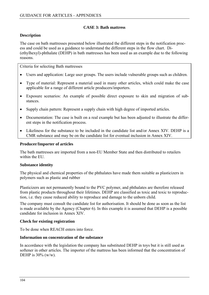# **CASE 3: Bath mattress**

# **Description**

The case on bath mattresses presented below illustrated the different steps in the notification process and could be used as a guidance to understand the different steps in the flow chart. Di- (ethylhexyl)-phthalate (DEHP) in bath mattresses has been used as an example due to the following reasons.

Criteria for selecting Bath mattresses

- Users and application: Large user groups. The users include vulnerable groups such as children.
- Type of material: Represent a material used in many other articles, which could make the case applicable for a range of different article producers/importers.
- Exposure scenarios: An example of possible direct exposure to skin and migration of substances.
- Supply chain pattern: Represent a supply chain with high degree of imported articles.
- Documentation: The case is built on a real example but has been adjusted to illustrate the different steps in the notification process.
- Likeliness for the substance to be included in the candidate list and/or Annex XIV. DEHP is a CMR substance and may be on the candidate list for eventual inclusion in Annex XIV.

## **Producer/Importer of articles**

The bath mattresses are imported from a non-EU Member State and then distributed to retailers within the EU.

## **Substance identity**

The physical and chemical properties of the phthalates have made them suitable as plasticizers in polymers such as plastic and rubber

Plasticizers are not permanently bound to the PVC polymer, and phthalates are therefore released from plastic products throughout their lifetimes. DEHP are classified as toxic and toxic to reproduction, i.e. they cause reduced ability to reproduce and damage to the unborn child.

The company must consult the candidate list for authorisation. It should be done as soon as the list is made available by the Agency (Chapter 6). In this example it is assumed that DEHP is a possible candidate for inclusion in Annex XIV.

## **Check for existing registration**

To be done when REACH enters into force.

## **Information on concentration of the substance**

In accordance with the legislation the company has substituted DEHP in toys but it is still used as softener in other articles. The importer of the mattress has been informed that the concentration of DEHP is  $30\%$  (w/w).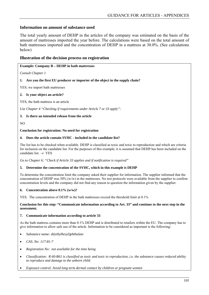# **Information on amount of substance used**

The total yearly amount of DEHP in the articles of the company was estimated on the basis of the amount of mattresses imported the year before. The calculations were based on the total amount of bath mattresses imported and the concentration of DEHP in a mattress at 30.0%. (See calculations below)

## **Illustration of the decision process on registration**

#### **Example: Company B – DEHP in bath mattresses**

*Consult Chapter 1* 

**1. Are you the first EU producer or importer of the object in the supply chain?** 

YES, we import bath mattresses

### **2. Is your object an article?**

YES, the bath mattress is an article

*Use Chapter 4 "Checking if requirements under Article 7 or 33 apply":* 

## **3. Is there an intended release from the article**

NO

#### **Conclusion for registration: No need for registration**

### **4. Does the article contain SVHC - included in the candidate list?**

The list has to be checked when available. DEHP is classified as toxic and toxic to reproduction and which are criteria for inclusion on the candidate list. For the purposes of this example, it is assumed that DEHP has been included on the candidate list.  $\rightarrow$  YES

*Go to Chapter 6: "Check if Article 33 applies and if notification is required"*

#### **5. Determine the concentration of the SVHC, which in this example is DEHP**

To determine the concentration limit the company asked their supplier for information. The supplier informed that the concentration of DEHP was 30% (w/w) in the mattresses. No test protocols were available from the supplier to confirm concentration levels and the company did not find any reason to question the information given by the supplier.

#### **6. Concentration above 0.1% (w/w)?**

YES. The concentration of DEHP in the bath mattresses exceed the threshold limit at 0.1%

**Conclusion for this step: "Communicate information according to Art. 33" and continue to the next step in the assessment.** 

#### **7. Communicate information according to article 33**

As the bath mattress contains more than 0.1% DEHP and is distributed to retailers within the EU. The company has to give information to allow safe use of the article. Information to be considered as important is the following:

- *Substance name: di(ethylhexyl)phthalate*
- *CAS. No: 117-81-7*
- *Registration No: not available for the time being*
- *Classification: R 60-R61 is classified as toxic and toxic to reproduction, i.e. the substance causes reduced ability to reproduce and damage to the unborn child.*
- *Exposure control: Avoid long term dermal contact by children or pregnant women*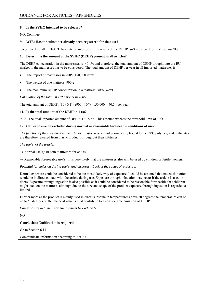### **8. Is the SVHC intended to be released?**

NO. Continue

#### **9. WF3: Has the substance already been registered for that use?**

To be checked after REACH has entered into force. It is assumed that DEHP isn't registered for that use:  $\rightarrow$  NO.

#### **10. Determine the amount of the SVHC (DEHP) present in all articles?**

The DEHP concentration in the mattresses is  $> 0.1\%$  and therefore, the total amount of DEHP brought into the EUmarket in the mattresses has to be considered. The total amount of DEHP per year in all imported mattresses is:

- The import of mattresses in 2005: 150,000 items
- The weight of one mattress: 900 g
- The maximum DEHP concentration in a mattress:  $30\%$  (w/w)

*Calculation of the total DEHP amount in 2005*:

The total amount of DEHP:  $(30 \cdot 0.1) \cdot (900 \cdot 10^{-6}) \cdot 150,000 = 40.5$  t per year

#### **11. Is the total amount of the DEHP > 1 t/a?**

YES. The total imported amount of DEHP is 40.5 t/a. This amount exceeds the threshold limit of 1 t/a.

#### **12. Can exposure be excluded during normal or reasonable foreseeable conditions of use?**

*The function of the substance in the articles:* Plasticizers are not permanently bound to the PVC polymer, and phthalates are therefore released from plastic products throughout their lifetimes.

*The use(s) of the article:* 

 $\rightarrow$  Normal use(s): In bath mattresses for adults

 $\rightarrow$  Reasonable foreseeable use(s): It is very likely that the mattresses also will be used by children or fertile women.

*Potential for emission during use(s) and disposal – Look at the routes of exposure:*

Dermal exposure could be considered to be the most likely way of exposure. It could be assumed that naked skin often would be in direct contact with the article during use. Exposure through inhalation may occur if the article is used indoors. Exposure through ingestion is also possible as it could be considered to be reasonable foreseeable that children might suck on the mattress, although due to the size and shape of the product exposure through ingestion is regarded as limited.

Further more as the product is mainly used in direct sunshine in temperatures above 20 degrees the temperature can be up to 50 degrees on the material which could contribute to a considerable emission of DEHP.

*Can exposure to humans or environment be excluded?* 

NO

**Conclusion: Notification is required**

Go to Section 6.11

Communicate information according to Art. 33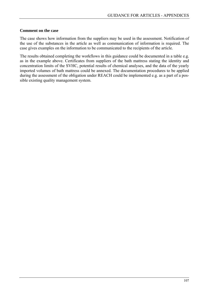# **Comment on the case**

The case shows how information from the suppliers may be used in the assessment. Notification of the use of the substances in the article as well as communication of information is required. The case gives examples on the information to be communicated to the recipients of the article.

The results obtained completing the workflows in this guidance could be documented in a table e.g. as in the example above. Certificates from suppliers of the bath mattress stating the identity and concentration limits of the SVHC, potential results of chemical analyses, and the data of the yearly imported volumes of bath mattress could be annexed. The documentation procedures to be applied during the assessment of the obligation under REACH could be implemented e.g. as a part of a possible existing quality management system.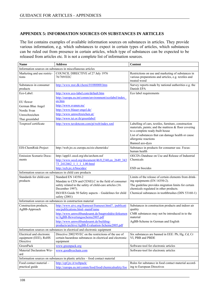# **APPENDIX 5: INFORMATION SOURCES ON SUBSTANCES IN ARTICLES**

The list contains examples of available information sources on substances in articles. They provide various information, e.g. which substances to expect in certain types of articles, which substances can be ruled out from presence in certain articles, which type of substances can be expected to be released from articles etc. It is not a complete list of information sources.

| <b>Name</b>                                                                   | <b>Address</b>                                                                             | <b>Content</b>                                                                                                                                                                                        |  |  |  |
|-------------------------------------------------------------------------------|--------------------------------------------------------------------------------------------|-------------------------------------------------------------------------------------------------------------------------------------------------------------------------------------------------------|--|--|--|
|                                                                               | Information sources on substances in miscellaneous articles                                |                                                                                                                                                                                                       |  |  |  |
| Marketing and use restric-<br>tions                                           | COUNCIL DIRECTIVE of 27 July 1976<br>76/769/EEC                                            | Restrictions on use and marketing of substances in<br>various preparations and articles, e.g. textiles and<br>treated wood                                                                            |  |  |  |
| Substances in consumer<br>products                                            | http://www.mst.dk/chemi/01080000.htm                                                       | Survey reports made by national authorities e.g. the<br>Danish EPA                                                                                                                                    |  |  |  |
| Eco-Label:                                                                    | http://www.eco-label.com/default.htm                                                       | Eco label requirements                                                                                                                                                                                |  |  |  |
|                                                                               | http://europa.eu.int/comm/environment/ecolabel/index                                       |                                                                                                                                                                                                       |  |  |  |
| EU flower                                                                     | en.htm                                                                                     |                                                                                                                                                                                                       |  |  |  |
| German Blue Angel                                                             | http://www.svanen.nu/                                                                      |                                                                                                                                                                                                       |  |  |  |
| Nordic Svan                                                                   | http://www.blauer-engel.de/                                                                |                                                                                                                                                                                                       |  |  |  |
| Umweltzeichen                                                                 | http://www.umweltzeichen.at/                                                               |                                                                                                                                                                                                       |  |  |  |
| Thai greenlabel                                                               | http://www.tei.or.th/greenlabel/                                                           |                                                                                                                                                                                                       |  |  |  |
| Toxproof certificate                                                          | http://www.tuvdotcom.com/pi/web/index.xml                                                  | Labelling of cars, textiles, furniture, construction<br>materials, paints; and the mattress & floor covering<br>to a complete ready-built house<br>List of substances that can damage health or cause |  |  |  |
|                                                                               |                                                                                            | allergenic reactions                                                                                                                                                                                  |  |  |  |
|                                                                               |                                                                                            | Banned azo-dyes                                                                                                                                                                                       |  |  |  |
| EIS-ChemRisk-Project                                                          | http://web.jrc.ec.europa.eu/eis-chemrisks/                                                 | Substance in products for consumer use. Focus:<br>human health                                                                                                                                        |  |  |  |
| Emission Scenario Docu-                                                       | http://appli1.oecd.org/ehs/urchem.nsf                                                      | OECD's Database on Use and Release of Industrial                                                                                                                                                      |  |  |  |
| ments                                                                         | http://www.oecd.org/document/46/0,2340,en 2649 343<br>73 2412462 1 1 1 1,00.html           | Chemicals                                                                                                                                                                                             |  |  |  |
|                                                                               | http://ecb.jrc.it/biocides/                                                                | ESD on biocides                                                                                                                                                                                       |  |  |  |
|                                                                               | Information sources on substances in child care products                                   |                                                                                                                                                                                                       |  |  |  |
| Standards for child-care                                                      | Standard EN 14350-2                                                                        | Limits of the release of certain elements from drink-                                                                                                                                                 |  |  |  |
| products                                                                      | Mandate to CEN and CENELC in the field of consumer                                         | ing equipments (EN 14350-2).                                                                                                                                                                          |  |  |  |
|                                                                               | safety related to the safety of child-care articles (16.<br>December 1997).                | The guideline provides migration limits for certain<br>chemicals regulated in other products.                                                                                                         |  |  |  |
|                                                                               | ISO/IES Guide 50 Safety aspects - Guidelines for child<br>safety (2001)                    | Chemical substances in toothbrushes (DIN 53160-1)                                                                                                                                                     |  |  |  |
|                                                                               | Information sources on substances in construction material                                 |                                                                                                                                                                                                       |  |  |  |
| Construction products,<br>AgBB-Approach                                       | http://www.aivc.org/frameset/frameset.html?/publicati<br>ons/publications.html~mainFrame   | Substances in construction products and indoor air<br>quality                                                                                                                                         |  |  |  |
|                                                                               | http://www.umweltbundesamt.de/bauprodukte/dokumen<br>te/AgBB-Bewertungsschema2005.pdf      | CMR substances may not be introduced in to the<br>material                                                                                                                                            |  |  |  |
|                                                                               | http://www.umweltbundesamt.de/building-<br>products/archive/AgBB-Evaluation-Scheme2005.pdf | AgBB-Scheme in German and English                                                                                                                                                                     |  |  |  |
| Information sources on substances in electrical and electronic equipment      |                                                                                            |                                                                                                                                                                                                       |  |  |  |
| Electrical and electronic                                                     | Directive 2002/95/EC on the restrictions of the use of                                     | Six substances are banned in EEE: Pb, Hg, Cd, Cr                                                                                                                                                      |  |  |  |
| equipment (EEE), RoHS                                                         | certain hazardous substances in electrical and electronic                                  | VI, PBB and PBDE                                                                                                                                                                                      |  |  |  |
| Directive                                                                     | equipment                                                                                  |                                                                                                                                                                                                       |  |  |  |
| GreenPack                                                                     | www.greenpack.org                                                                          | Software-tool for electronic articles                                                                                                                                                                 |  |  |  |
| Material Declaration Wiz-<br>ard                                              | www.goodbyechain.com                                                                       | Software-tool for electronic articles                                                                                                                                                                 |  |  |  |
| Information sources on substances in plastic articles - food contact material |                                                                                            |                                                                                                                                                                                                       |  |  |  |
| Food contact material –                                                       | http://cpf.jrc.it/webpack/                                                                 | Rules for substance in food contact material accord-                                                                                                                                                  |  |  |  |
| practical guide                                                               | http://europa.eu.int/comm/food/food/chemicalsafety/foo                                     | ing to European Directives                                                                                                                                                                            |  |  |  |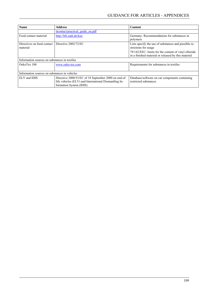| <b>Name</b>                                   | <b>Address</b>                                                                                                                          | <b>Content</b>                                                                                              |  |
|-----------------------------------------------|-----------------------------------------------------------------------------------------------------------------------------------------|-------------------------------------------------------------------------------------------------------------|--|
|                                               | dcontact/practical guide en.pdf                                                                                                         |                                                                                                             |  |
| Food contact material                         | http://bfr.zadi.de/kse/                                                                                                                 | Germany: Recommendations for substances in<br>polymers                                                      |  |
| Directives on food contact<br>material        | Directive 2002/72/EC                                                                                                                    | Lists specify the use of substances and possible re-<br>strictions for usage                                |  |
|                                               |                                                                                                                                         | 78/142/EEC: limits for the content of vinyl chloride<br>in a finished material or released by this material |  |
| Information sources on substances in textiles |                                                                                                                                         |                                                                                                             |  |
| OekoTex 100                                   | www.oeko-tex.com                                                                                                                        | Requirements for substances in textiles                                                                     |  |
| Information sources on substances in vehicles |                                                                                                                                         |                                                                                                             |  |
| ELV and IDIS                                  | Directive 2000/53/EC of 18 September 2000 on end-of<br>life vehicles (ELV) and International Dismantling In-<br>formation System (IDIS) | Database/software on car components containing<br>restricted substances                                     |  |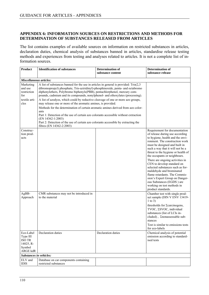#### **APPENDIX 6: INFORMATION SOURCES ON RESTRICTIONS AND METHODS FOR DETERMINATION OF SUBSTANCES RELEASED FROM ARTICLES**

The list contains examples of available sources on information on restricted substances in articles, declaration duties, chemical analysis of substances banned in articles, standardise release testing methods and experiences from testing and analyses related to articles. It is not a complete list of information sources.

| <b>Product</b>                                                                   | <b>Identification of substances</b>                                                                                                                                                                                                                                                                                                                                                                                                                                                                                                                                                                                                                                                                                                                                                                                 | <b>Determination of</b><br>substance content | <b>Determination of</b><br>substance release                                                                                                                                                                                                                                                                                                                                                                                                                                                                                                                           |  |
|----------------------------------------------------------------------------------|---------------------------------------------------------------------------------------------------------------------------------------------------------------------------------------------------------------------------------------------------------------------------------------------------------------------------------------------------------------------------------------------------------------------------------------------------------------------------------------------------------------------------------------------------------------------------------------------------------------------------------------------------------------------------------------------------------------------------------------------------------------------------------------------------------------------|----------------------------------------------|------------------------------------------------------------------------------------------------------------------------------------------------------------------------------------------------------------------------------------------------------------------------------------------------------------------------------------------------------------------------------------------------------------------------------------------------------------------------------------------------------------------------------------------------------------------------|--|
| Miscellaneous articles:                                                          |                                                                                                                                                                                                                                                                                                                                                                                                                                                                                                                                                                                                                                                                                                                                                                                                                     |                                              |                                                                                                                                                                                                                                                                                                                                                                                                                                                                                                                                                                        |  |
| Marketing<br>and use<br>restriction<br>for<br>textile arti-<br>cles              | A list of substances banned for the use in articles in general is provided: $Tris(2,3)$<br>dibromopropyl) phosphate, Tris-aziridinyl)-phosphinoxide, penta- and octabromo<br>diphenylethers, Polybromo biphenyls(PBB), pentachlorphenol, mercury com-<br>pounds, cadmium and its compounds, nonylphenol- and ethoxylates (processing).<br>A list of azodyes, which could by reductive cleavage of one or more azo groups,<br>may release one or more of the aromatic amines, is provided.<br>Methods for the determination of certain aromatic amines derived from azo color-<br>ants<br>Part 1: Detection of the use of certain azo colorants accessible without extraction<br>(EN 14362-1:2003)<br>Part 2: Detection of the use of certain azo colorants accessible by extracting the<br>fibres (EN 14362-2:2003) |                                              |                                                                                                                                                                                                                                                                                                                                                                                                                                                                                                                                                                        |  |
| Construc-<br>tion prod-<br>ucts                                                  |                                                                                                                                                                                                                                                                                                                                                                                                                                                                                                                                                                                                                                                                                                                                                                                                                     |                                              | Requirement for documentation<br>of release during use according<br>to hygiene, health and the envi-<br>ronment. The construction work<br>must be designed and built in<br>such a way that it will not be a<br>threat to the hygiene or health of<br>the occupants or neighbours.<br>There are ongoing activities in<br>CEN to develop standard on<br>selected substances such as for-<br>maldehyde and brominated<br>flame retardants. The Commis-<br>sion's Expert Group on Danger-<br>ous Substances (EGDS) are<br>working on test methods in<br>product standards. |  |
| AgBB-<br>Approach                                                                | CMR substances may not be introduced in<br>to the material                                                                                                                                                                                                                                                                                                                                                                                                                                                                                                                                                                                                                                                                                                                                                          |                                              | Chamber test with single prod-<br>uct sample (DIN V ENV 13419-<br>$1$ to 3)<br>thresholds for Σcarcinogens,<br>TVOC, ESVOC, individual<br>substances (list of LCIs in-<br>cluded), Znonassessable sub-<br>stances<br>Test is similar to emissions tests<br>for eco-labels                                                                                                                                                                                                                                                                                              |  |
| Eco-Label<br>Type III<br><b>ISO TR</b><br>14025, R-<br>Symbol<br><b>ARGE kdR</b> | Declaration duties                                                                                                                                                                                                                                                                                                                                                                                                                                                                                                                                                                                                                                                                                                                                                                                                  | Declaration duties                           | Chemical analysis of potential<br>emission according to standard-<br>ised tests                                                                                                                                                                                                                                                                                                                                                                                                                                                                                        |  |
| Substances in vehicles:                                                          |                                                                                                                                                                                                                                                                                                                                                                                                                                                                                                                                                                                                                                                                                                                                                                                                                     |                                              |                                                                                                                                                                                                                                                                                                                                                                                                                                                                                                                                                                        |  |
| ELV and<br>$IDIS$                                                                | Database on car components containing<br>restricted substances                                                                                                                                                                                                                                                                                                                                                                                                                                                                                                                                                                                                                                                                                                                                                      |                                              |                                                                                                                                                                                                                                                                                                                                                                                                                                                                                                                                                                        |  |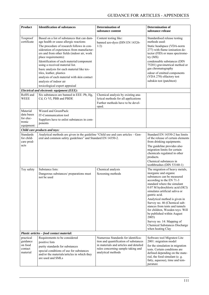| Product                                                     | <b>Identification of substances</b>                                                                                                                                                                                                                                                                                                                                                                                                                                                                                          | <b>Determination of</b><br>substance content                                                                                                                                      | <b>Determination of</b><br>substance release                                                                                                                                                                                                                                                                                                                                                                                                                                                          |
|-------------------------------------------------------------|------------------------------------------------------------------------------------------------------------------------------------------------------------------------------------------------------------------------------------------------------------------------------------------------------------------------------------------------------------------------------------------------------------------------------------------------------------------------------------------------------------------------------|-----------------------------------------------------------------------------------------------------------------------------------------------------------------------------------|-------------------------------------------------------------------------------------------------------------------------------------------------------------------------------------------------------------------------------------------------------------------------------------------------------------------------------------------------------------------------------------------------------------------------------------------------------------------------------------------------------|
| Toxproof<br>certificate                                     | Based on a list of substances that can dam-<br>age health or cause allergic reactions<br>The procedure of research follows in con-<br>sideration of experiences from manufactur-<br>ers and from other fields (indoor air, work<br>place requirements):<br>Identification of each material/component<br>using a received material list.<br>basic analysis for each material like tex-<br>tiles, leather, plastics<br>analysis of each material with skin contact<br>analysis of indoor air<br>toxicological expert appraisal | Content testing like:<br>banned azo-dyes (DIN EN 14326-<br>1/2)                                                                                                                   | Standardised release testing<br>methods used:<br>Static headspace (VDA-norm<br>277) with flame ionisation de-<br>tector (FID) or mass spectrome-<br>try(MS)<br>condensable substances (DIN<br>75201) gravimetrical method or<br>gas chromatography<br>odour of emitted components<br>(VDA 270) olfactory test<br>subskin test (patchtest)                                                                                                                                                             |
|                                                             | Electrical and electronic equipment (EEE):                                                                                                                                                                                                                                                                                                                                                                                                                                                                                   |                                                                                                                                                                                   |                                                                                                                                                                                                                                                                                                                                                                                                                                                                                                       |
| RoHS and<br>WEEE                                            | Six substances are banned in EEE: Pb, Hg,<br>Cd, Cr VI, PBB and PBDE                                                                                                                                                                                                                                                                                                                                                                                                                                                         | Chemical analysis by existing ana-<br>lytical methods for all applications<br>Further methods have to be devel-<br>oped.                                                          |                                                                                                                                                                                                                                                                                                                                                                                                                                                                                                       |
| Material<br>data bases<br>for elec-<br>tronic<br>equipment: | Wizard and GreenPack:<br>IT-Communication tool<br>Suppliers have to enlist substances in com-<br>ponents                                                                                                                                                                                                                                                                                                                                                                                                                     |                                                                                                                                                                                   |                                                                                                                                                                                                                                                                                                                                                                                                                                                                                                       |
|                                                             | Child care products and toys:                                                                                                                                                                                                                                                                                                                                                                                                                                                                                                |                                                                                                                                                                                   |                                                                                                                                                                                                                                                                                                                                                                                                                                                                                                       |
| <b>Standards</b><br>for child-<br>care prod-<br>ucts        | Analytical methods are given in the guideline "Child use and care articles - Gen-<br>eral and common safety guidelines" and Standard EN 14350-2.                                                                                                                                                                                                                                                                                                                                                                             |                                                                                                                                                                                   | Standard EN 14350-2 has limits<br>of the release of certain elements<br>from drinking equipments.<br>The guideline provides also<br>migration limits for certain<br>chemicals regulated in other<br>products.<br>Chemical substances in<br>toothbrushes (DIN 53160-1)                                                                                                                                                                                                                                 |
| Toy safety                                                  | Substance lists:<br>Dangerous substances/ preparations must<br>not be used                                                                                                                                                                                                                                                                                                                                                                                                                                                   | Chemical analysis<br>Screening methods                                                                                                                                            | The migration of heavy metals,<br>inorganic and organic<br>substances can be measured<br>according to the EN 71-3<br>standard where the simulant<br>0.07 M hydrochloric acid (HCl)<br>simulates artificial saliva or<br>gastric acid.<br>Analytical method is given in<br>Survey no. 46 (Chemical sub-<br>stances from tents and tunnels<br>for children, Wooden toys: Will<br>be published within August<br>2005)<br>Survey no. 14: Mapping of<br>Chemical Substances Discharge<br>when heating Clay |
|                                                             | Plastic articles - food contact material:                                                                                                                                                                                                                                                                                                                                                                                                                                                                                    |                                                                                                                                                                                   |                                                                                                                                                                                                                                                                                                                                                                                                                                                                                                       |
| practical<br>guidance<br>on food<br>contact<br>material     | Requirements to be considered<br>positive lists<br>purity standards for substances<br>special conditions of use for substances<br>and/or the materials/articles in which they<br>are used and SMLs                                                                                                                                                                                                                                                                                                                           | Numerous Standards for identifica-<br>tion and quantification of substances<br>in materials and articles and detailed<br>rules concerning sample taking and<br>analytical methods | Software tool Migratest Lite<br>2001: migration model<br>for the simulation in migration<br>tests. Certain conditions are<br>defined depending on the mate-<br>rial, the food simulant (e. g.<br>fatty, aqueous), time and tem-<br>perature                                                                                                                                                                                                                                                           |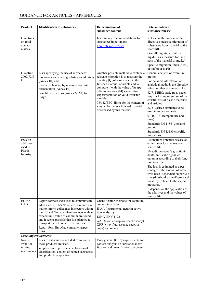| Product                                               | <b>Identification of substances</b>                                                                                                                                                                                                                                                                                                                             | <b>Determination of</b>                                                                                                                                                                                                                                                                                                                                                                                 | <b>Determination of</b>                                                                                                                                                                                                                                                                                                                                                                                                                                                                                         |
|-------------------------------------------------------|-----------------------------------------------------------------------------------------------------------------------------------------------------------------------------------------------------------------------------------------------------------------------------------------------------------------------------------------------------------------|---------------------------------------------------------------------------------------------------------------------------------------------------------------------------------------------------------------------------------------------------------------------------------------------------------------------------------------------------------------------------------------------------------|-----------------------------------------------------------------------------------------------------------------------------------------------------------------------------------------------------------------------------------------------------------------------------------------------------------------------------------------------------------------------------------------------------------------------------------------------------------------------------------------------------------------|
|                                                       |                                                                                                                                                                                                                                                                                                                                                                 | substance content                                                                                                                                                                                                                                                                                                                                                                                       | substance release                                                                                                                                                                                                                                                                                                                                                                                                                                                                                               |
| Directives<br>on food<br>contact<br>material          |                                                                                                                                                                                                                                                                                                                                                                 | In Germany: recommendations for<br>substances in polymers:<br>http://bfr.zadi.de/kse/                                                                                                                                                                                                                                                                                                                   | Release in the context of the<br>directives means a migration of<br>substances from material to the<br>foodstuff.<br>Overall migration limit (in<br>mg/dm <sup>2</sup> as a measure for inert-                                                                                                                                                                                                                                                                                                                  |
|                                                       |                                                                                                                                                                                                                                                                                                                                                                 |                                                                                                                                                                                                                                                                                                                                                                                                         | ness of the material or mg/kg):<br>Specific migration limits (SML,<br>in mg/kg or mg/l)                                                                                                                                                                                                                                                                                                                                                                                                                         |
| Directive<br>2002/72/E<br>C                           | Lists specifying the use of substances:<br>monomers and starting substances additives<br>(Annex III) and<br>products obtained by means of bacterial<br>fermentation (Annex IV)<br>possible restrictions (Annex V, VI) for<br>usage.                                                                                                                             | Another possible method to exclude a<br>relevant migration is to measure the<br>quantity (Q) of a substance in the<br>finished material or article and to<br>compare it with the value of its spe-<br>cific migration (SM) known from<br>experimentation or valid diffusion<br>models<br>78/142/EEC: limits for the content of<br>vinyl chloride in a finished material<br>or released by this material | General analysis of overall mi-<br>gration<br>For detailed information on<br>analytical methods the directive<br>refers to other documents like:<br>82/711/EEC: basic rules neces-<br>sary for testing migration of the<br>constituents of plastic materials<br>and articles<br>82/572/EEC: simulates to be<br>used in migration tests<br>97/48/EEC (temperature and<br>time)<br>Standards EN 1186 (globalmi-<br>gration)<br>Standards EN 13130 (specific<br>migration)                                         |
| ESD on<br>additives<br>used in<br>Plastic<br>Industry |                                                                                                                                                                                                                                                                                                                                                                 |                                                                                                                                                                                                                                                                                                                                                                                                         | Estimation: Potential release as<br>emission or loss factors over<br>service life:<br>10 additive types (e.g. antioxi-<br>dants, anti-static agent, col-<br>ourants) according to their func-<br>tion identified.<br>The loss is estimated as a per-<br>centage of the amount of addi-<br>tives used (dependent on particle<br>size (threshold value 40 $\mu$ m) and<br>volatility (related to the vapour<br>pressure).<br>It depends on the application of<br>the additives and the values of<br>service life. |
| EURO-<br>CAD                                          | Report formats were used to communicate<br>Alert and EURASCP system: a report for-<br>mat to inform colleagues inspectors within<br>the EU and Norway when products with an<br>exceed limit value of cadmium are found<br>and it seems possible that it is planned to<br>transport them to other EU countries.<br>Report form EuroCad company inspec-<br>tions. | Quantification methods for cadmium<br>content in articles:<br>INAA (instrumental neutron activa-<br>tion analysis)<br>DIN V ENV 1122<br>AAS (atom adsorption spectroscopy),<br>XRF (x-ray fluorescence spectros-<br>copy) and others                                                                                                                                                                    |                                                                                                                                                                                                                                                                                                                                                                                                                                                                                                                 |
| Labelling requirements:                               |                                                                                                                                                                                                                                                                                                                                                                 |                                                                                                                                                                                                                                                                                                                                                                                                         |                                                                                                                                                                                                                                                                                                                                                                                                                                                                                                                 |
| Nordic<br>swan for<br>writing<br>instruments          | Lists of substances excluded from use in<br>these products are used.<br>supplier has to provide a declaration of<br>classification, content of named substances<br>and product composition.                                                                                                                                                                     | Only general (GLP) requirements for<br>content analysis on substance identi-<br>fication and quantification are given                                                                                                                                                                                                                                                                                   |                                                                                                                                                                                                                                                                                                                                                                                                                                                                                                                 |
|                                                       |                                                                                                                                                                                                                                                                                                                                                                 |                                                                                                                                                                                                                                                                                                                                                                                                         |                                                                                                                                                                                                                                                                                                                                                                                                                                                                                                                 |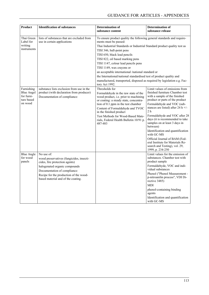| Product                                                                | <b>Identification of substances</b>                                                                                                                                                                                                       | <b>Determination of</b><br>substance content                                                                                                                                                                                                                                                                                                                                                                                                                                                                                                                               | <b>Determination of</b><br>substance release                                                                                                                                                                                                                                                                                                                                                                                                                                                                                |
|------------------------------------------------------------------------|-------------------------------------------------------------------------------------------------------------------------------------------------------------------------------------------------------------------------------------------|----------------------------------------------------------------------------------------------------------------------------------------------------------------------------------------------------------------------------------------------------------------------------------------------------------------------------------------------------------------------------------------------------------------------------------------------------------------------------------------------------------------------------------------------------------------------------|-----------------------------------------------------------------------------------------------------------------------------------------------------------------------------------------------------------------------------------------------------------------------------------------------------------------------------------------------------------------------------------------------------------------------------------------------------------------------------------------------------------------------------|
| Thai Green<br>Label for<br>writing<br>instruments                      | lists of substances that are excluded from<br>use in certain applications                                                                                                                                                                 | To ensure product quality the following general standards and require-<br>ments must be passed:<br>Thai Industrial Standards or Industrial Standard product quality test as<br>TISI 346, ball-point pens<br>TISI 650, black lead pencils<br>TISI 822, oil based marking pens<br>TISI 1147, colour lead pencils pens<br>TISI 1149, wax crayons or<br>an acceptable international /national standard or<br>the International/national standardised test of product quality and<br>manufactured, transported, disposed as required by legislation e.g. Fac-<br>tory Act 1992. |                                                                                                                                                                                                                                                                                                                                                                                                                                                                                                                             |
| Furnishing<br><b>Blue Angel</b><br>for furni-<br>ture based<br>on wood | substance lists exclusion from use in the<br>product (with declaration from producer)<br>Documentation of compliance:                                                                                                                     | Thresholds for<br>Formaldehyde in the raw state of the<br>wood product, i.e. prior to machining<br>or coating: a steady state, concentra-<br>tion of 0.1 ppm in the test chamber<br>Content of Formaldehyde and TVOC<br>in the finished product<br>Test Methods for Wood-Based Mate-<br>rials, Federal Health Bulletin 10/91 p.<br>487-483                                                                                                                                                                                                                                 | Limit values of emissions from<br>finished furniture Chamber test<br>with a sample of the finished<br>product or parts of the product<br>Formaldehyde and VOC (sub-<br>stances are listed) after 24 h $+/-$<br>2 <sub>h</sub><br>Formaldehyde and VOC after 28<br>days (it is recommended to take<br>samples on at least 3 days in<br>between)<br>Identification and quantification<br>with GC-MS<br>Official Journal of BAM (Fed-<br>eral Institute for Materials Re-<br>search and Testing), vol. 29,<br>1999, p. 234-250 |
| <b>Blue Angle</b><br>for wood<br>panels                                | No use of:<br>wood preservatives (fungicides, insecti-<br>cides, fire protection agents)<br>halogenated organic compounds<br>Documentation of compliance:<br>Recipe for the production of the wood-<br>based material and of the coating. |                                                                                                                                                                                                                                                                                                                                                                                                                                                                                                                                                                            | Limit values for the emission of<br>substances. Chamber test with<br>product sample<br>Formaldehyde, VOC and indi-<br>vidual substances<br>Phenol ("Phenol Measurement -<br>p-nitroanilin process", VDI Di-<br>rective 3485)<br><b>MDI</b><br>phenol-containing binding<br>agents<br>Identification and quantification<br>with GC-MS                                                                                                                                                                                        |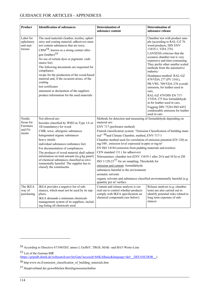<span id="page-113-0"></span>

| Product                                        | <b>Identification of substances</b>                                                                                                                                                                                                                                                                                                                                            | Determination of                                                                                                                                     | <b>Determination of</b>                                                                                                                                                                                                                                                                                                                                                                                                                                                 |
|------------------------------------------------|--------------------------------------------------------------------------------------------------------------------------------------------------------------------------------------------------------------------------------------------------------------------------------------------------------------------------------------------------------------------------------|------------------------------------------------------------------------------------------------------------------------------------------------------|-------------------------------------------------------------------------------------------------------------------------------------------------------------------------------------------------------------------------------------------------------------------------------------------------------------------------------------------------------------------------------------------------------------------------------------------------------------------------|
|                                                |                                                                                                                                                                                                                                                                                                                                                                                | substance content                                                                                                                                    | substance release                                                                                                                                                                                                                                                                                                                                                                                                                                                       |
| Label for<br>upholstery<br>and mat-<br>tresses | The used materials (leather, textiles, uphol-<br>stery and coating material, adhesives) must<br>not contain substances that are toxic,<br>$\text{CRM}^{54}$ , known as a strong contact aller-                                                                                                                                                                                 |                                                                                                                                                      | Chamber test with product sam-<br>ple (according to RAL-UZ 76<br>wood products, DIN ENV<br>13419-1, VDA 276)                                                                                                                                                                                                                                                                                                                                                            |
|                                                | gen (leather) <sup>55</sup><br>No use of certain dyes or pigments (sub-<br>stance list)<br>The following documents are requested for<br>compliance:<br>recipe for the production of the wood-based<br>material and, if the occasion arises, of the<br>coating.<br>test certificates<br>statement or declaration of the suppliers<br>product information for the used materials |                                                                                                                                                      | LANXESS criticises that the<br>scenario chamber test is very<br>expensive and time-consuming.<br>They prefer other smaller scaled<br>methods from the automotive<br>industry:<br>Headspace-method: RAL-GZ<br>479/VDA 277 (PV 3341),<br>PB VWL 709/VDA 278 overall-<br>emission, for leather used in<br>cars,<br>RAL-GZ 479/DIN EN 717-<br>3/VDA 275 free formaldehyde<br>in for leather used in cars,<br>Fogging DIN 75201/ISO 6452<br>condensable emission for leather |
|                                                |                                                                                                                                                                                                                                                                                                                                                                                |                                                                                                                                                      | used in cars                                                                                                                                                                                                                                                                                                                                                                                                                                                            |
| Nordic<br>Swan for<br>Furniture                | Not allowed are:<br>biocides classified by WHO as Type 1A or<br>1B (mandatory) for wood                                                                                                                                                                                                                                                                                        | Methods for detection and measuring of formaldehyde depending on<br>material are:<br>ENV 717 (perforator method)                                     |                                                                                                                                                                                                                                                                                                                                                                                                                                                                         |
| and Fit-<br>ments                              | CMR, toxic, allergenic substances                                                                                                                                                                                                                                                                                                                                              | Finnish classification system: "Emission Classification of building mate-                                                                            |                                                                                                                                                                                                                                                                                                                                                                                                                                                                         |
|                                                | halogenated organic substances                                                                                                                                                                                                                                                                                                                                                 | rial" <sup>56</sup> and Climate Chamber, method, ENV-717-1                                                                                           |                                                                                                                                                                                                                                                                                                                                                                                                                                                                         |
|                                                | heavy metals<br>individual substances (substance list)                                                                                                                                                                                                                                                                                                                         | Chamber method used for correlation of emission potential (EN 120) as<br>$mg/100$ , emission level expressed in ppm or mg/m <sup>3</sup>             |                                                                                                                                                                                                                                                                                                                                                                                                                                                                         |
|                                                | For documentation of compliances:                                                                                                                                                                                                                                                                                                                                              | EN ISO 14184 (emission from padding materials and textiles)                                                                                          |                                                                                                                                                                                                                                                                                                                                                                                                                                                                         |
|                                                | The producer of wood material shall submit                                                                                                                                                                                                                                                                                                                                     | CEN standard 131 (for adhesives)                                                                                                                     |                                                                                                                                                                                                                                                                                                                                                                                                                                                                         |
|                                                | information on total amount (in g/kg panel)<br>of chemical substances classified as envi-                                                                                                                                                                                                                                                                                      | Nitrosamines: chamber test (ENV 13419-1 after 24 h and 30 h) or ZH<br>ISO $1/120.23^{57}$ for air sampling; Thresholds for                           |                                                                                                                                                                                                                                                                                                                                                                                                                                                                         |
|                                                | ronmentally harmful. The supplier has to                                                                                                                                                                                                                                                                                                                                       | emission and content: formaldehyde                                                                                                                   |                                                                                                                                                                                                                                                                                                                                                                                                                                                                         |
|                                                | classify the constituents.                                                                                                                                                                                                                                                                                                                                                     | substances harmful to the environment                                                                                                                |                                                                                                                                                                                                                                                                                                                                                                                                                                                                         |
|                                                |                                                                                                                                                                                                                                                                                                                                                                                | aromatic solvents                                                                                                                                    |                                                                                                                                                                                                                                                                                                                                                                                                                                                                         |
|                                                |                                                                                                                                                                                                                                                                                                                                                                                | organic solvents and substances classified environmentally harmful (e.g.<br>quantity per m <sup>2</sup> surface                                      |                                                                                                                                                                                                                                                                                                                                                                                                                                                                         |
| The IKEA<br>way of<br>purchasing               | IKEA provides a negative list of sub-<br>stances, which must not be used by its sup-<br>pliers.<br>IKEA demands a minimum chemicals<br>management system of its suppliers, includ-<br>ing listing all chemicals used.                                                                                                                                                          | Content and release analysis is car-<br>ried out to control whether products<br>comply with IKEA specification on<br>chemical compounds (see below). | Release analysis (e.g. chamber<br>tests) are also carried out to<br>identify potential risks related to<br>long term exposure of sub-<br>stances                                                                                                                                                                                                                                                                                                                        |

55 List of the German BfR

 $\overline{a}$ 

<sup>54</sup> According to Directive 67/548/EEC annex I, GefStV, TRGS, MAK- und BAT-Werte-Liste

<sup>(</sup>https://gripsdb.dimdi.de/websearch/servlet/Gate?accessid=bfrKABasic&language=de#\_\_DEFANCHOR\_\_)

<sup>56</sup> http:www.rts.fi/emission\_classification\_of\_building\_materials.htm

<sup>57</sup> Hauptverband der gewerblichen Berufsgenossenschaften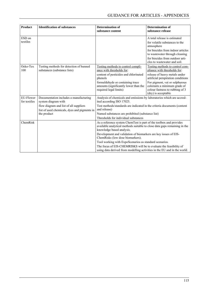| <b>Product</b>            | <b>Identification of substances</b>                                     | <b>Determination of</b><br>substance content                                                                                                                                 | <b>Determination of</b><br>substance release                                                                             |
|---------------------------|-------------------------------------------------------------------------|------------------------------------------------------------------------------------------------------------------------------------------------------------------------------|--------------------------------------------------------------------------------------------------------------------------|
| ESD on                    |                                                                         |                                                                                                                                                                              | A total release is estimated                                                                                             |
| textiles                  |                                                                         |                                                                                                                                                                              | for volatile substances to the<br>atmosphere                                                                             |
|                           |                                                                         |                                                                                                                                                                              | for biocides from indoor articles<br>to wastewater through cleaning                                                      |
|                           |                                                                         |                                                                                                                                                                              | for biocides from outdoor arti-<br>cles to wastewater and soil.                                                          |
| Oeko-Tex<br>100           | Testing methods for detection of banned<br>substances (substance lists) | Testing methods to control compli-<br>ance with thresholds for:                                                                                                              | Testing methods to control com-<br>pliance with thresholds for:                                                          |
|                           |                                                                         | content of pesticides and chlorinated<br>phenols                                                                                                                             | release of heavy metals under<br>artificial perspiration conditions                                                      |
|                           |                                                                         | formaldehyde or containing trace<br>amounts (significantly lower than the<br>required legal limits)                                                                          | For pigment, vat or sulphurous<br>colorants a minimum grade of<br>colour fastness to rubbing of 3<br>(dry) is acceptable |
| EU-Flower<br>for textiles | Documentation includes a manufacturing<br>system diagram with           | Analysis of chemicals and emissions by laboratories which are accred-<br>ited according ISO 17025.                                                                           |                                                                                                                          |
|                           | flow diagram and list of all suppliers                                  | Test methods/standards are indicated in the criteria documents (content                                                                                                      |                                                                                                                          |
|                           | list of used chemicals, dyes and pigments in                            | and release)                                                                                                                                                                 |                                                                                                                          |
|                           | the product                                                             | Named substances are prohibited (substance list)                                                                                                                             |                                                                                                                          |
|                           |                                                                         | Thresholds for individual substances                                                                                                                                         |                                                                                                                          |
| ChemRisk                  |                                                                         | As a reference system ChemTest is part of the toolbox and provides<br>available analytical methods suitable to close data gaps remaining in the<br>knowledge based analysis. |                                                                                                                          |
|                           |                                                                         | Development and validation of biomarkers are key issues of EIS-<br>ChemRisks (low dose biomarkers).                                                                          |                                                                                                                          |
|                           |                                                                         | Tool working with ExpoScenarios as standard scenarios.                                                                                                                       |                                                                                                                          |
|                           |                                                                         | The focus of EIS-CHEMRISKS will be to evaluate the feasibility of<br>using data derived from modelling activities in the EU and in the world.                                |                                                                                                                          |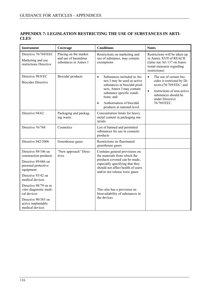### **APPENDIX 7: LEGISLATION RESTRICTING THE USE OF SUBSTANCES IN ARTI-CLES**

| <b>Instrument</b>                                                                                       | Coverage                                                               | <b>Conditions</b>                                                                                                                                                                                                                                       | <b>Notes</b>                                                                                                                                                                                      |
|---------------------------------------------------------------------------------------------------------|------------------------------------------------------------------------|---------------------------------------------------------------------------------------------------------------------------------------------------------------------------------------------------------------------------------------------------------|---------------------------------------------------------------------------------------------------------------------------------------------------------------------------------------------------|
| Directive 76/769/EEC<br>Marketing and use<br>restrictions Directive                                     | Placing on the market<br>and use of hazardous<br>substances in Annex I | Restrictions on marketing and<br>use of substance, may contain<br>exemptions                                                                                                                                                                            | Restrictions will be taken up<br>in Annex XVII of REACH<br>$((also see Art 137 on transi-$<br>tional measures regarding<br>restrictions)                                                          |
| Directive 98/8/EC<br><b>Biocides Directive</b>                                                          | <b>Biocidal</b> products                                               | Substances included in An-<br>$\bullet$<br>nex I may be used as active<br>substances in biocidal prod-<br>ucts, Annex I may contain<br>substance specific condi-<br>tions; and<br>Authorisation of biocidal<br>$\bullet$<br>products at national level. | The use of certain bio-<br>$\bullet$<br>cides is restricted by Di-<br>rective76/769/EEC; and<br>restrictions of non-active<br>$\bullet$<br>substances should be<br>under Directive<br>76/769/EEC. |
| Directive 94/62                                                                                         | Packaging and packag-<br>ing waste                                     | Concentration limits for heavy<br>metal content in packaging ma-<br>terials                                                                                                                                                                             |                                                                                                                                                                                                   |
| Directive 76/768                                                                                        | Cosmetics                                                              | List of banned and permitted<br>substances for use in cosmetic<br>products                                                                                                                                                                              |                                                                                                                                                                                                   |
| Directive 842/2006                                                                                      | Greenhouse gases                                                       | Restrictions on fluorinated<br>greenhouse gases                                                                                                                                                                                                         |                                                                                                                                                                                                   |
| Directive 89/106 on<br>construction products<br>Directive 89/686 on<br>personal protective<br>equipment | "New approach" Direc-<br>tives                                         | Contains general provisions on<br>the materials from which the<br>products covered can be made,<br>especially specifying that they<br>should not affect health of users<br>and/or not release toxic gases                                               |                                                                                                                                                                                                   |
| Directive 93/42 on<br>medical devices                                                                   |                                                                        |                                                                                                                                                                                                                                                         |                                                                                                                                                                                                   |
| Directive 98/79 on in<br>vitro diagnostic medi-<br>cal devices                                          |                                                                        | This also has a provision on<br>bioavailability of substances in<br>the devices                                                                                                                                                                         |                                                                                                                                                                                                   |
| Directive 90/385 on<br>active implantable<br>medical devices                                            |                                                                        |                                                                                                                                                                                                                                                         |                                                                                                                                                                                                   |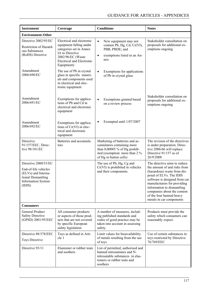| <b>Instrument</b>                                                                                                                | Coverage                                                                                                                                                                  | <b>Conditions</b>                                                                                                                                        | <b>Notes</b>                                                                                                                                                                                                                                                                                                |
|----------------------------------------------------------------------------------------------------------------------------------|---------------------------------------------------------------------------------------------------------------------------------------------------------------------------|----------------------------------------------------------------------------------------------------------------------------------------------------------|-------------------------------------------------------------------------------------------------------------------------------------------------------------------------------------------------------------------------------------------------------------------------------------------------------------|
| <b>Environment-Other</b>                                                                                                         |                                                                                                                                                                           |                                                                                                                                                          |                                                                                                                                                                                                                                                                                                             |
| Directive 2002/95/EC<br>Restriction of Hazard-<br>ous Substances<br>(RoHS) Directive                                             | Electrical and electronic<br>equipment falling under<br>categories set in Annex<br>IA to Directive<br>2002/96/EC (Waste<br><b>Electrical and Electronic</b><br>Equipment) | New equipment may not<br>$\bullet$<br>contain Pb, Hg, Cd, Cr(VI),<br>PBB, PBDE; and<br>exemptions listed in an An-<br>$\bullet$<br>nex.                  | Stakeholder consultation on<br>proposals for additional ex-<br>emptions ongoing                                                                                                                                                                                                                             |
| Amendment<br>2006/690/EC                                                                                                         | The use of Pb in crystal<br>glass in specific materi-<br>als and components used<br>in electrical and elec-<br>tronic equipment                                           | Exemptions for applications<br>$\bullet$<br>of Pb in crystal glass                                                                                       |                                                                                                                                                                                                                                                                                                             |
| Amendment<br>2006/691/EC                                                                                                         | Exemptions for applica-<br>tions of Pb and Cd in<br>electrical and electronic<br>equipment                                                                                | Exemptions granted based<br>$\bullet$<br>on a review process                                                                                             | Stakeholder consultation on<br>proposals for additional ex-<br>emptions ongoing                                                                                                                                                                                                                             |
| Amendment<br>2006/692/EC                                                                                                         | Exemptions for applica-<br>tions of Cr(VI) in elec-<br>trical and electronic<br>equipment                                                                                 | Exempted until 1/07/2007<br>٠                                                                                                                            |                                                                                                                                                                                                                                                                                                             |
| Directive<br>91/157/EEC, Direc-<br>tive 98/101/EC                                                                                | Batteries and accumula-<br>tors                                                                                                                                           | Marketing of batteries and ac-<br>cumulators containing more<br>than 0,00005 % of Hg prohib-<br>ited (exemption: more than 2 %<br>of Hg in button cells) | The revision of the directives<br>is under preparation. Direc-<br>tive 2006/66 will replace<br>Directive 91/157 as of<br>26/9/2008                                                                                                                                                                          |
| Directive 2000/53/EC<br>End-of-life vehicles<br>(ELVs) and Interna-<br>tional Dismantling<br><b>Information System</b><br>(IDIS) |                                                                                                                                                                           | The use of Pb, Hg, Cg and<br>$Cr(VI)$ is prohibited in vehicles<br>and their components.                                                                 | The directive aims to reduce<br>the amount of and risks from<br>(hazardous) waste from dis-<br>posal of ELVs. The IDIS<br>software is designed from car<br>manufacturers for providing<br>information to dismantling<br>companies about the content<br>of the four banned heavy<br>metals in car components |
| <b>Consumers</b>                                                                                                                 |                                                                                                                                                                           |                                                                                                                                                          |                                                                                                                                                                                                                                                                                                             |
| General Product<br><b>Safety Directive</b><br>(GPSD) 2001/95/EEC                                                                 | All consumer products<br>or aspects of those prod-<br>ucts that are not covered<br>by specific European<br>safety legislation                                             | A number of measures, includ-<br>ing published standards and<br>codes of good practice may be<br>taken into account in assessing<br>safety.              | Products must provide the<br>safety which consumers can<br>reasonably expect.                                                                                                                                                                                                                               |
| Directive 88/378/EEC<br>Toys Directive                                                                                           | Toys as defined in Arti-<br>cle 1                                                                                                                                         | Limit values for bioavailability<br>of metals resulting from the use<br>of toys                                                                          | Use of certain substances in<br>toys restricted by Directive<br>76/769/EEC                                                                                                                                                                                                                                  |
| Directive 93/11                                                                                                                  | Elastomer or rubber teats<br>and soothers                                                                                                                                 | List of permitted, authorised and<br>banned nitrosamines and N-<br>nitrosatable substances in elas-<br>tomers or rubber teats and<br>soothers            |                                                                                                                                                                                                                                                                                                             |